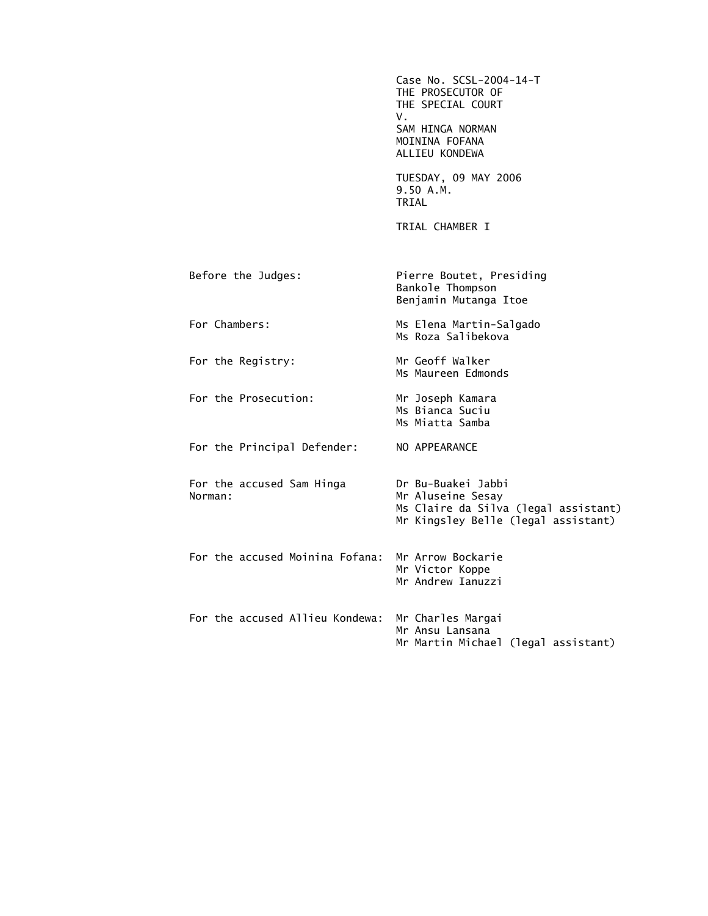|                                      | Case No. SCSL-2004-14-T<br>THE PROSECUTOR OF<br>THE SPECIAL COURT<br>V.<br>SAM HINGA NORMAN<br>MOININA FOFANA<br>ALLIEU KONDEWA |
|--------------------------------------|---------------------------------------------------------------------------------------------------------------------------------|
|                                      | TUESDAY, 09 MAY 2006<br>9.50 A.M.<br>TRIAL                                                                                      |
|                                      | TRIAL CHAMBER I                                                                                                                 |
| Before the Judges:                   | Pierre Boutet, Presiding<br>Bankole Thompson<br>Benjamin Mutanga Itoe                                                           |
| For Chambers:                        | Ms Elena Martin-Salgado<br>Ms Roza Salibekova                                                                                   |
| For the Registry:                    | Mr Geoff Walker<br>Ms Maureen Edmonds                                                                                           |
| For the Prosecution:                 | Mr Joseph Kamara<br>Ms Bianca Suciu<br>Ms Miatta Samba                                                                          |
| For the Principal Defender:          | NO APPEARANCE                                                                                                                   |
| For the accused Sam Hinga<br>Norman: | Dr Bu-Buakei Jabbi<br>Mr Aluseine Sesay<br>Ms Claire da Silva (legal assistant)<br>Mr Kingsley Belle (legal assistant)          |
| For the accused Moinina Fofana:      | Mr Arrow Bockarie<br>Mr Victor Koppe<br>Mr Andrew Tanuzzi                                                                       |
| For the accused Allieu Kondewa:      | Mr Charles Margai<br>Mr Ansu Lansana<br>Mr Martin Michael (legal assistant)                                                     |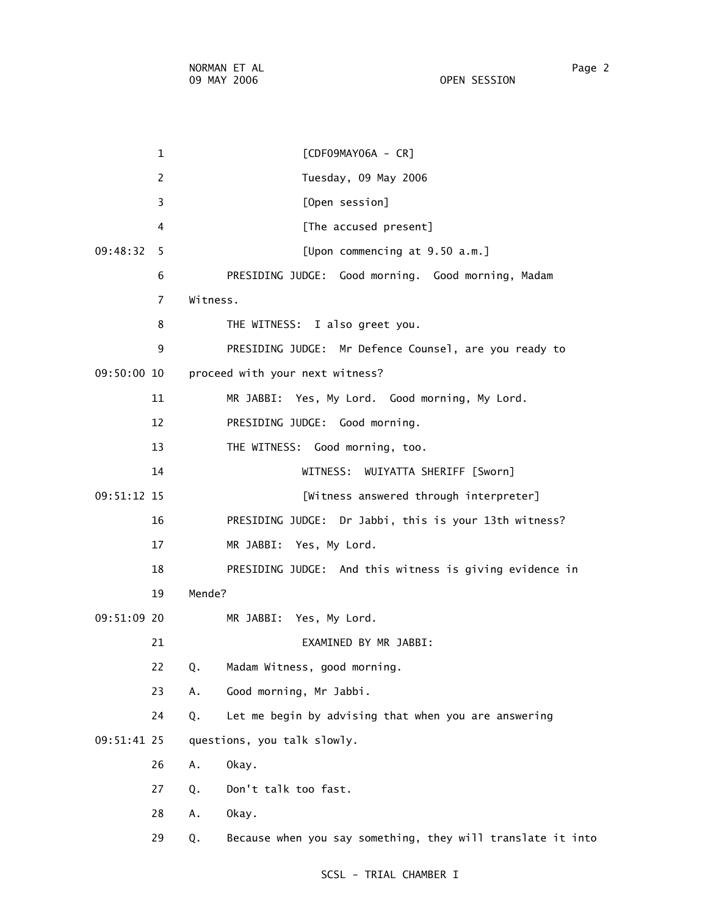1 [CDF09MAY06A - CR] 2 Tuesday, 09 May 2006 3 [Open session] 4 **Example 2** [The accused present] 09:48:32 5 [Upon commencing at 9.50 a.m.] 6 PRESIDING JUDGE: Good morning. Good morning, Madam 7 Witness. 8 THE WITNESS: I also greet you. 9 PRESIDING JUDGE: Mr Defence Counsel, are you ready to 09:50:00 10 proceed with your next witness? 11 MR JABBI: Yes, My Lord. Good morning, My Lord. 12 PRESIDING JUDGE: Good morning. 13 THE WITNESS: Good morning, too. 14 WITNESS: WUIYATTA SHERIFF [Sworn] 09:51:12 15 [Witness answered through interpreter] 16 PRESIDING JUDGE: Dr Jabbi, this is your 13th witness? 17 MR JABBI: Yes, My Lord. 18 PRESIDING JUDGE: And this witness is giving evidence in 19 Mende? 09:51:09 20 MR JABBI: Yes, My Lord. 21 EXAMINED BY MR JABBI: 22 Q. Madam Witness, good morning. 23 A. Good morning, Mr Jabbi. 24 Q. Let me begin by advising that when you are answering 09:51:41 25 questions, you talk slowly. 26 A. Okay. 27 Q. Don't talk too fast. 28 A. Okay. 29 Q. Because when you say something, they will translate it into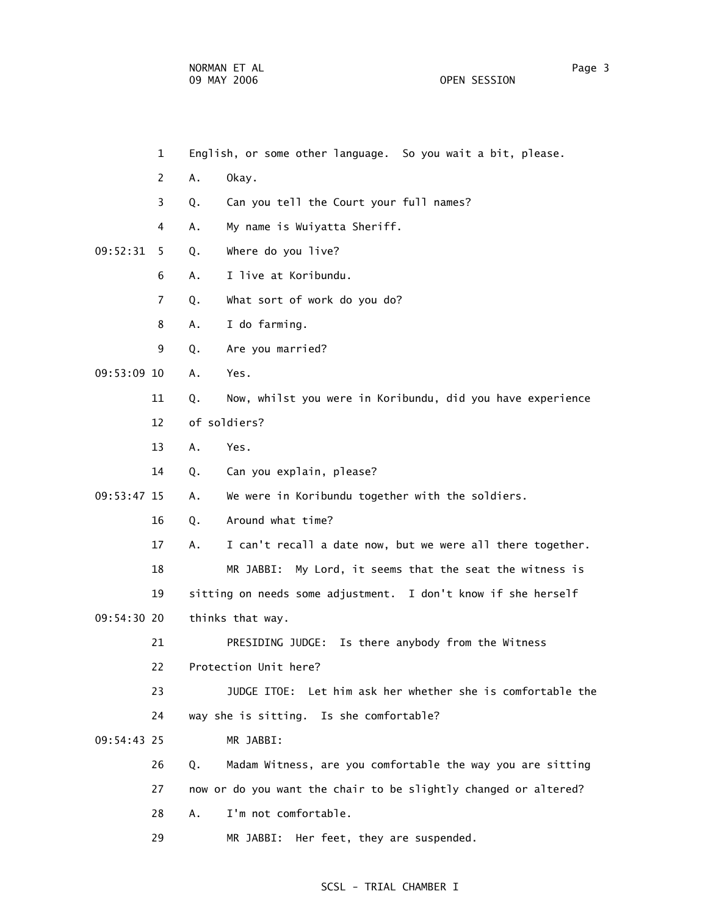- 1 English, or some other language. So you wait a bit, please.
- 2 A. Okay.
- 3 Q. Can you tell the Court your full names?
- 4 A. My name is Wuiyatta Sheriff.
- 09:52:31 5 Q. Where do you live?
	- 6 A. I live at Koribundu.
	- 7 Q. What sort of work do you do?
	- 8 A. I do farming.
	- 9 Q. Are you married?
- 09:53:09 10 A. Yes.
	- 11 Q. Now, whilst you were in Koribundu, did you have experience
	- 12 of soldiers?
	- 13 A. Yes.
	- 14 Q. Can you explain, please?

09:53:47 15 A. We were in Koribundu together with the soldiers.

- 16 0. Around what time?
- 17 A. I can't recall a date now, but we were all there together.
- 18 MR JABBI: My Lord, it seems that the seat the witness is

19 sitting on needs some adjustment. I don't know if she herself

09:54:30 20 thinks that way.

21 PRESIDING JUDGE: Is there anybody from the Witness

22 Protection Unit here?

 23 JUDGE ITOE: Let him ask her whether she is comfortable the 24 way she is sitting. Is she comfortable?

- 09:54:43 25 MR JABBI:
	- 26 Q. Madam Witness, are you comfortable the way you are sitting 27 now or do you want the chair to be slightly changed or altered?
		- 28 A. I'm not comfortable.
		- 29 MR JABBI: Her feet, they are suspended.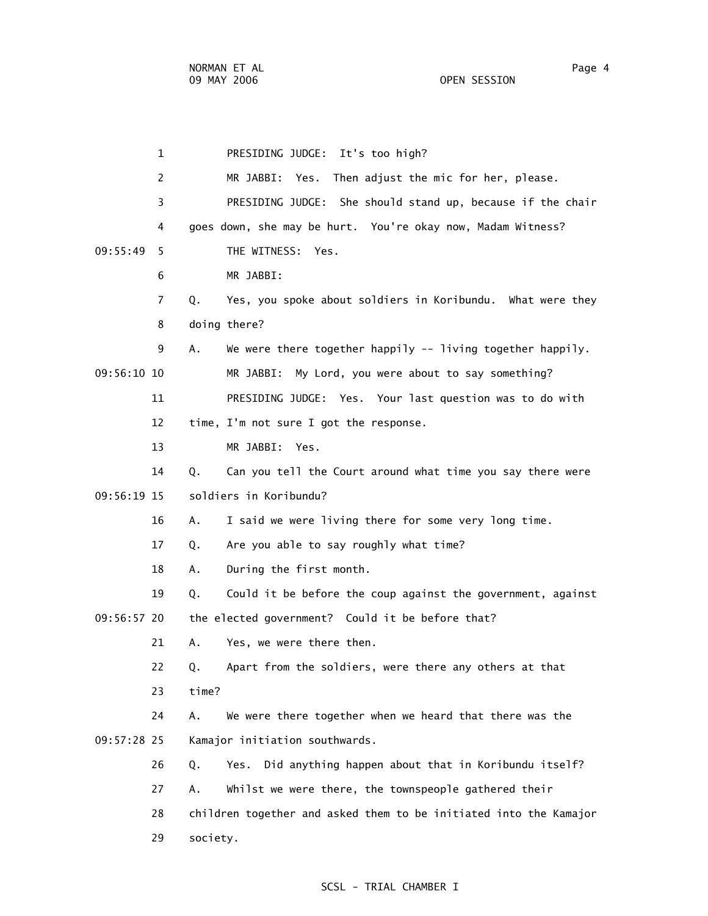1 PRESIDING JUDGE: It's too high? 2 MR JABBI: Yes. Then adjust the mic for her, please. 3 PRESIDING JUDGE: She should stand up, because if the chair 4 goes down, she may be hurt. You're okay now, Madam Witness? 09:55:49 5 THE WITNESS: Yes. 6 MR JABBI: 7 Q. Yes, you spoke about soldiers in Koribundu. What were they 8 doing there? 9 A. We were there together happily -- living together happily. 09:56:10 10 MR JABBI: My Lord, you were about to say something? 11 PRESIDING JUDGE: Yes. Your last question was to do with 12 time, I'm not sure I got the response. 13 MR JABBI: Yes. 14 Q. Can you tell the Court around what time you say there were 09:56:19 15 soldiers in Koribundu? 16 A. I said we were living there for some very long time. 17 Q. Are you able to say roughly what time? 18 A. During the first month. 19 Q. Could it be before the coup against the government, against 09:56:57 20 the elected government? Could it be before that? 21 A. Yes, we were there then. 22 Q. Apart from the soldiers, were there any others at that 23 time? 24 A. We were there together when we heard that there was the 09:57:28 25 Kamajor initiation southwards. 26 Q. Yes. Did anything happen about that in Koribundu itself? 27 A. Whilst we were there, the townspeople gathered their 28 children together and asked them to be initiated into the Kamajor 29 society.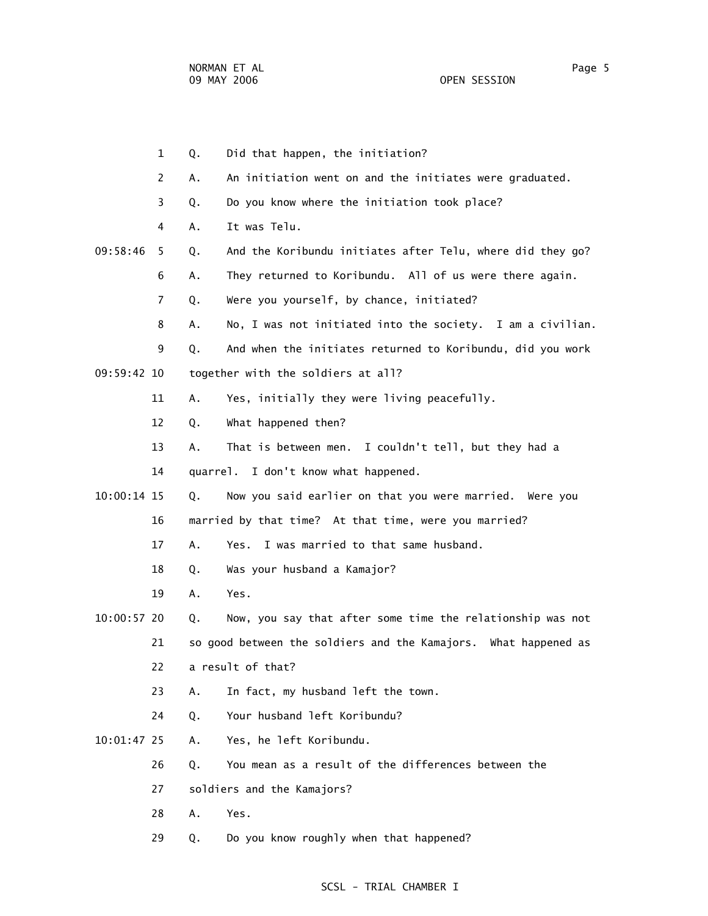1 Q. Did that happen, the initiation? 2 A. An initiation went on and the initiates were graduated. 3 Q. Do you know where the initiation took place? 4 A. It was Telu. 09:58:46 5 Q. And the Koribundu initiates after Telu, where did they go? 6 A. They returned to Koribundu. All of us were there again. 7 Q. Were you yourself, by chance, initiated? 8 A. No, I was not initiated into the society. I am a civilian. 9 Q. And when the initiates returned to Koribundu, did you work 09:59:42 10 together with the soldiers at all? 11 A. Yes, initially they were living peacefully. 12 Q. What happened then? 13 A. That is between men. I couldn't tell, but they had a 14 quarrel. I don't know what happened. 10:00:14 15 Q. Now you said earlier on that you were married. Were you 16 married by that time? At that time, were you married? 17 A. Yes. I was married to that same husband. 18 Q. Was your husband a Kamajor? 19 A. Yes. 10:00:57 20 Q. Now, you say that after some time the relationship was not 21 so good between the soldiers and the Kamajors. What happened as 22 a result of that? 23 A. In fact, my husband left the town. 24 Q. Your husband left Koribundu? 10:01:47 25 A. Yes, he left Koribundu. 26 Q. You mean as a result of the differences between the 27 soldiers and the Kamajors? 28 A. Yes. 29 Q. Do you know roughly when that happened?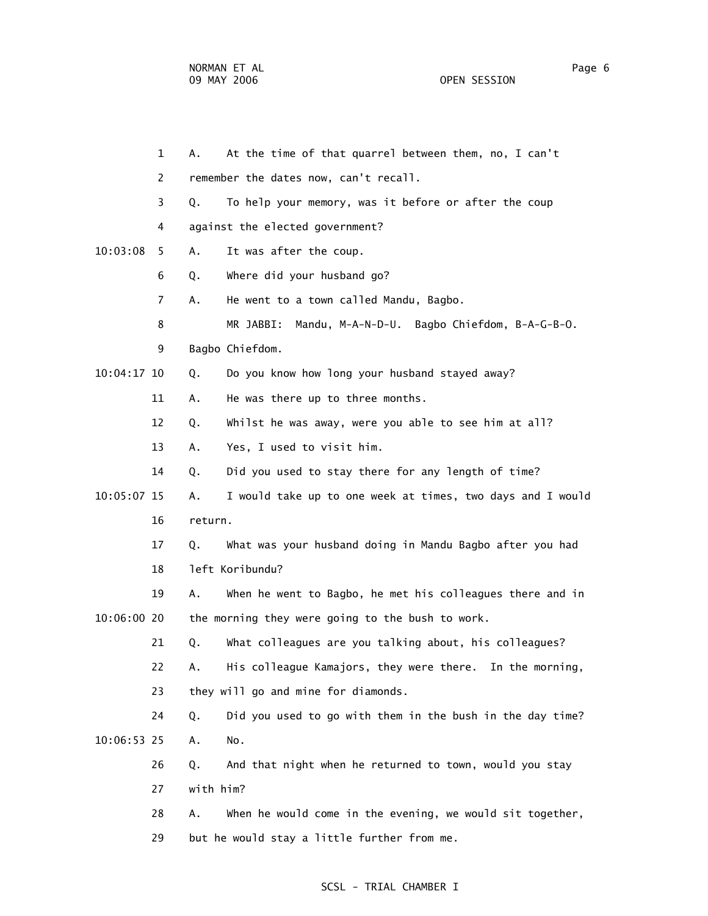1 A. At the time of that quarrel between them, no, I can't 2 remember the dates now, can't recall. 3 Q. To help your memory, was it before or after the coup 4 against the elected government? 10:03:08 5 A. It was after the coup. 6 Q. Where did your husband go? 7 A. He went to a town called Mandu, Bagbo. 8 MR JABBI: Mandu, M-A-N-D-U. Bagbo Chiefdom, B-A-G-B-O. 9 Bagbo Chiefdom. 10:04:17 10 Q. Do you know how long your husband stayed away? 11 A. He was there up to three months. 12 Q. Whilst he was away, were you able to see him at all? 13 A. Yes, I used to visit him. 14 Q. Did you used to stay there for any length of time? 10:05:07 15 A. I would take up to one week at times, two days and I would 16 return. 17 Q. What was your husband doing in Mandu Bagbo after you had 18 left Koribundu? 19 A. When he went to Bagbo, he met his colleagues there and in 10:06:00 20 the morning they were going to the bush to work. 21 Q. What colleagues are you talking about, his colleagues? 22 A. His colleague Kamajors, they were there. In the morning, 23 they will go and mine for diamonds. 24 Q. Did you used to go with them in the bush in the day time? 10:06:53 25 A. No. 26 Q. And that night when he returned to town, would you stay 27 with him? 28 A. When he would come in the evening, we would sit together, 29 but he would stay a little further from me.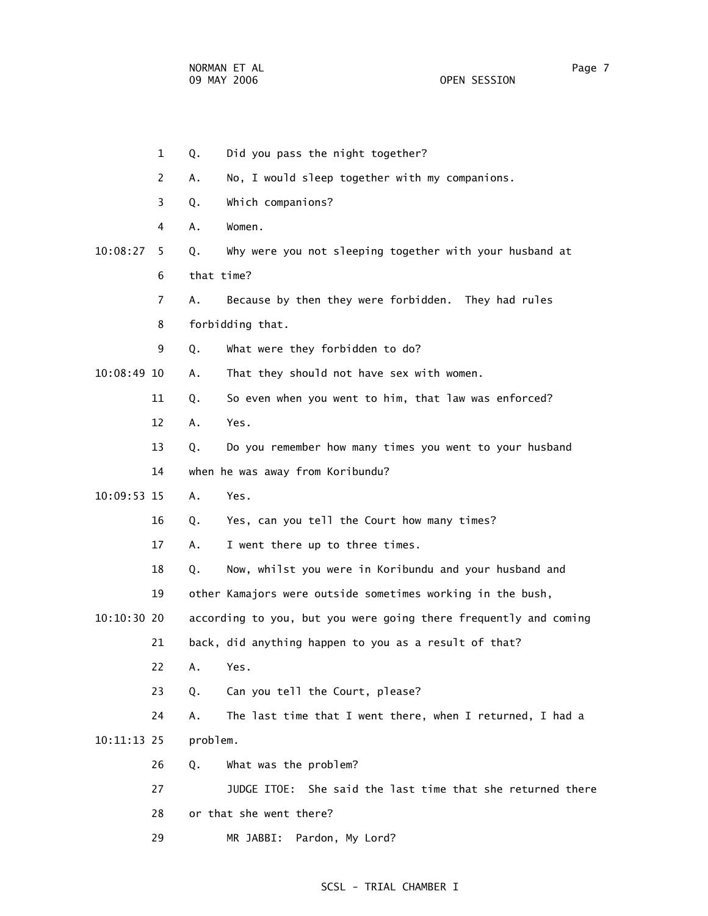1 Q. Did you pass the night together? 2 A. No, I would sleep together with my companions. 3 Q. Which companions? 4 A. Women. 10:08:27 5 Q. Why were you not sleeping together with your husband at 6 that time? 7 A. Because by then they were forbidden. They had rules 8 forbidding that. 9 Q. What were they forbidden to do? 10:08:49 10 A. That they should not have sex with women. 11 Q. So even when you went to him, that law was enforced? 12 A. Yes. 13 Q. Do you remember how many times you went to your husband 14 when he was away from Koribundu? 10:09:53 15 A. Yes. 16 Q. Yes, can you tell the Court how many times? 17 A. I went there up to three times. 18 Q. Now, whilst you were in Koribundu and your husband and 19 other Kamajors were outside sometimes working in the bush, 10:10:30 20 according to you, but you were going there frequently and coming 21 back, did anything happen to you as a result of that? 22 A. Yes. 23 Q. Can you tell the Court, please? 24 A. The last time that I went there, when I returned, I had a 10:11:13 25 problem. 26 Q. What was the problem? 27 JUDGE ITOE: She said the last time that she returned there 28 or that she went there? 29 MR JABBI: Pardon, My Lord?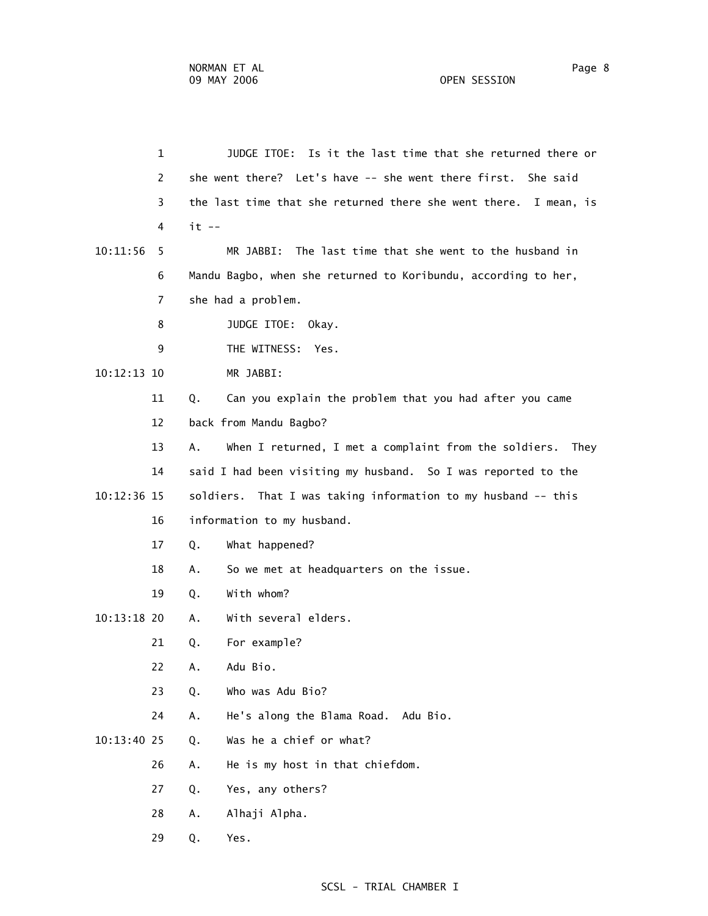1 JUDGE ITOE: Is it the last time that she returned there or 2 she went there? Let's have -- she went there first. She said 3 the last time that she returned there she went there. I mean, is 4 it -- 10:11:56 5 MR JABBI: The last time that she went to the husband in 6 Mandu Bagbo, when she returned to Koribundu, according to her, 7 she had a problem. 8 JUDGE ITOE: Okay. 9 THE WITNESS: Yes. 10:12:13 10 MR JABBI: 11 Q. Can you explain the problem that you had after you came 12 back from Mandu Bagbo? 13 A. When I returned, I met a complaint from the soldiers. They 14 said I had been visiting my husband. So I was reported to the 10:12:36 15 soldiers. That I was taking information to my husband -- this 16 information to my husband. 17 Q. What happened? 18 A. So we met at headquarters on the issue. 19 Q. With whom? 10:13:18 20 A. With several elders. 21 Q. For example? 22 A. Adu Bio. 23 Q. Who was Adu Bio? 24 A. He's along the Blama Road. Adu Bio. 10:13:40 25 Q. Was he a chief or what? 26 A. He is my host in that chiefdom. 27 Q. Yes, any others? 28 A. Alhaji Alpha. 29 Q. Yes.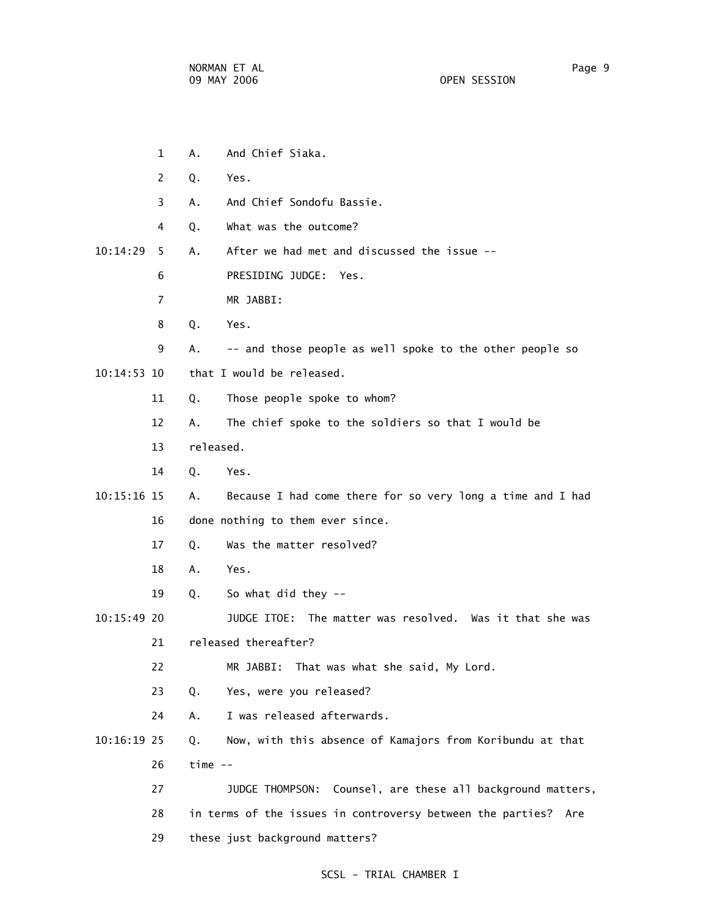1 A. And Chief Siaka.

- 2 Q. Yes. 3 A. And Chief Sondofu Bassie. 4 Q. What was the outcome? 10:14:29 5 A. After we had met and discussed the issue -- 6 PRESIDING JUDGE: Yes. 7 MR JABBI: 8 Q. Yes. 9 A. -- and those people as well spoke to the other people so 10:14:53 10 that I would be released. 11 Q. Those people spoke to whom? 12 A. The chief spoke to the soldiers so that I would be 13 released. 14 Q. Yes. 10:15:16 15 A. Because I had come there for so very long a time and I had 16 done nothing to them ever since. 17 Q. Was the matter resolved? 18 A. Yes. 19 Q. So what did they -- 10:15:49 20 JUDGE ITOE: The matter was resolved. Was it that she was 21 released thereafter? 22 MR JABBI: That was what she said, My Lord. 23 Q. Yes, were you released? 24 A. I was released afterwards. 10:16:19 25 Q. Now, with this absence of Kamajors from Koribundu at that 26 time -- 27 JUDGE THOMPSON: Counsel, are these all background matters,
	- 28 in terms of the issues in controversy between the parties? Are 29 these just background matters?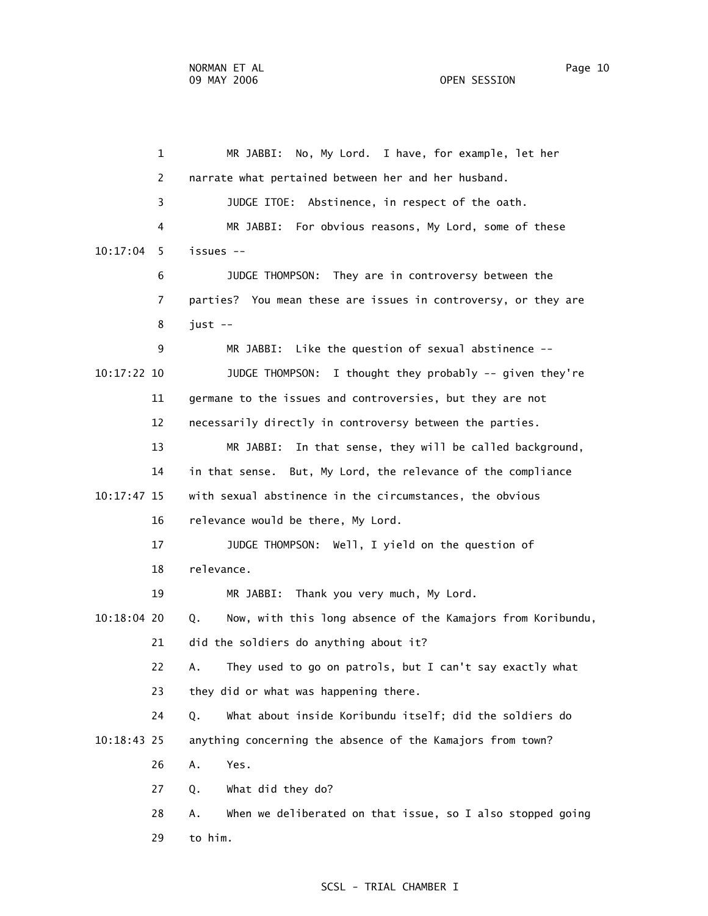1 MR JABBI: No, My Lord. I have, for example, let her 2 narrate what pertained between her and her husband. 3 JUDGE ITOE: Abstinence, in respect of the oath. 4 MR JABBI: For obvious reasons, My Lord, some of these 10:17:04 5 issues -- 6 JUDGE THOMPSON: They are in controversy between the 7 parties? You mean these are issues in controversy, or they are 8 just -- 9 MR JABBI: Like the question of sexual abstinence -- 10:17:22 10 JUDGE THOMPSON: I thought they probably -- given they're 11 germane to the issues and controversies, but they are not 12 necessarily directly in controversy between the parties. 13 MR JABBI: In that sense, they will be called background, 14 in that sense. But, My Lord, the relevance of the compliance 10:17:47 15 with sexual abstinence in the circumstances, the obvious 16 relevance would be there, My Lord. 17 JUDGE THOMPSON: Well, I yield on the question of 18 relevance. 19 MR JABBI: Thank you very much, My Lord. 10:18:04 20 Q. Now, with this long absence of the Kamajors from Koribundu, 21 did the soldiers do anything about it? 22 A. They used to go on patrols, but I can't say exactly what 23 they did or what was happening there. 24 Q. What about inside Koribundu itself; did the soldiers do 10:18:43 25 anything concerning the absence of the Kamajors from town? 26 A. Yes. 27 Q. What did they do? 28 A. When we deliberated on that issue, so I also stopped going 29 to him.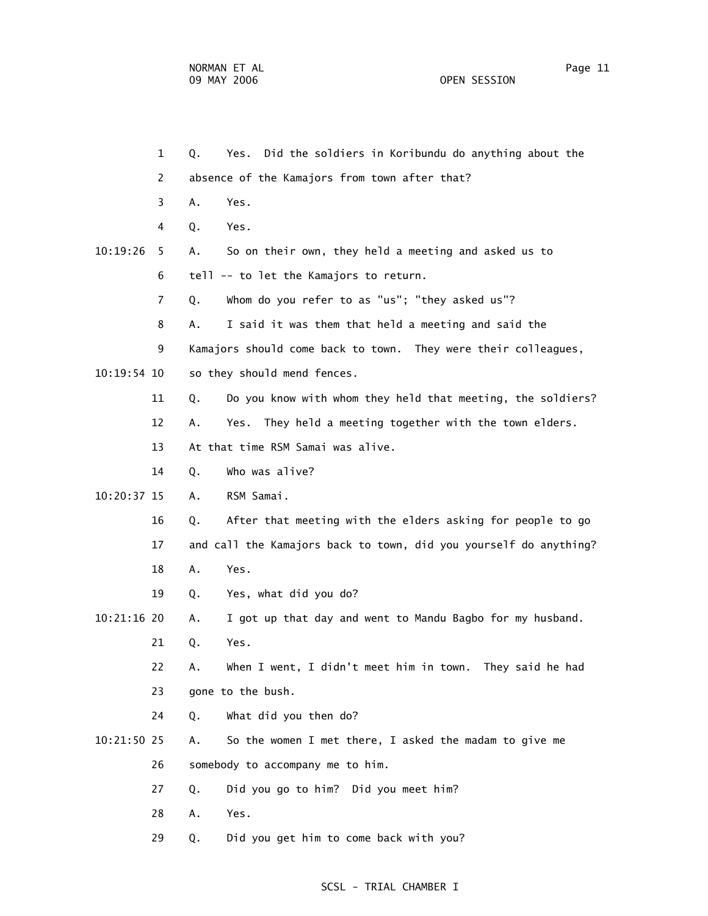|               | $\mathbf{1}$   | Q. | Did the soldiers in Koribundu do anything about the<br>Yes.       |
|---------------|----------------|----|-------------------------------------------------------------------|
|               | 2              |    | absence of the Kamajors from town after that?                     |
|               | 3              | Α. | Yes.                                                              |
|               | 4              | Q. | Yes.                                                              |
| 10:19:26      | 5              | Α. | So on their own, they held a meeting and asked us to              |
|               | 6              |    | tell -- to let the Kamajors to return.                            |
|               | $\overline{7}$ | Q. | Whom do you refer to as "us"; "they asked us"?                    |
|               | 8              | А. | I said it was them that held a meeting and said the               |
|               | 9              |    | Kamajors should come back to town. They were their colleagues,    |
| $10:19:54$ 10 |                |    | so they should mend fences.                                       |
|               | 11             | Q. | Do you know with whom they held that meeting, the soldiers?       |
|               | 12             | Α. | They held a meeting together with the town elders.<br>Yes.        |
|               | 13             |    | At that time RSM Samai was alive.                                 |
|               | 14             | Q. | Who was alive?                                                    |
| 10:20:37 15   |                | Α. | RSM Samai.                                                        |
|               | 16             | Q. | After that meeting with the elders asking for people to go        |
|               | 17             |    | and call the Kamajors back to town, did you yourself do anything? |
|               | 18             | Α. | Yes.                                                              |
|               | 19             | Q. | Yes, what did you do?                                             |
| 10:21:16 20   |                | А. | I got up that day and went to Mandu Bagbo for my husband.         |
|               | 21             | Q. | Yes.                                                              |
|               | 22             | А. | When I went, I didn't meet him in town. They said he had          |
|               | 23             |    | gone to the bush.                                                 |
|               | 24             | Q. | What did you then do?                                             |
| 10:21:50 25   |                | Α. | So the women I met there, I asked the madam to give me            |
|               | 26             |    | somebody to accompany me to him.                                  |
|               | 27             | Q. | Did you go to him? Did you meet him?                              |
|               | 28             | Α. | Yes.                                                              |
|               | 29             | Q. | Did you get him to come back with you?                            |
|               |                |    |                                                                   |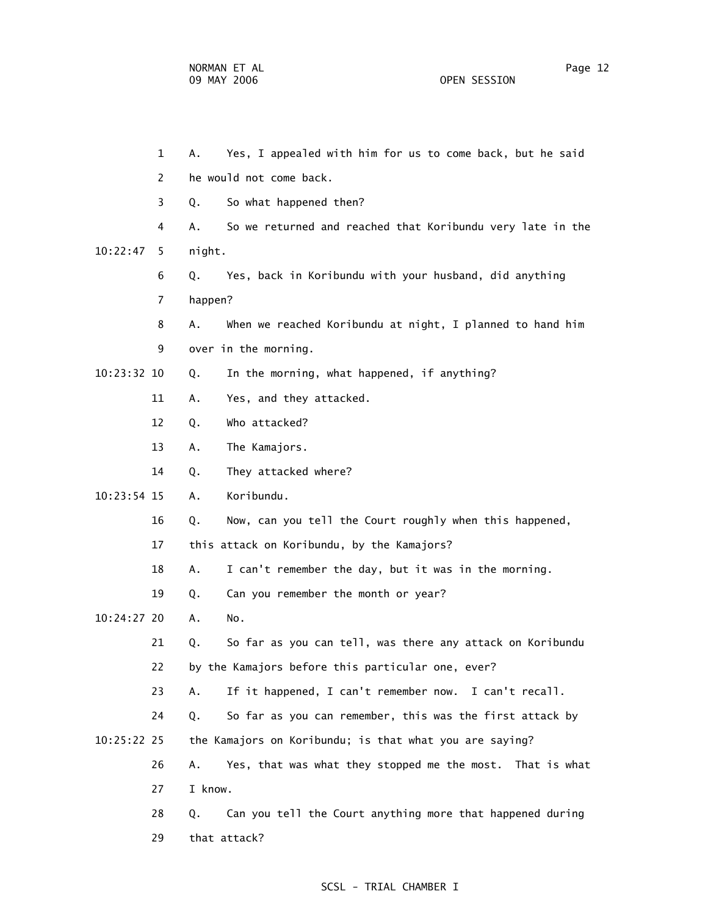1 A. Yes, I appealed with him for us to come back, but he said 2 he would not come back. 3 Q. So what happened then? 4 A. So we returned and reached that Koribundu very late in the 10:22:47 5 night. 6 Q. Yes, back in Koribundu with your husband, did anything 7 happen? 8 A. When we reached Koribundu at night, I planned to hand him 9 over in the morning. 10:23:32 10 Q. In the morning, what happened, if anything? 11 A. Yes, and they attacked. 12 Q. Who attacked? 13 A. The Kamajors. 14 Q. They attacked where? 10:23:54 15 A. Koribundu. 16 Q. Now, can you tell the Court roughly when this happened, 17 this attack on Koribundu, by the Kamajors? 18 A. I can't remember the day, but it was in the morning. 19 Q. Can you remember the month or year? 10:24:27 20 A. No. 21 Q. So far as you can tell, was there any attack on Koribundu 22 by the Kamajors before this particular one, ever? 23 A. If it happened, I can't remember now. I can't recall. 24 Q. So far as you can remember, this was the first attack by 10:25:22 25 the Kamajors on Koribundu; is that what you are saying? 26 A. Yes, that was what they stopped me the most. That is what 27 I know. 28 Q. Can you tell the Court anything more that happened during 29 that attack?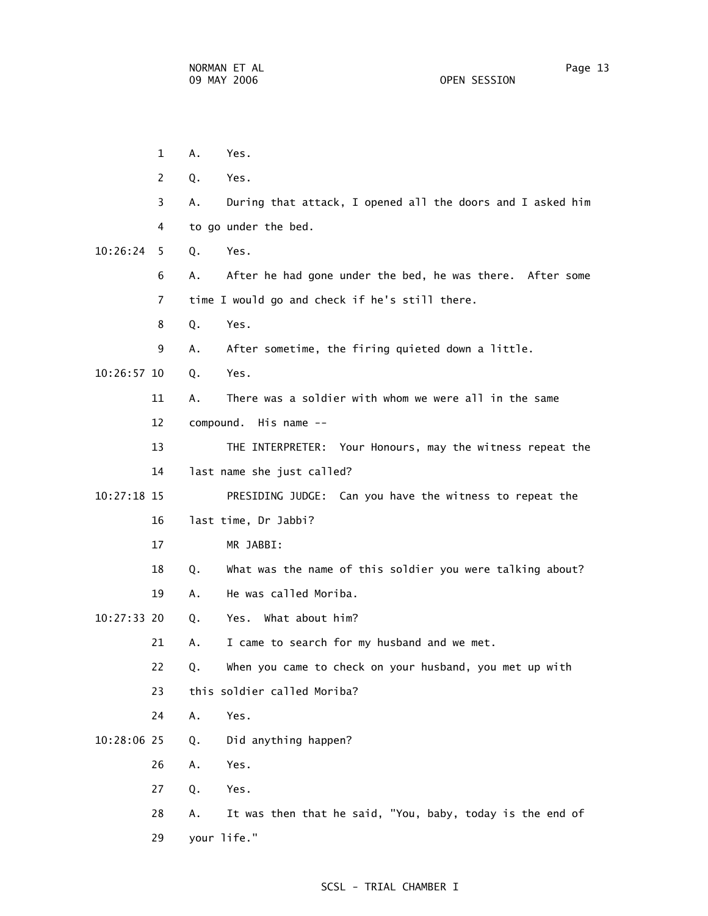1 A. Yes. 2 Q. Yes. 3 A. During that attack, I opened all the doors and I asked him 4 to go under the bed. 10:26:24 5 Q. Yes. 6 A. After he had gone under the bed, he was there. After some 7 time I would go and check if he's still there. 8 Q. Yes. 9 A. After sometime, the firing quieted down a little. 10:26:57 10 Q. Yes. 11 A. There was a soldier with whom we were all in the same 12 compound. His name -- 13 THE INTERPRETER: Your Honours, may the witness repeat the 14 last name she just called? 10:27:18 15 PRESIDING JUDGE: Can you have the witness to repeat the 16 last time, Dr Jabbi? 17 MR JABBI: 18 Q. What was the name of this soldier you were talking about? 19 A. He was called Moriba. 10:27:33 20 Q. Yes. What about him? 21 A. I came to search for my husband and we met. 22 Q. When you came to check on your husband, you met up with 23 this soldier called Moriba? 24 A. Yes. 10:28:06 25 Q. Did anything happen? 26 A. Yes. 27 Q. Yes. 28 A. It was then that he said, "You, baby, today is the end of 29 your life."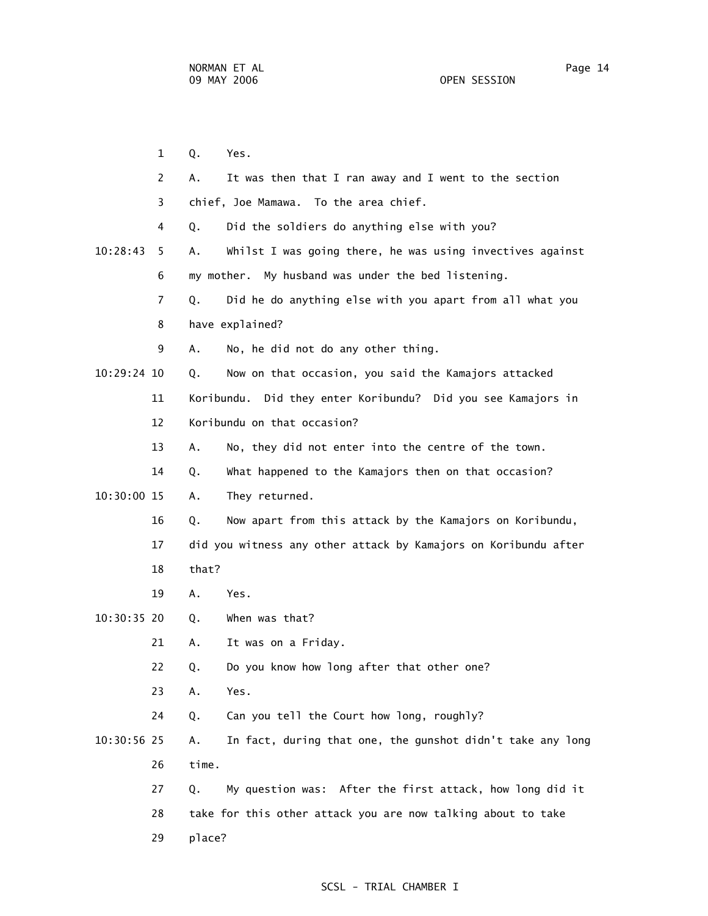1 Q. Yes. 2 A. It was then that I ran away and I went to the section 3 chief, Joe Mamawa. To the area chief. 4 Q. Did the soldiers do anything else with you? 10:28:43 5 A. Whilst I was going there, he was using invectives against 6 my mother. My husband was under the bed listening. 7 Q. Did he do anything else with you apart from all what you 8 have explained? 9 A. No, he did not do any other thing. 10:29:24 10 Q. Now on that occasion, you said the Kamajors attacked 11 Koribundu. Did they enter Koribundu? Did you see Kamajors in 12 Koribundu on that occasion? 13 A. No, they did not enter into the centre of the town. 14 Q. What happened to the Kamajors then on that occasion? 10:30:00 15 A. They returned. 16 Q. Now apart from this attack by the Kamajors on Koribundu, 17 did you witness any other attack by Kamajors on Koribundu after 18 that? 19 A. Yes. 10:30:35 20 Q. When was that? 21 A. It was on a Friday. 22 Q. Do you know how long after that other one? 23 A. Yes. 24 Q. Can you tell the Court how long, roughly? 10:30:56 25 A. In fact, during that one, the gunshot didn't take any long 26 time. 27 Q. My question was: After the first attack, how long did it 28 take for this other attack you are now talking about to take 29 place?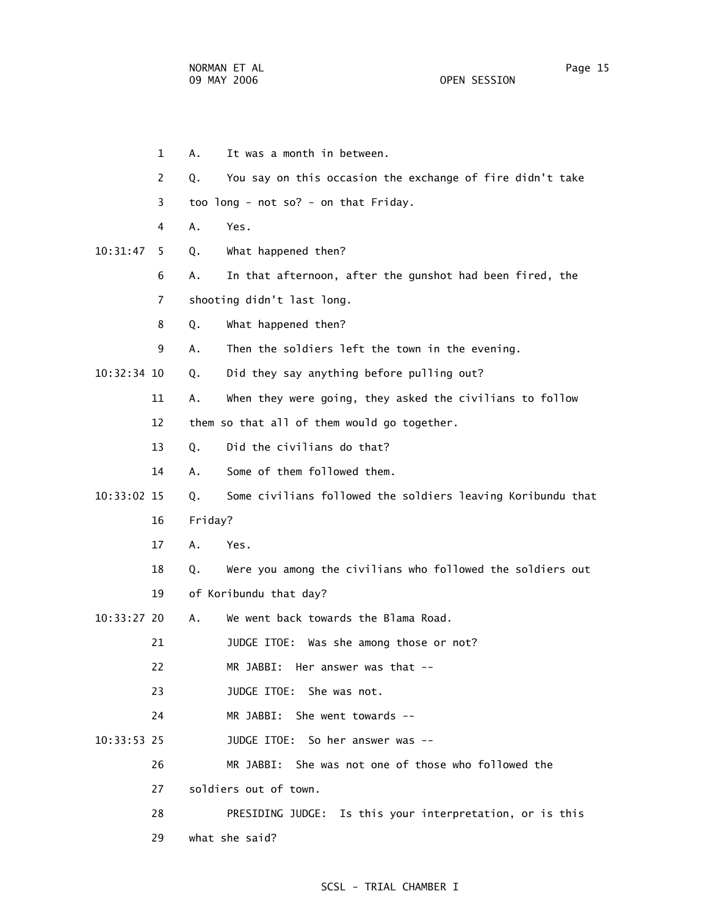1 A. It was a month in between. 2 Q. You say on this occasion the exchange of fire didn't take 3 too long - not so? - on that Friday. 4 A. Yes. 10:31:47 5 Q. What happened then? 6 A. In that afternoon, after the gunshot had been fired, the 7 shooting didn't last long. 8 Q. What happened then? 9 A. Then the soldiers left the town in the evening. 10:32:34 10 Q. Did they say anything before pulling out? 11 A. When they were going, they asked the civilians to follow 12 them so that all of them would go together. 13 Q. Did the civilians do that? 14 A. Some of them followed them. 10:33:02 15 Q. Some civilians followed the soldiers leaving Koribundu that 16 Friday? 17 A. Yes. 18 Q. Were you among the civilians who followed the soldiers out 19 of Koribundu that day? 10:33:27 20 A. We went back towards the Blama Road. 21 JUDGE ITOE: Was she among those or not? 22 MR JABBI: Her answer was that -- 23 JUDGE ITOE: She was not. 24 MR JABBI: She went towards -- 10:33:53 25 JUDGE ITOE: So her answer was -- 26 MR JABBI: She was not one of those who followed the 27 soldiers out of town. 28 PRESIDING JUDGE: Is this your interpretation, or is this 29 what she said?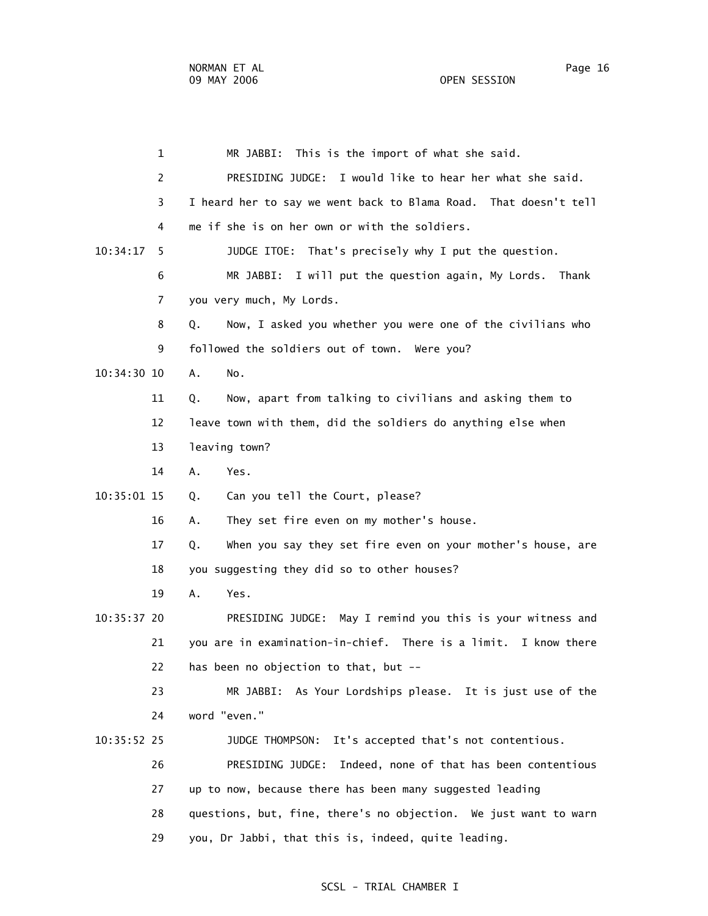1 MR JABBI: This is the import of what she said. 2 PRESIDING JUDGE: I would like to hear her what she said. 3 I heard her to say we went back to Blama Road. That doesn't tell 4 me if she is on her own or with the soldiers. 10:34:17 5 JUDGE ITOE: That's precisely why I put the question. 6 MR JABBI: I will put the question again, My Lords. Thank 7 you very much, My Lords. 8 Q. Now, I asked you whether you were one of the civilians who 9 followed the soldiers out of town. Were you? 10:34:30 10 A. No. 11 Q. Now, apart from talking to civilians and asking them to 12 leave town with them, did the soldiers do anything else when 13 leaving town? 14 A. Yes. 10:35:01 15 Q. Can you tell the Court, please? 16 A. They set fire even on my mother's house. 17 Q. When you say they set fire even on your mother's house, are 18 you suggesting they did so to other houses? 19 A. Yes. 10:35:37 20 PRESIDING JUDGE: May I remind you this is your witness and 21 you are in examination-in-chief. There is a limit. I know there 22 has been no objection to that, but -- 23 MR JABBI: As Your Lordships please. It is just use of the 24 word "even." 10:35:52 25 JUDGE THOMPSON: It's accepted that's not contentious. 26 PRESIDING JUDGE: Indeed, none of that has been contentious 27 up to now, because there has been many suggested leading 28 questions, but, fine, there's no objection. We just want to warn 29 you, Dr Jabbi, that this is, indeed, quite leading.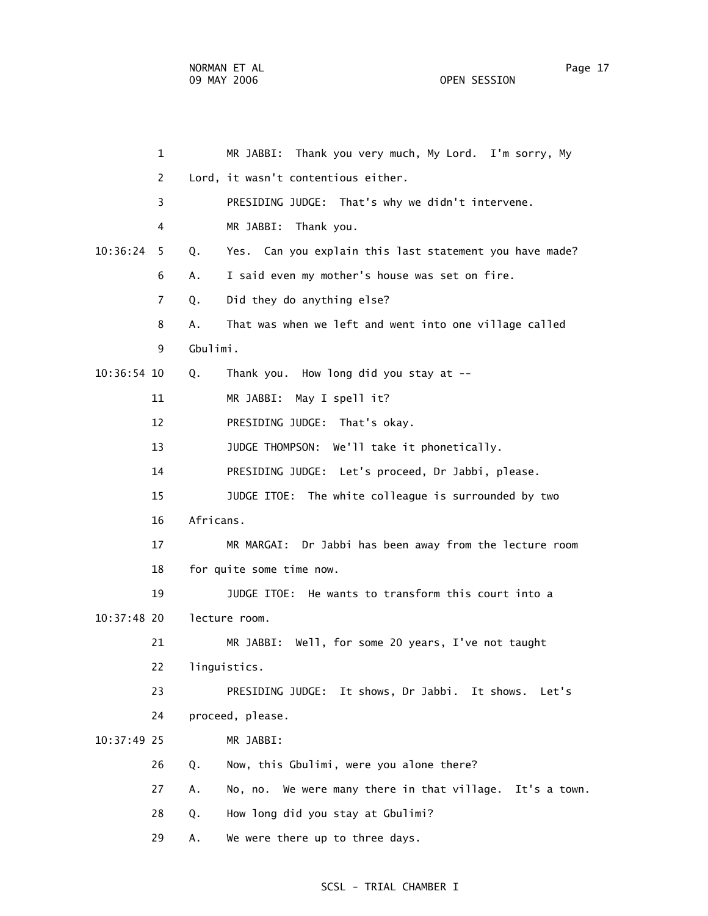1 MR JABBI: Thank you very much, My Lord. I'm sorry, My 2 Lord, it wasn't contentious either. 3 PRESIDING JUDGE: That's why we didn't intervene. 4 MR JABBI: Thank you. 10:36:24 5 Q. Yes. Can you explain this last statement you have made? 6 A. I said even my mother's house was set on fire. 7 Q. Did they do anything else? 8 A. That was when we left and went into one village called 9 Gbulimi. 10:36:54 10 Q. Thank you. How long did you stay at -- 11 MR JABBI: May I spell it? 12 PRESIDING JUDGE: That's okay. 13 JUDGE THOMPSON: We'll take it phonetically. 14 PRESIDING JUDGE: Let's proceed, Dr Jabbi, please. 15 JUDGE ITOE: The white colleague is surrounded by two 16 Africans. 17 MR MARGAI: Dr Jabbi has been away from the lecture room 18 for quite some time now. 19 JUDGE ITOE: He wants to transform this court into a 10:37:48 20 lecture room. 21 MR JABBI: Well, for some 20 years, I've not taught 22 linguistics. 23 PRESIDING JUDGE: It shows, Dr Jabbi. It shows. Let's 24 proceed, please. 10:37:49 25 MR JABBI: 26 Q. Now, this Gbulimi, were you alone there? 27 A. No, no. We were many there in that village. It's a town. 28 Q. How long did you stay at Gbulimi? 29 A. We were there up to three days.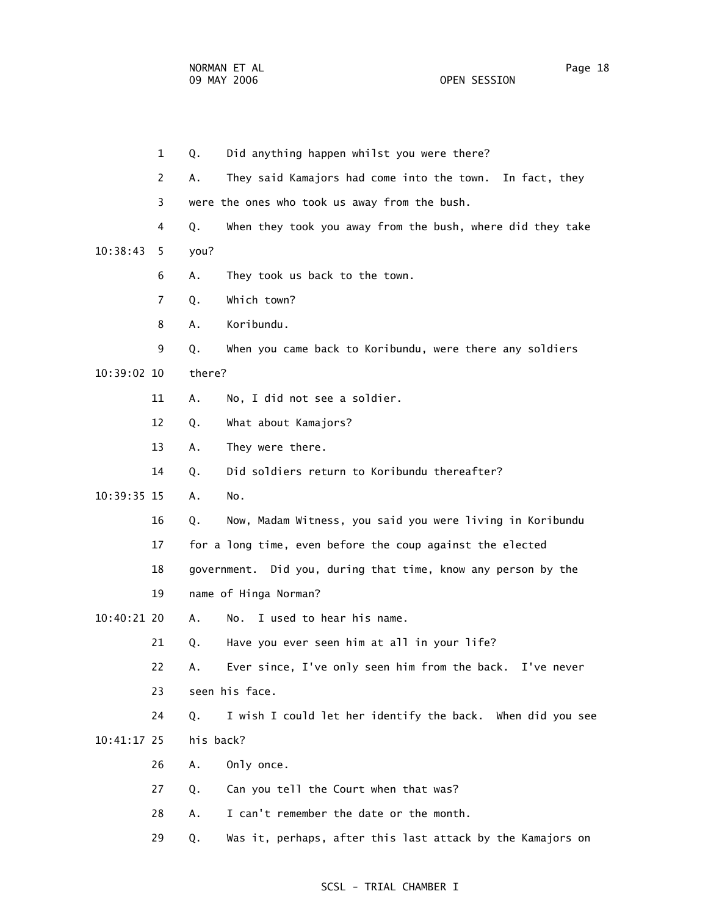1 Q. Did anything happen whilst you were there? 2 A. They said Kamajors had come into the town. In fact, they 3 were the ones who took us away from the bush. 4 Q. When they took you away from the bush, where did they take 10:38:43 5 you? 6 A. They took us back to the town. 7 Q. Which town? 8 A. Koribundu. 9 Q. When you came back to Koribundu, were there any soldiers 10:39:02 10 there? 11 A. No, I did not see a soldier. 12 Q. What about Kamajors? 13 A. They were there. 14 Q. Did soldiers return to Koribundu thereafter? 10:39:35 15 A. No. 16 Q. Now, Madam Witness, you said you were living in Koribundu 17 for a long time, even before the coup against the elected 18 government. Did you, during that time, know any person by the 19 name of Hinga Norman? 10:40:21 20 A. No. I used to hear his name. 21 Q. Have you ever seen him at all in your life? 22 A. Ever since, I've only seen him from the back. I've never 23 seen his face. 24 Q. I wish I could let her identify the back. When did you see 10:41:17 25 his back? 26 A. Only once. 27 Q. Can you tell the Court when that was? 28 A. I can't remember the date or the month. 29 Q. Was it, perhaps, after this last attack by the Kamajors on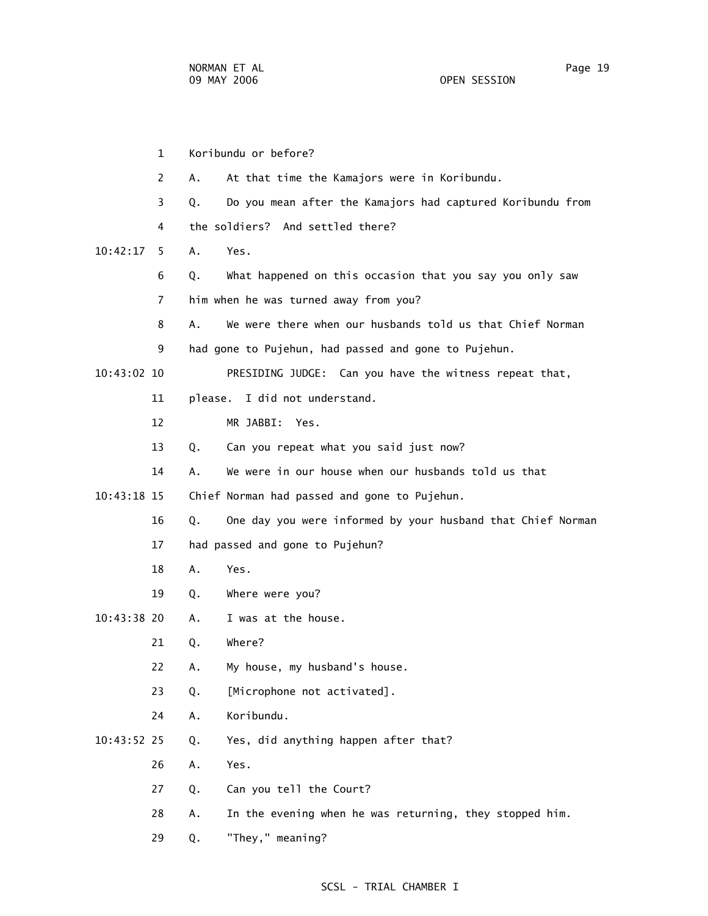1 Koribundu or before? 2 A. At that time the Kamajors were in Koribundu. 3 Q. Do you mean after the Kamajors had captured Koribundu from 4 the soldiers? And settled there? 10:42:17 5 A. Yes. 6 Q. What happened on this occasion that you say you only saw 7 him when he was turned away from you? 8 A. We were there when our husbands told us that Chief Norman 9 had gone to Pujehun, had passed and gone to Pujehun. 10:43:02 10 PRESIDING JUDGE: Can you have the witness repeat that, 11 please. I did not understand. 12 MR JABBI: Yes. 13 Q. Can you repeat what you said just now? 14 A. We were in our house when our husbands told us that 10:43:18 15 Chief Norman had passed and gone to Pujehun. 16 Q. One day you were informed by your husband that Chief Norman 17 had passed and gone to Pujehun? 18 A. Yes. 19 Q. Where were you? 10:43:38 20 A. I was at the house. 21 Q. Where? 22 A. My house, my husband's house. 23 Q. [Microphone not activated]. 24 A. Koribundu. 10:43:52 25 Q. Yes, did anything happen after that? 26 A. Yes. 27 Q. Can you tell the Court? 28 A. In the evening when he was returning, they stopped him. 29 Q. "They," meaning?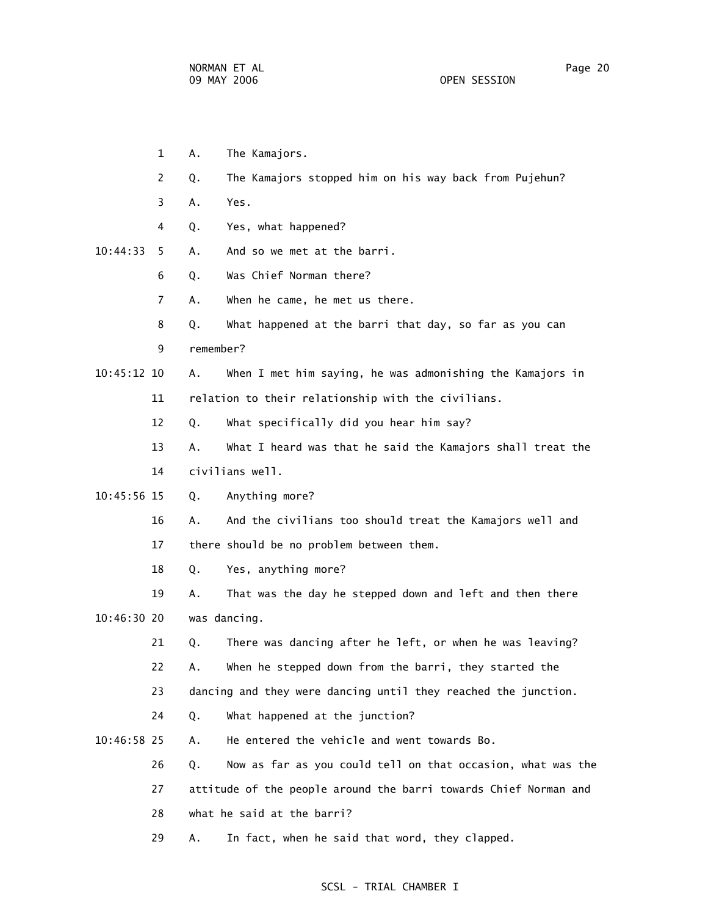- 1 A. The Kamajors.
- 2 Q. The Kamajors stopped him on his way back from Pujehun?
- 3 A. Yes.
- 4 Q. Yes, what happened?
- 10:44:33 5 A. And so we met at the barri.
	- 6 Q. Was Chief Norman there?
	- 7 A. When he came, he met us there.
	- 8 Q. What happened at the barri that day, so far as you can
	- 9 remember?
- 10:45:12 10 A. When I met him saying, he was admonishing the Kamajors in 11 relation to their relationship with the civilians.
	- 12 Q. What specifically did you hear him say?
	- 13 A. What I heard was that he said the Kamajors shall treat the 14 civilians well.
- 10:45:56 15 Q. Anything more?
	- 16 A. And the civilians too should treat the Kamajors well and 17 there should be no problem between them.
	- 18 Q. Yes, anything more?

 19 A. That was the day he stepped down and left and then there 10:46:30 20 was dancing.

- 21 Q. There was dancing after he left, or when he was leaving?
- 22 A. When he stepped down from the barri, they started the
- 23 dancing and they were dancing until they reached the junction.
- 24 Q. What happened at the junction?
- 10:46:58 25 A. He entered the vehicle and went towards Bo.
	- 26 Q. Now as far as you could tell on that occasion, what was the
	- 27 attitude of the people around the barri towards Chief Norman and
	- 28 what he said at the barri?
	- 29 A. In fact, when he said that word, they clapped.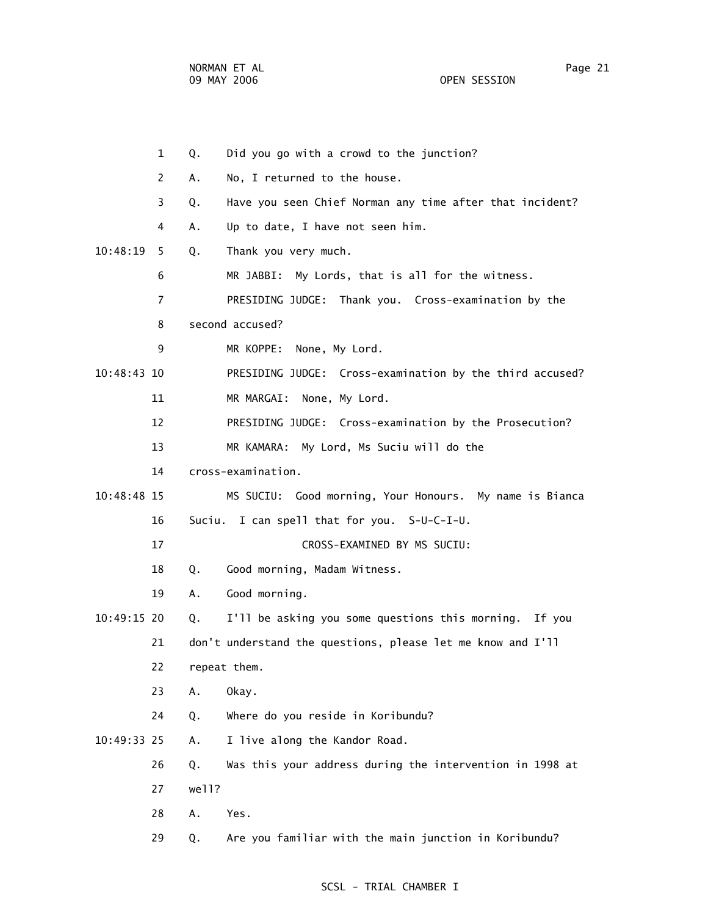1 Q. Did you go with a crowd to the junction? 2 A. No, I returned to the house. 3 Q. Have you seen Chief Norman any time after that incident? 4 A. Up to date, I have not seen him. 10:48:19 5 Q. Thank you very much. 6 MR JABBI: My Lords, that is all for the witness. 7 PRESIDING JUDGE: Thank you. Cross-examination by the 8 second accused? 9 MR KOPPE: None, My Lord. 10:48:43 10 PRESIDING JUDGE: Cross-examination by the third accused? 11 MR MARGAI: None, My Lord. 12 PRESIDING JUDGE: Cross-examination by the Prosecution? 13 MR KAMARA: My Lord, Ms Suciu will do the 14 cross-examination. 10:48:48 15 MS SUCIU: Good morning, Your Honours. My name is Bianca 16 Suciu. I can spell that for you. S-U-C-I-U. 17 CROSS-EXAMINED BY MS SUCIU: 18 Q. Good morning, Madam Witness. 19 A. Good morning. 10:49:15 20 Q. I'll be asking you some questions this morning. If you 21 don't understand the questions, please let me know and I'll 22 repeat them. 23 A. Okay. 24 Q. Where do you reside in Koribundu? 10:49:33 25 A. I live along the Kandor Road. 26 Q. Was this your address during the intervention in 1998 at 27 well? 28 A. Yes. 29 Q. Are you familiar with the main junction in Koribundu?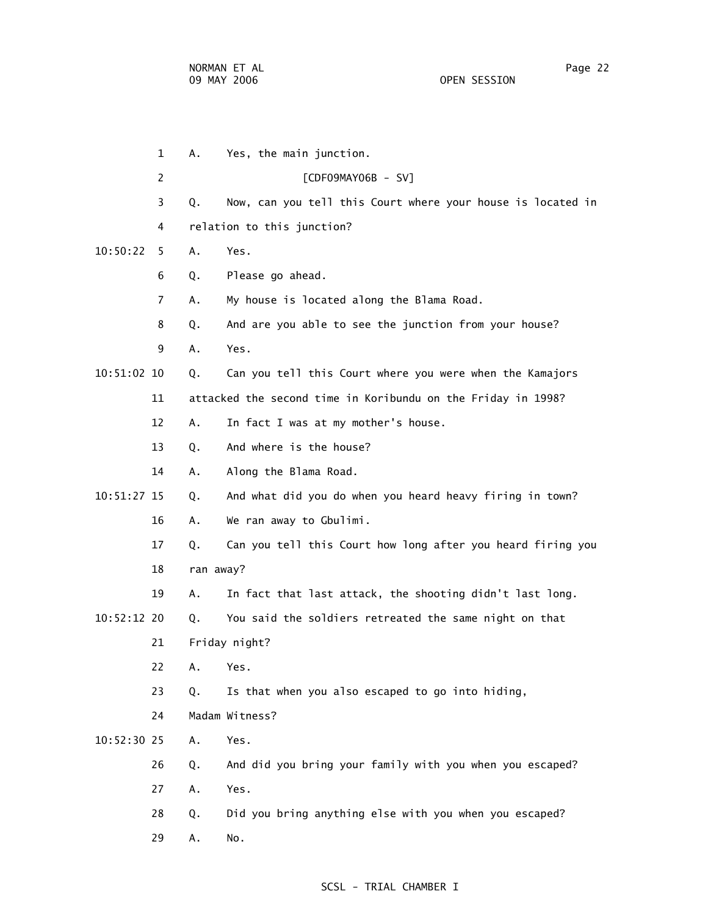1 A. Yes, the main junction. 2 [CDF09MAY06B - SV] 3 Q. Now, can you tell this Court where your house is located in 4 relation to this junction? 10:50:22 5 A. Yes. 6 Q. Please go ahead. 7 A. My house is located along the Blama Road. 8 Q. And are you able to see the junction from your house? 9 A. Yes. 10:51:02 10 Q. Can you tell this Court where you were when the Kamajors 11 attacked the second time in Koribundu on the Friday in 1998? 12 A. In fact I was at my mother's house. 13 Q. And where is the house? 14 A. Along the Blama Road. 10:51:27 15 Q. And what did you do when you heard heavy firing in town? 16 A. We ran away to Gbulimi. 17 Q. Can you tell this Court how long after you heard firing you 18 ran away? 19 A. In fact that last attack, the shooting didn't last long. 10:52:12 20 Q. You said the soldiers retreated the same night on that 21 Friday night? 22 A. Yes. 23 Q. Is that when you also escaped to go into hiding, 24 Madam Witness? 10:52:30 25 A. Yes. 26 Q. And did you bring your family with you when you escaped? 27 A. Yes. 28 Q. Did you bring anything else with you when you escaped? 29 A. No.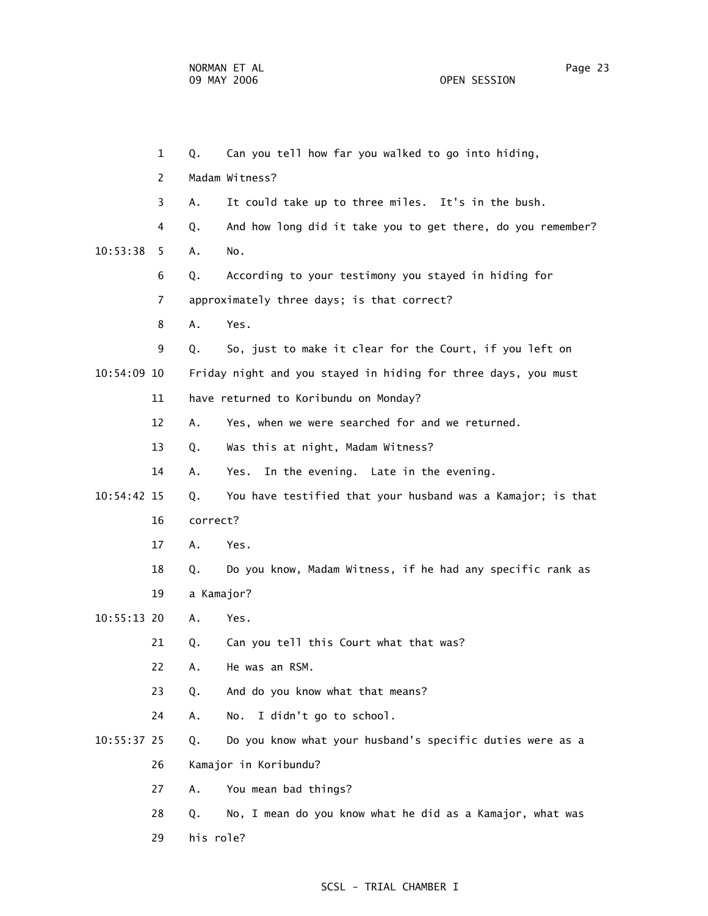OPEN SESSION

|               | $\mathbf{1}$ | Q.         | Can you tell how far you walked to go into hiding,             |
|---------------|--------------|------------|----------------------------------------------------------------|
|               | 2            |            | Madam Witness?                                                 |
|               | 3            | Α.         | It could take up to three miles. It's in the bush.             |
|               | 4            | Q.         | And how long did it take you to get there, do you remember?    |
| 10:53:38      | 5            | Α.         | No.                                                            |
|               | 6            | Q.         | According to your testimony you stayed in hiding for           |
|               | 7            |            | approximately three days; is that correct?                     |
|               | 8            | Α.         | Yes.                                                           |
|               | 9            | Q.         | So, just to make it clear for the Court, if you left on        |
| 10:54:09 10   |              |            | Friday night and you stayed in hiding for three days, you must |
|               | 11           |            | have returned to Koribundu on Monday?                          |
|               | 12           | Α.         | Yes, when we were searched for and we returned.                |
|               | 13           | Q.         | Was this at night, Madam Witness?                              |
|               | 14           | Α.         | In the evening. Late in the evening.<br>Yes.                   |
| $10:54:42$ 15 |              | Q.         | You have testified that your husband was a Kamajor; is that    |
|               | 16           | correct?   |                                                                |
|               | 17           | Α.         | Yes.                                                           |
|               | 18           | Q.         | Do you know, Madam Witness, if he had any specific rank as     |
|               | 19           | a Kamajor? |                                                                |
| $10:55:13$ 20 |              | Α.         | Yes.                                                           |
|               | 21           | Q.         | Can you tell this Court what that was?                         |
|               | 22           | A.         | He was an RSM.                                                 |
|               | 23           | Q.         | And do you know what that means?                               |
|               | 24           | Α.         | I didn't go to school.<br>No.                                  |
| 10:55:37 25   |              | Q.         | Do you know what your husband's specific duties were as a      |
|               | 26           |            | Kamajor in Koribundu?                                          |
|               | 27           | Α.         | You mean bad things?                                           |
|               | 28           | Q.         | No, I mean do you know what he did as a Kamajor, what was      |
|               | 29           | his role?  |                                                                |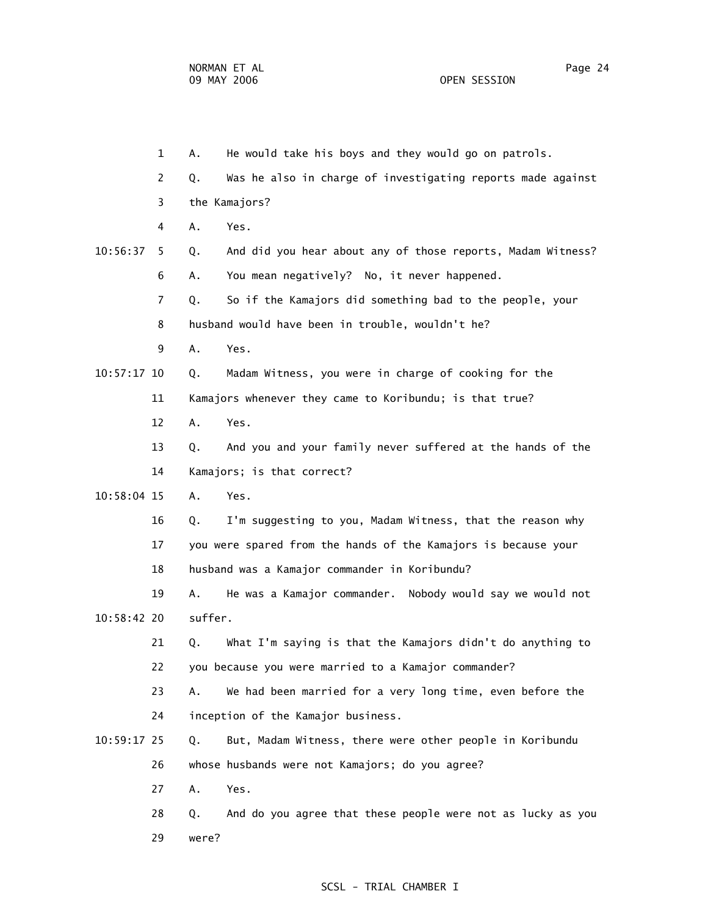|             | $\mathbf{1}$ | Α.      | He would take his boys and they would go on patrols.           |
|-------------|--------------|---------|----------------------------------------------------------------|
|             | 2            | Q.      | Was he also in charge of investigating reports made against    |
|             | 3            |         | the Kamajors?                                                  |
|             | 4            | Α.      | Yes.                                                           |
| 10:56:37    | 5.           | Q.      | And did you hear about any of those reports, Madam Witness?    |
|             | 6            | Α.      | You mean negatively? No, it never happened.                    |
|             | 7            | Q.      | So if the Kamajors did something bad to the people, your       |
|             | 8            |         | husband would have been in trouble, wouldn't he?               |
|             | 9            | A.      | Yes.                                                           |
| 10:57:17 10 |              | Q.      | Madam Witness, you were in charge of cooking for the           |
|             | 11           |         | Kamajors whenever they came to Koribundu; is that true?        |
|             | 12           | Α.      | Yes.                                                           |
|             | 13           | Q.      | And you and your family never suffered at the hands of the     |
|             | 14           |         | Kamajors; is that correct?                                     |
| 10:58:04 15 |              | Α.      | Yes.                                                           |
|             | 16           | Q.      | I'm suggesting to you, Madam Witness, that the reason why      |
|             | 17           |         | you were spared from the hands of the Kamajors is because your |
|             | 18           |         | husband was a Kamajor commander in Koribundu?                  |
|             | 19           | Α.      | He was a Kamajor commander. Nobody would say we would not      |
| 10:58:42 20 |              | suffer. |                                                                |
|             | 21           | Q.      | What I'm saying is that the Kamajors didn't do anything to     |
|             | 22           |         | you because you were married to a Kamajor commander?           |
|             | 23           | A.      | We had been married for a very long time, even before the      |
|             | 24           |         | inception of the Kamajor business.                             |
| 10:59:17 25 |              | Q.      | But, Madam Witness, there were other people in Koribundu       |
|             | 26           |         | whose husbands were not Kamajors; do you agree?                |
|             | 27           | Α.      | Yes.                                                           |
|             | 28           | Q.      | And do you agree that these people were not as lucky as you    |
|             | 29           | were?   |                                                                |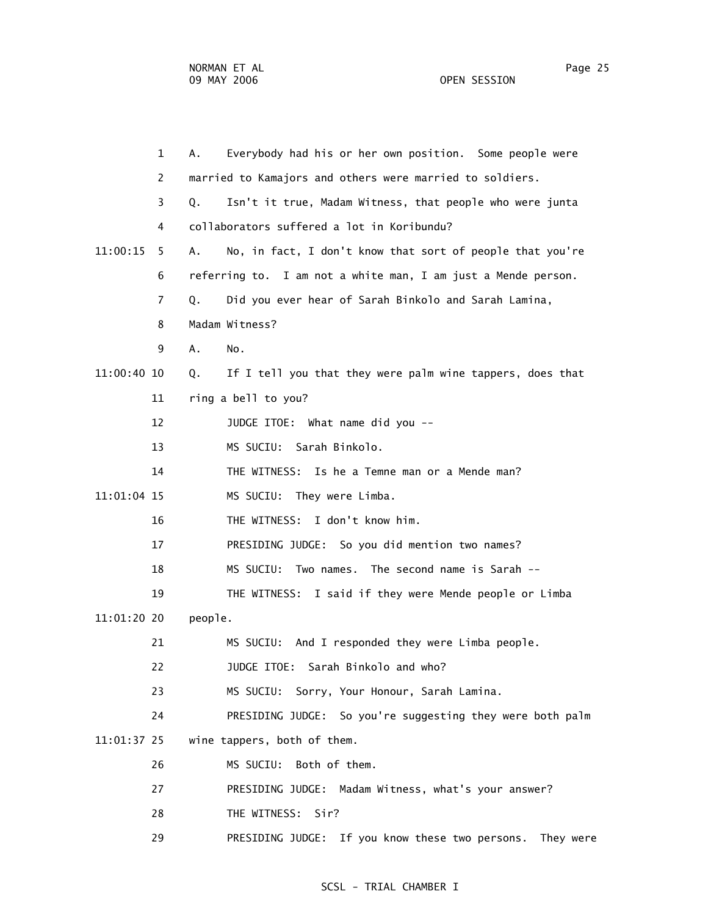|             | $\mathbf{1}$ | Everybody had his or her own position. Some people were<br>А.   |
|-------------|--------------|-----------------------------------------------------------------|
|             | 2            | married to Kamajors and others were married to soldiers.        |
|             | 3            | Isn't it true, Madam Witness, that people who were junta<br>Q.  |
|             | 4            | collaborators suffered a lot in Koribundu?                      |
| 11:00:15    | 5            | No, in fact, I don't know that sort of people that you're<br>А. |
|             | 6            | referring to. I am not a white man, I am just a Mende person.   |
|             | 7            | Q.<br>Did you ever hear of Sarah Binkolo and Sarah Lamina,      |
|             | 8            | Madam Witness?                                                  |
|             | 9            | Α.<br>No.                                                       |
| 11:00:40 10 |              | If I tell you that they were palm wine tappers, does that<br>Q. |
|             | 11           | ring a bell to you?                                             |
|             | 12           | JUDGE ITOE: What name did you --                                |
|             | 13           | MS SUCIU: Sarah Binkolo.                                        |
|             | 14           | Is he a Temne man or a Mende man?<br>THE WITNESS:               |
| 11:01:04 15 |              | MS SUCIU: They were Limba.                                      |
|             | 16           | I don't know him.<br>THE WITNESS:                               |
|             | 17           | PRESIDING JUDGE: So you did mention two names?                  |
|             | 18           | Two names. The second name is Sarah --<br>MS SUCIU:             |
|             | 19           | I said if they were Mende people or Limba<br>THE WITNESS:       |
| 11:01:20 20 |              | people.                                                         |
|             | 21           | MS SUCIU: And I responded they were Limba people.               |
|             | 22           | JUDGE ITOE: Sarah Binkolo and who?                              |
|             | 23           | MS SUCIU: Sorry, Your Honour, Sarah Lamina.                     |
|             | 24           | PRESIDING JUDGE: So you're suggesting they were both palm       |
| 11:01:37 25 |              | wine tappers, both of them.                                     |
|             | 26           | MS SUCIU:<br>Both of them.                                      |
|             | 27           | PRESIDING JUDGE: Madam Witness, what's your answer?             |
|             | 28           | THE WITNESS: Sir?                                               |
|             | 29           | PRESIDING JUDGE: If you know these two persons. They were       |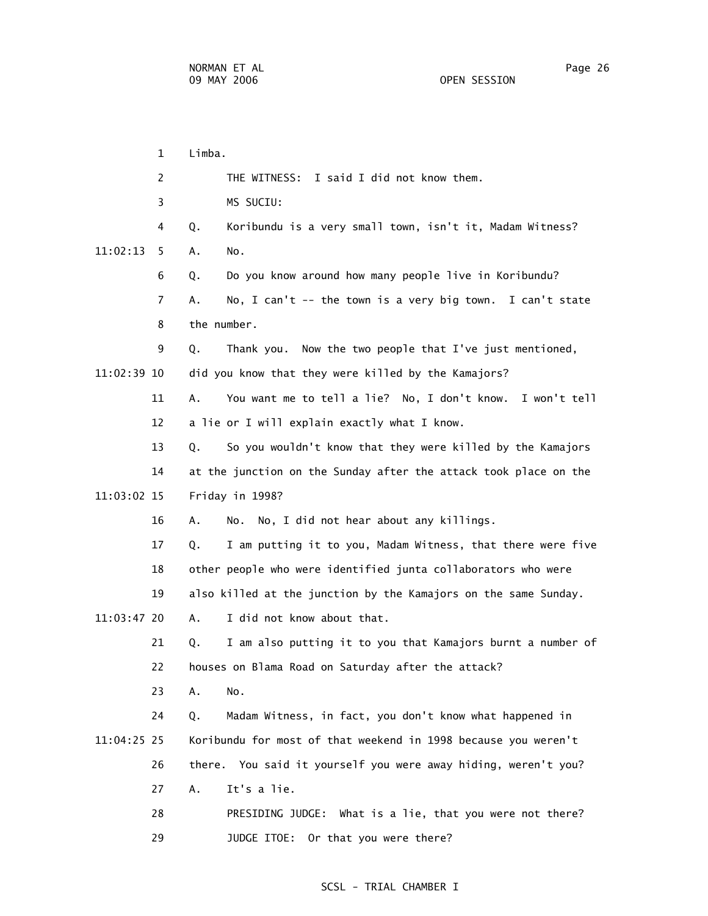1 Limba. 2 THE WITNESS: I said I did not know them. 3 MS SUCIU: 4 Q. Koribundu is a very small town, isn't it, Madam Witness? 11:02:13 5 A. No. 6 Q. Do you know around how many people live in Koribundu? 7 A. No, I can't -- the town is a very big town. I can't state 8 the number. 9 Q. Thank you. Now the two people that I've just mentioned, 11:02:39 10 did you know that they were killed by the Kamajors? 11 A. You want me to tell a lie? No, I don't know. I won't tell 12 a lie or I will explain exactly what I know. 13 Q. So you wouldn't know that they were killed by the Kamajors 14 at the junction on the Sunday after the attack took place on the 11:03:02 15 Friday in 1998? 16 A. No. No, I did not hear about any killings. 17 Q. I am putting it to you, Madam Witness, that there were five 18 other people who were identified junta collaborators who were 19 also killed at the junction by the Kamajors on the same Sunday. 11:03:47 20 A. I did not know about that. 21 Q. I am also putting it to you that Kamajors burnt a number of 22 houses on Blama Road on Saturday after the attack? 23 A. No. 24 Q. Madam Witness, in fact, you don't know what happened in 11:04:25 25 Koribundu for most of that weekend in 1998 because you weren't 26 there. You said it yourself you were away hiding, weren't you? 27 A. It's a lie. 28 PRESIDING JUDGE: What is a lie, that you were not there? 29 JUDGE ITOE: Or that you were there?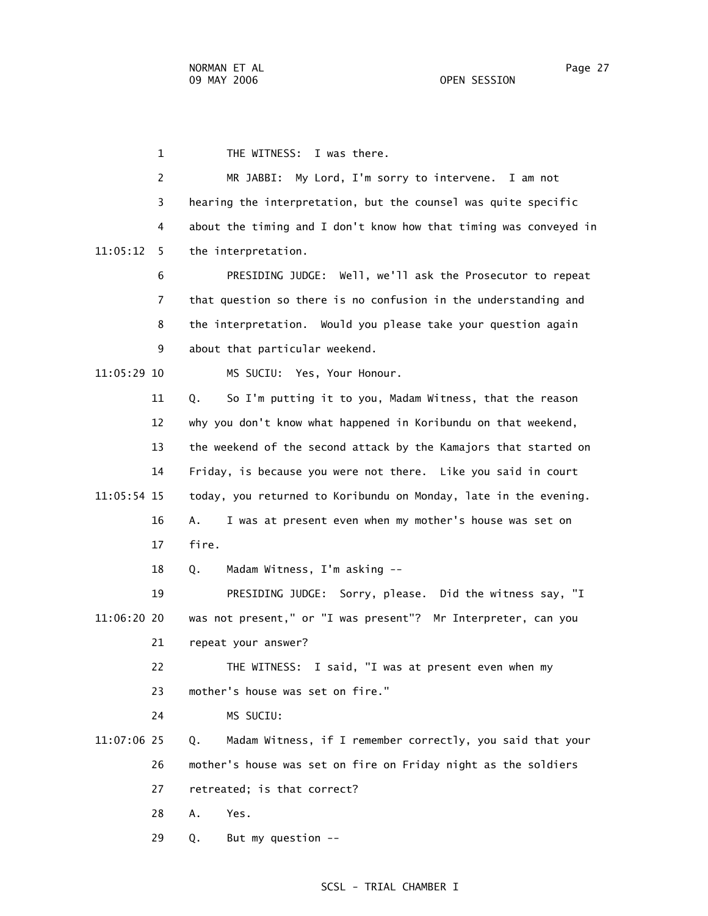1 THE WITNESS: I was there. 2 MR JABBI: My Lord, I'm sorry to intervene. I am not 3 hearing the interpretation, but the counsel was quite specific 4 about the timing and I don't know how that timing was conveyed in 11:05:12 5 the interpretation. 6 PRESIDING JUDGE: Well, we'll ask the Prosecutor to repeat 7 that question so there is no confusion in the understanding and 8 the interpretation. Would you please take your question again 9 about that particular weekend. 11:05:29 10 MS SUCIU: Yes, Your Honour. 11 Q. So I'm putting it to you, Madam Witness, that the reason 12 why you don't know what happened in Koribundu on that weekend, 13 the weekend of the second attack by the Kamajors that started on 14 Friday, is because you were not there. Like you said in court 11:05:54 15 today, you returned to Koribundu on Monday, late in the evening. 16 A. I was at present even when my mother's house was set on 17 fire. 18 Q. Madam Witness, I'm asking -- 19 PRESIDING JUDGE: Sorry, please. Did the witness say, "I 11:06:20 20 was not present," or "I was present"? Mr Interpreter, can you 21 repeat your answer? 22 THE WITNESS: I said, "I was at present even when my 23 mother's house was set on fire." 24 MS SUCIU: 11:07:06 25 Q. Madam Witness, if I remember correctly, you said that your 26 mother's house was set on fire on Friday night as the soldiers 27 retreated; is that correct? 28 A. Yes.

### SCSL - TRIAL CHAMBER I

29 Q. But my question --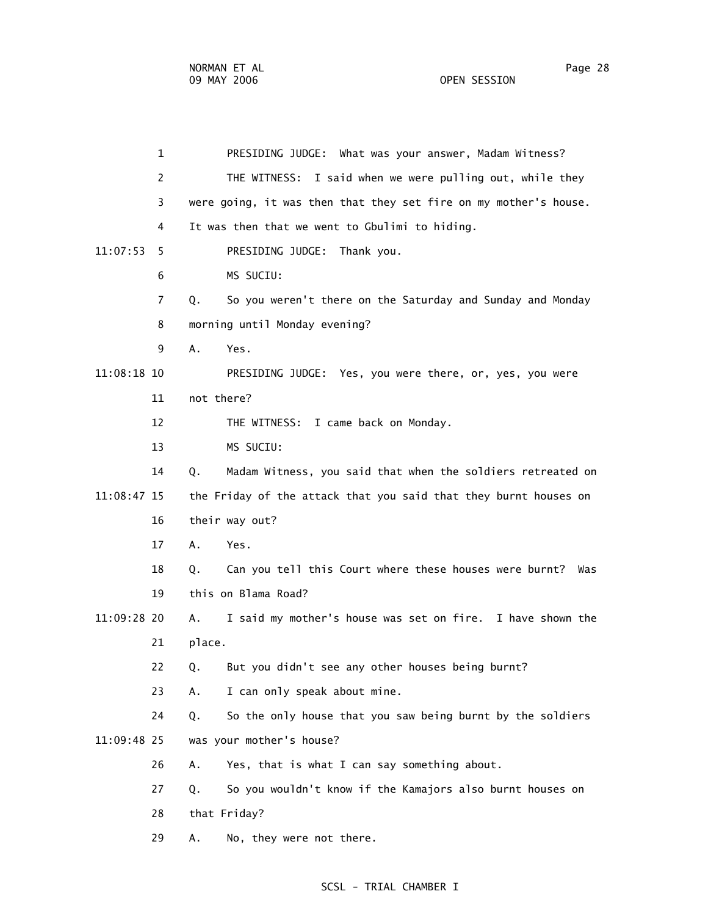1 PRESIDING JUDGE: What was your answer, Madam Witness? 2 THE WITNESS: I said when we were pulling out, while they 3 were going, it was then that they set fire on my mother's house. 4 It was then that we went to Gbulimi to hiding. 11:07:53 5 PRESIDING JUDGE: Thank you. 6 MS SUCIU: 7 Q. So you weren't there on the Saturday and Sunday and Monday 8 morning until Monday evening? 9 A. Yes. 11:08:18 10 PRESIDING JUDGE: Yes, you were there, or, yes, you were 11 not there? 12 THE WITNESS: I came back on Monday. 13 MS SUCIU: 14 Q. Madam Witness, you said that when the soldiers retreated on 11:08:47 15 the Friday of the attack that you said that they burnt houses on 16 their way out? 17 A. Yes. 18 Q. Can you tell this Court where these houses were burnt? Was 19 this on Blama Road? 11:09:28 20 A. I said my mother's house was set on fire. I have shown the 21 place. 22 Q. But you didn't see any other houses being burnt? 23 A. I can only speak about mine. 24 Q. So the only house that you saw being burnt by the soldiers 11:09:48 25 was your mother's house? 26 A. Yes, that is what I can say something about. 27 Q. So you wouldn't know if the Kamajors also burnt houses on 28 that Friday? 29 A. No, they were not there.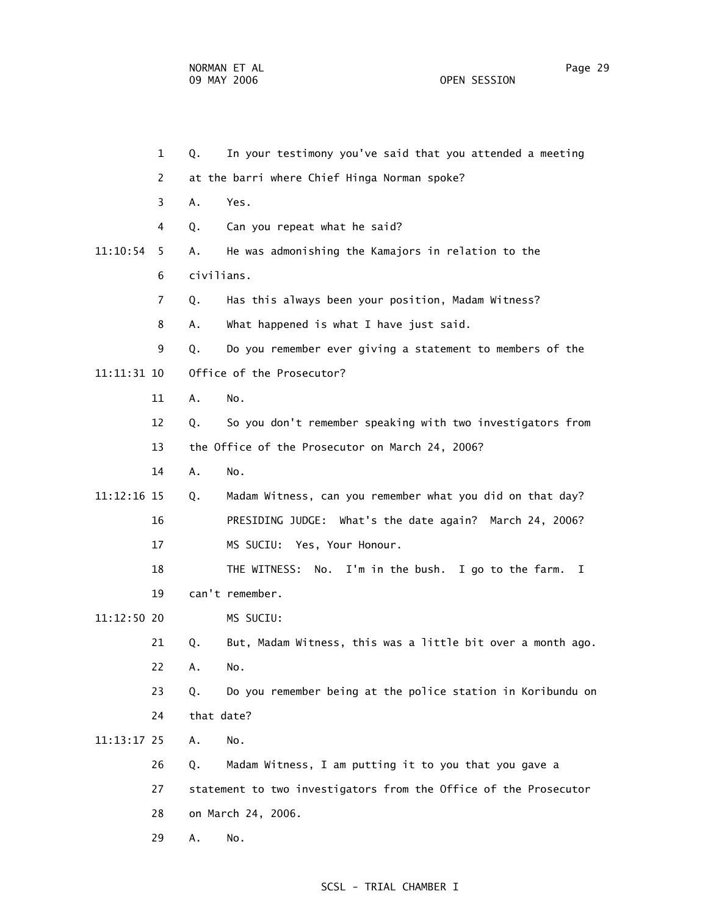1 Q. In your testimony you've said that you attended a meeting 2 at the barri where Chief Hinga Norman spoke? 3 A. Yes. 4 Q. Can you repeat what he said? 11:10:54 5 A. He was admonishing the Kamajors in relation to the 6 civilians. 7 Q. Has this always been your position, Madam Witness? 8 A. What happened is what I have just said. 9 Q. Do you remember ever giving a statement to members of the 11:11:31 10 Office of the Prosecutor? 11 A. No. 12 Q. So you don't remember speaking with two investigators from 13 the Office of the Prosecutor on March 24, 2006? 14 A. No. 11:12:16 15 Q. Madam Witness, can you remember what you did on that day? 16 PRESIDING JUDGE: What's the date again? March 24, 2006? 17 MS SUCIU: Yes, Your Honour. 18 THE WITNESS: No. I'm in the bush. I go to the farm. I 19 can't remember. 11:12:50 20 MS SUCIU: 21 Q. But, Madam Witness, this was a little bit over a month ago. 22 A. No. 23 Q. Do you remember being at the police station in Koribundu on 24 that date? 11:13:17 25 A. No. 26 Q. Madam Witness, I am putting it to you that you gave a 27 statement to two investigators from the Office of the Prosecutor 28 on March 24, 2006. 29 A. No.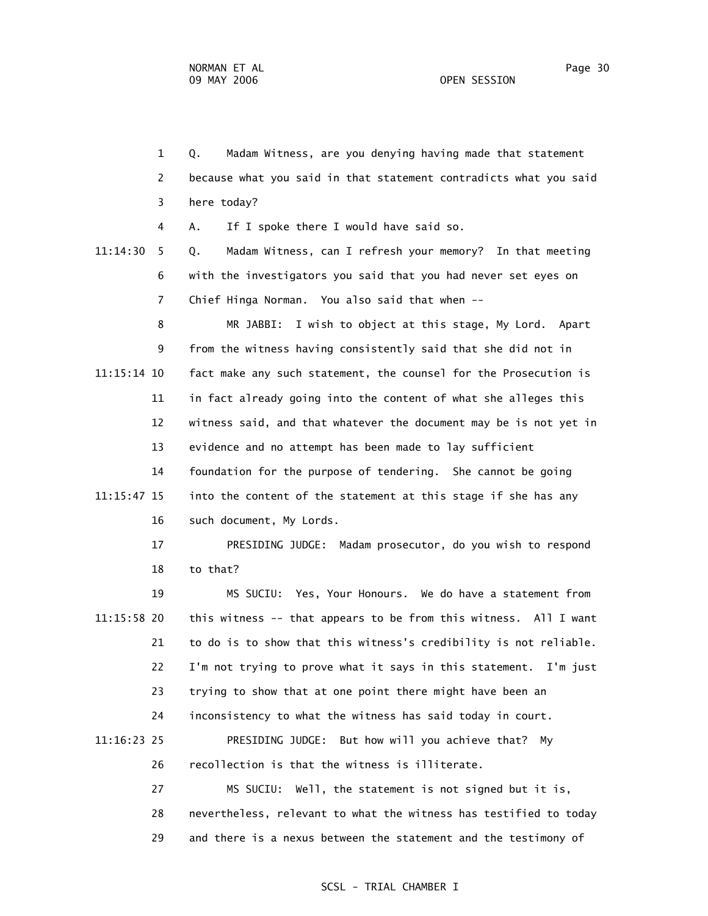1 Q. Madam Witness, are you denying having made that statement 2 because what you said in that statement contradicts what you said 3 here today? 4 A. If I spoke there I would have said so. 11:14:30 5 Q. Madam Witness, can I refresh your memory? In that meeting 6 with the investigators you said that you had never set eyes on 7 Chief Hinga Norman. You also said that when -- 8 MR JABBI: I wish to object at this stage, My Lord. Apart 9 from the witness having consistently said that she did not in 11:15:14 10 fact make any such statement, the counsel for the Prosecution is 11 in fact already going into the content of what she alleges this 12 witness said, and that whatever the document may be is not yet in 13 evidence and no attempt has been made to lay sufficient 14 foundation for the purpose of tendering. She cannot be going 11:15:47 15 into the content of the statement at this stage if she has any 16 such document, My Lords. 17 PRESIDING JUDGE: Madam prosecutor, do you wish to respond 18 to that? 19 MS SUCIU: Yes, Your Honours. We do have a statement from 11:15:58 20 this witness -- that appears to be from this witness. All I want 21 to do is to show that this witness's credibility is not reliable. 22 I'm not trying to prove what it says in this statement. I'm just 23 trying to show that at one point there might have been an 24 inconsistency to what the witness has said today in court. 11:16:23 25 PRESIDING JUDGE: But how will you achieve that? My 26 recollection is that the witness is illiterate. 27 MS SUCIU: Well, the statement is not signed but it is, 28 nevertheless, relevant to what the witness has testified to today

### SCSL - TRIAL CHAMBER I

29 and there is a nexus between the statement and the testimony of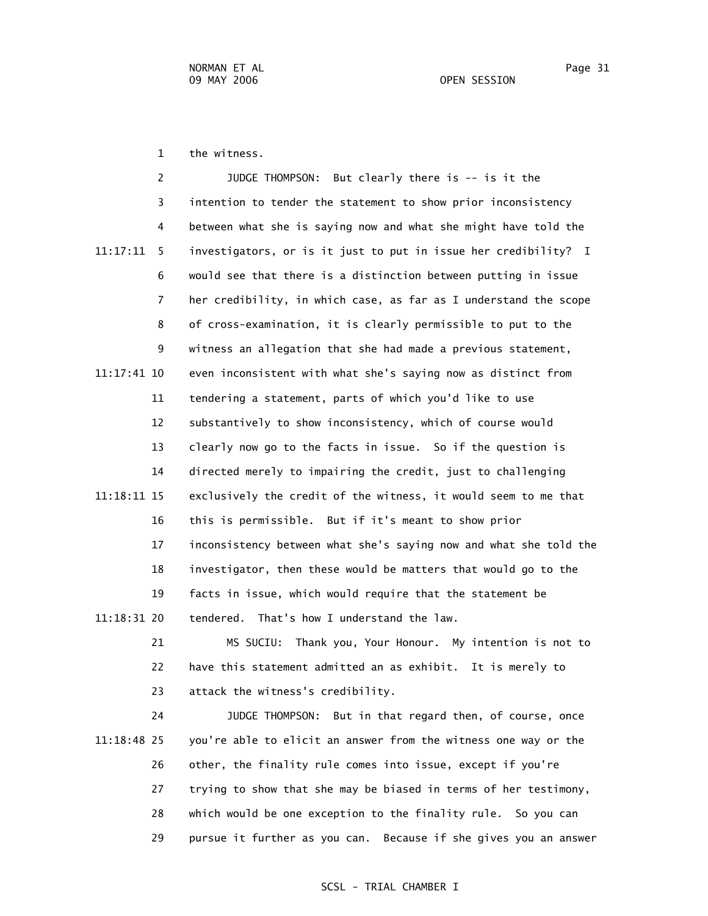1 the witness.

|             | 2              | JUDGE THOMPSON: But clearly there is -- is it the                 |
|-------------|----------------|-------------------------------------------------------------------|
|             | 3              | intention to tender the statement to show prior inconsistency     |
|             | 4              | between what she is saying now and what she might have told the   |
| 11:17:11    | 5              | investigators, or is it just to put in issue her credibility? I   |
|             | 6              | would see that there is a distinction between putting in issue    |
|             | $\overline{7}$ | her credibility, in which case, as far as I understand the scope  |
|             | 8              | of cross-examination, it is clearly permissible to put to the     |
|             | 9              | witness an allegation that she had made a previous statement,     |
| 11:17:41 10 |                | even inconsistent with what she's saying now as distinct from     |
|             | 11             | tendering a statement, parts of which you'd like to use           |
|             | 12             | substantively to show inconsistency, which of course would        |
|             | 13             | clearly now go to the facts in issue. So if the question is       |
|             | 14             | directed merely to impairing the credit, just to challenging      |
| 11:18:11 15 |                | exclusively the credit of the witness, it would seem to me that   |
|             | 16             | this is permissible. But if it's meant to show prior              |
|             | 17             | inconsistency between what she's saying now and what she told the |
|             | 18             | investigator, then these would be matters that would go to the    |
|             | 19             | facts in issue, which would require that the statement be         |
| 11:18:31 20 |                | tendered. That's how I understand the law.                        |
|             | 21             | MS SUCIU: Thank you, Your Honour. My intention is not to          |
|             |                |                                                                   |

 22 have this statement admitted an as exhibit. It is merely to 23 attack the witness's credibility.

 24 JUDGE THOMPSON: But in that regard then, of course, once 11:18:48 25 you're able to elicit an answer from the witness one way or the 26 other, the finality rule comes into issue, except if you're 27 trying to show that she may be biased in terms of her testimony, 28 which would be one exception to the finality rule. So you can 29 pursue it further as you can. Because if she gives you an answer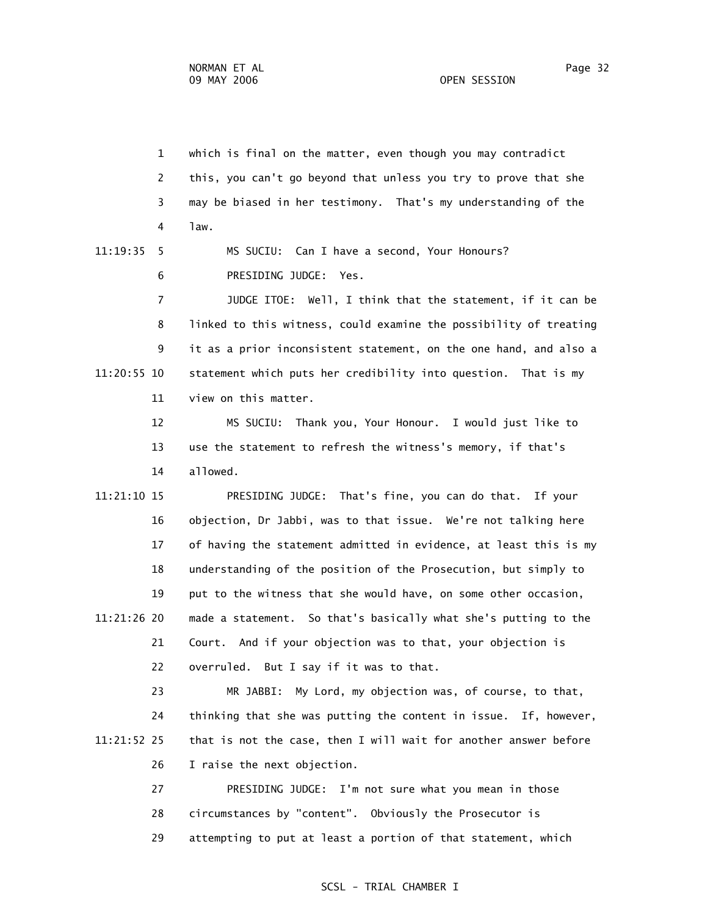1 which is final on the matter, even though you may contradict 2 this, you can't go beyond that unless you try to prove that she 3 may be biased in her testimony. That's my understanding of the 4 law. 11:19:35 5 MS SUCIU: Can I have a second, Your Honours? 6 PRESIDING JUDGE: Yes. 7 JUDGE ITOE: Well, I think that the statement, if it can be 8 linked to this witness, could examine the possibility of treating 9 it as a prior inconsistent statement, on the one hand, and also a 11:20:55 10 statement which puts her credibility into question. That is my 11 view on this matter. 12 MS SUCIU: Thank you, Your Honour. I would just like to 13 use the statement to refresh the witness's memory, if that's 14 allowed. 11:21:10 15 PRESIDING JUDGE: That's fine, you can do that. If your 16 objection, Dr Jabbi, was to that issue. We're not talking here 17 of having the statement admitted in evidence, at least this is my 18 understanding of the position of the Prosecution, but simply to

 11:21:26 20 made a statement. So that's basically what she's putting to the 21 Court. And if your objection was to that, your objection is 22 overruled. But I say if it was to that.

19 put to the witness that she would have, on some other occasion,

 23 MR JABBI: My Lord, my objection was, of course, to that, 24 thinking that she was putting the content in issue. If, however, 11:21:52 25 that is not the case, then I will wait for another answer before 26 I raise the next objection.

> 27 PRESIDING JUDGE: I'm not sure what you mean in those 28 circumstances by "content". Obviously the Prosecutor is 29 attempting to put at least a portion of that statement, which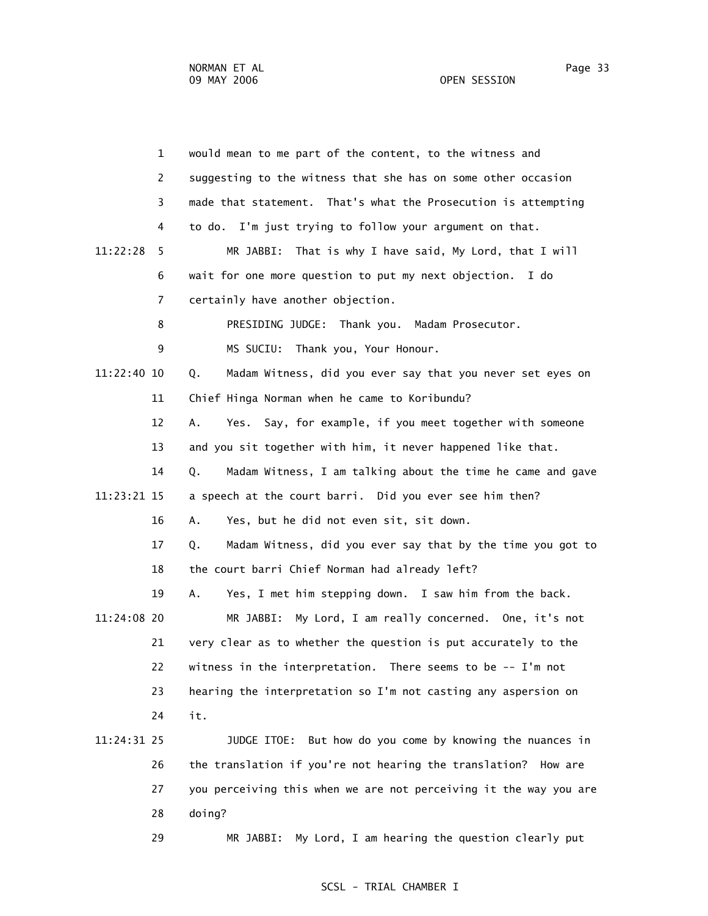1 would mean to me part of the content, to the witness and 2 suggesting to the witness that she has on some other occasion 3 made that statement. That's what the Prosecution is attempting 4 to do. I'm just trying to follow your argument on that. 11:22:28 5 MR JABBI: That is why I have said, My Lord, that I will 6 wait for one more question to put my next objection. I do 7 certainly have another objection. 8 PRESIDING JUDGE: Thank you. Madam Prosecutor. 9 MS SUCIU: Thank you, Your Honour. 11:22:40 10 Q. Madam Witness, did you ever say that you never set eyes on 11 Chief Hinga Norman when he came to Koribundu? 12 A. Yes. Say, for example, if you meet together with someone 13 and you sit together with him, it never happened like that. 14 Q. Madam Witness, I am talking about the time he came and gave 11:23:21 15 a speech at the court barri. Did you ever see him then? 16 A. Yes, but he did not even sit, sit down. 17 Q. Madam Witness, did you ever say that by the time you got to 18 the court barri Chief Norman had already left? 19 A. Yes, I met him stepping down. I saw him from the back. 11:24:08 20 MR JABBI: My Lord, I am really concerned. One, it's not 21 very clear as to whether the question is put accurately to the 22 witness in the interpretation. There seems to be -- I'm not 23 hearing the interpretation so I'm not casting any aspersion on 24 it. 11:24:31 25 JUDGE ITOE: But how do you come by knowing the nuances in 26 the translation if you're not hearing the translation? How are 27 you perceiving this when we are not perceiving it the way you are 28 doing? 29 MR JABBI: My Lord, I am hearing the question clearly put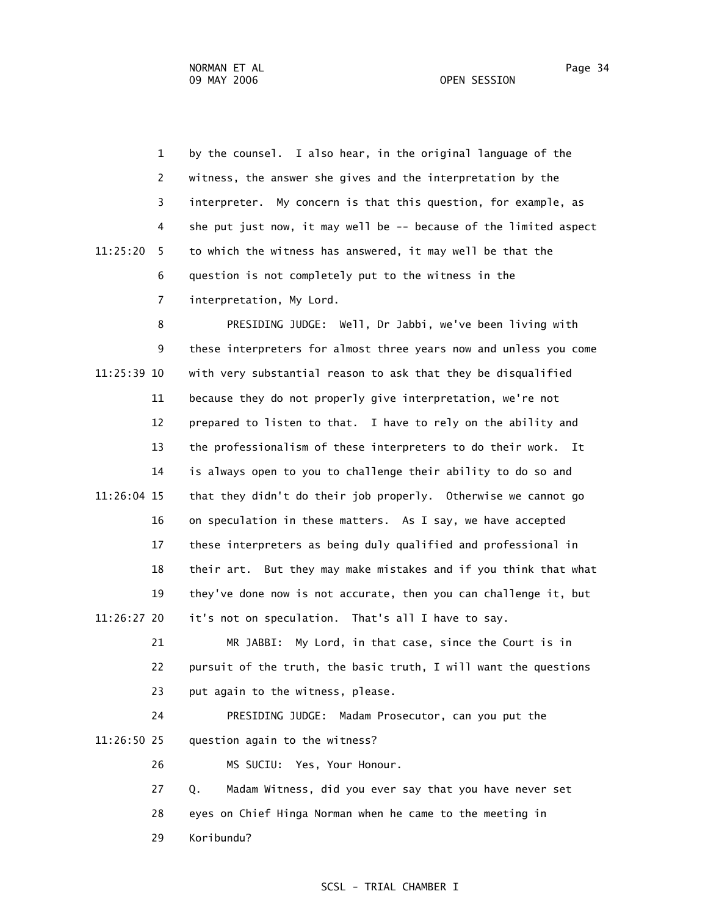1 by the counsel. I also hear, in the original language of the 2 witness, the answer she gives and the interpretation by the 3 interpreter. My concern is that this question, for example, as 4 she put just now, it may well be -- because of the limited aspect 11:25:20 5 to which the witness has answered, it may well be that the 6 question is not completely put to the witness in the

7 interpretation, My Lord.

 8 PRESIDING JUDGE: Well, Dr Jabbi, we've been living with 9 these interpreters for almost three years now and unless you come 11:25:39 10 with very substantial reason to ask that they be disqualified 11 because they do not properly give interpretation, we're not 12 prepared to listen to that. I have to rely on the ability and 13 the professionalism of these interpreters to do their work. It 14 is always open to you to challenge their ability to do so and 11:26:04 15 that they didn't do their job properly. Otherwise we cannot go 16 on speculation in these matters. As I say, we have accepted 17 these interpreters as being duly qualified and professional in 18 their art. But they may make mistakes and if you think that what 19 they've done now is not accurate, then you can challenge it, but 11:26:27 20 it's not on speculation. That's all I have to say.

 21 MR JABBI: My Lord, in that case, since the Court is in 22 pursuit of the truth, the basic truth, I will want the questions 23 put again to the witness, please.

 24 PRESIDING JUDGE: Madam Prosecutor, can you put the 11:26:50 25 question again to the witness?

26 MS SUCIU: Yes, Your Honour.

 27 Q. Madam Witness, did you ever say that you have never set 28 eyes on Chief Hinga Norman when he came to the meeting in 29 Koribundu?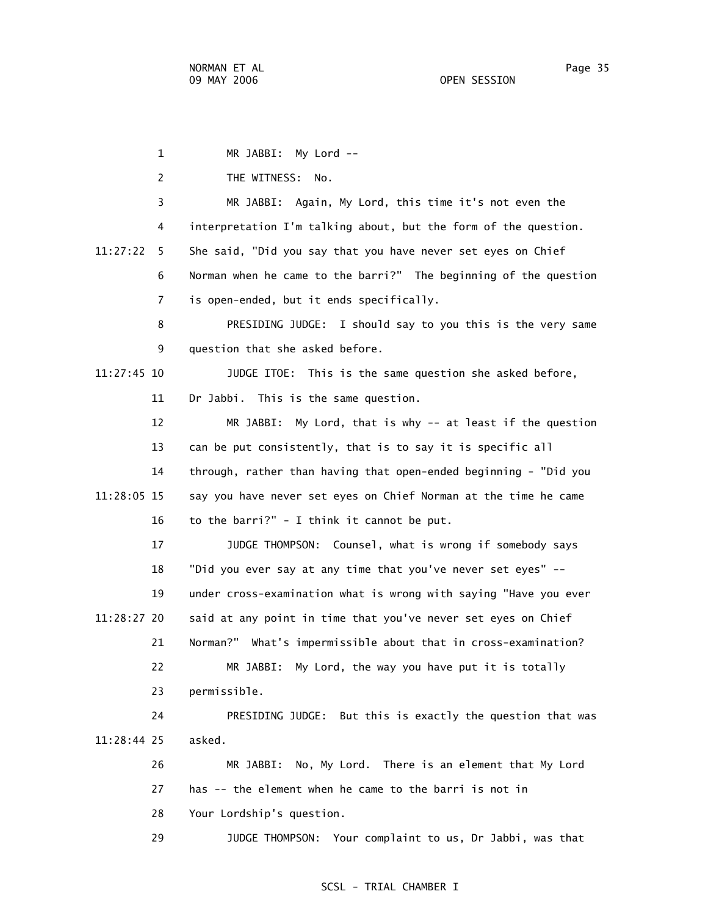1 MR JABBI: My Lord -- 2 THE WITNESS: No. 3 MR JABBI: Again, My Lord, this time it's not even the 4 interpretation I'm talking about, but the form of the question. 11:27:22 5 She said, "Did you say that you have never set eyes on Chief 6 Norman when he came to the barri?" The beginning of the question 7 is open-ended, but it ends specifically. 8 PRESIDING JUDGE: I should say to you this is the very same 9 question that she asked before. 11:27:45 10 JUDGE ITOE: This is the same question she asked before, 11 Dr Jabbi. This is the same question. 12 MR JABBI: My Lord, that is why -- at least if the question 13 can be put consistently, that is to say it is specific all 14 through, rather than having that open-ended beginning - "Did you 11:28:05 15 say you have never set eyes on Chief Norman at the time he came 16 to the barri?" - I think it cannot be put. 17 JUDGE THOMPSON: Counsel, what is wrong if somebody says 18 "Did you ever say at any time that you've never set eyes" -- 19 under cross-examination what is wrong with saying "Have you ever 11:28:27 20 said at any point in time that you've never set eyes on Chief 21 Norman?" What's impermissible about that in cross-examination? 22 MR JABBI: My Lord, the way you have put it is totally 23 permissible. 24 PRESIDING JUDGE: But this is exactly the question that was 11:28:44 25 asked. 26 MR JABBI: No, My Lord. There is an element that My Lord 27 has -- the element when he came to the barri is not in 28 Your Lordship's question. 29 JUDGE THOMPSON: Your complaint to us, Dr Jabbi, was that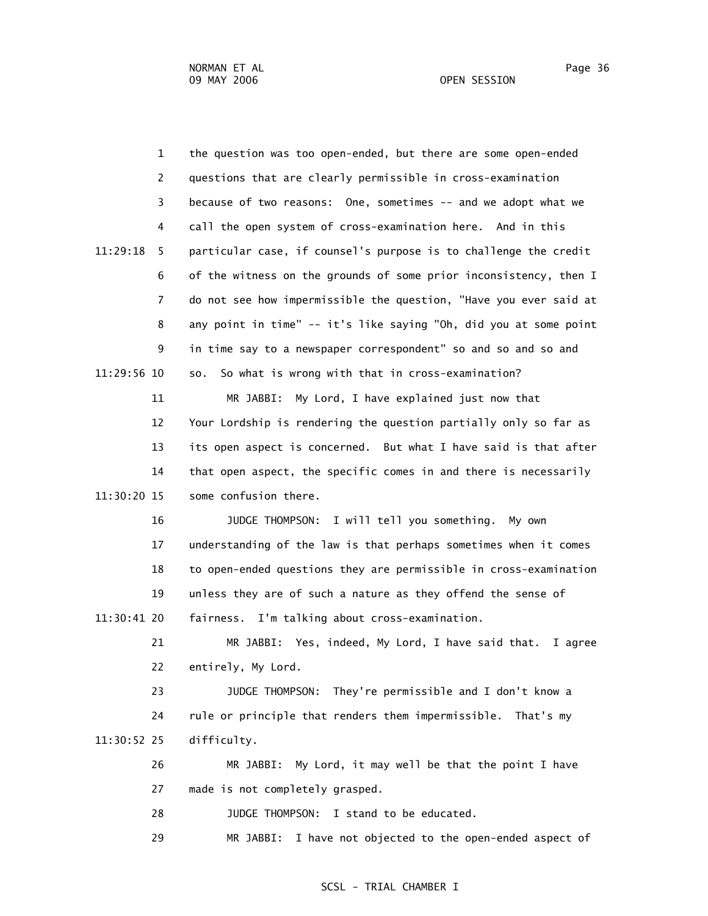1 the question was too open-ended, but there are some open-ended 2 questions that are clearly permissible in cross-examination 3 because of two reasons: One, sometimes -- and we adopt what we 4 call the open system of cross-examination here. And in this 11:29:18 5 particular case, if counsel's purpose is to challenge the credit 6 of the witness on the grounds of some prior inconsistency, then I 7 do not see how impermissible the question, "Have you ever said at 8 any point in time" -- it's like saying "Oh, did you at some point 9 in time say to a newspaper correspondent" so and so and so and 11:29:56 10 so. So what is wrong with that in cross-examination? 11 MR JABBI: My Lord, I have explained just now that 12 Your Lordship is rendering the question partially only so far as 13 its open aspect is concerned. But what I have said is that after 14 that open aspect, the specific comes in and there is necessarily 11:30:20 15 some confusion there. 16 JUDGE THOMPSON: I will tell you something. My own 17 understanding of the law is that perhaps sometimes when it comes 18 to open-ended questions they are permissible in cross-examination 19 unless they are of such a nature as they offend the sense of 11:30:41 20 fairness. I'm talking about cross-examination. 21 MR JABBI: Yes, indeed, My Lord, I have said that. I agree 22 entirely, My Lord. 23 JUDGE THOMPSON: They're permissible and I don't know a 24 rule or principle that renders them impermissible. That's my 11:30:52 25 difficulty. 26 MR JABBI: My Lord, it may well be that the point I have 27 made is not completely grasped. 28 JUDGE THOMPSON: I stand to be educated. 29 MR JABBI: I have not objected to the open-ended aspect of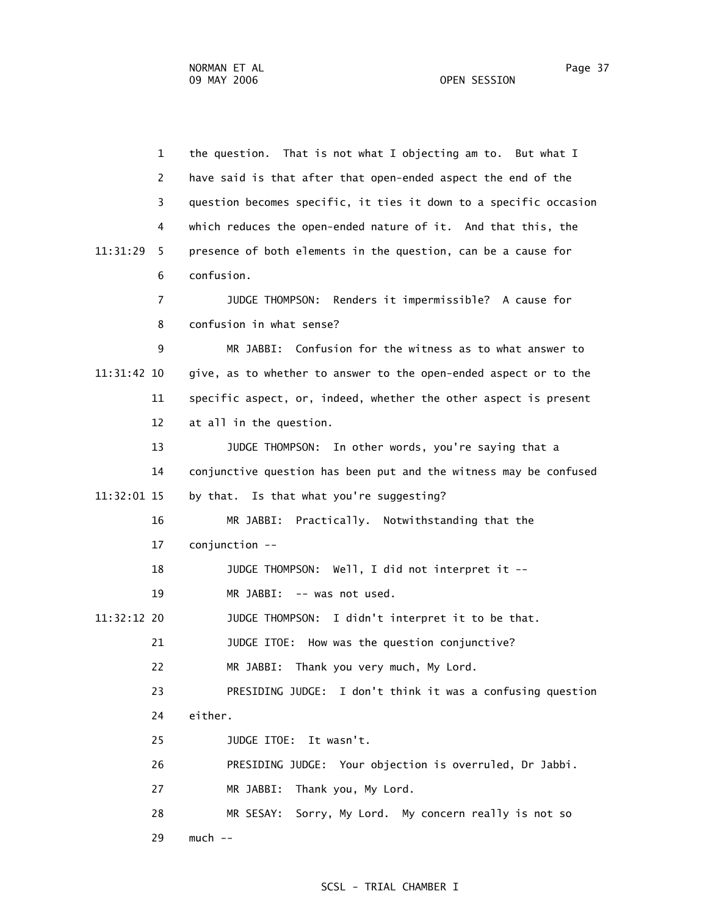1 the question. That is not what I objecting am to. But what I 2 have said is that after that open-ended aspect the end of the 3 question becomes specific, it ties it down to a specific occasion 4 which reduces the open-ended nature of it. And that this, the 11:31:29 5 presence of both elements in the question, can be a cause for 6 confusion. 7 JUDGE THOMPSON: Renders it impermissible? A cause for 8 confusion in what sense? 9 MR JABBI: Confusion for the witness as to what answer to 11:31:42 10 give, as to whether to answer to the open-ended aspect or to the 11 specific aspect, or, indeed, whether the other aspect is present 12 at all in the question. 13 JUDGE THOMPSON: In other words, you're saying that a 14 conjunctive question has been put and the witness may be confused 11:32:01 15 by that. Is that what you're suggesting? 16 MR JABBI: Practically. Notwithstanding that the 17 conjunction -- 18 JUDGE THOMPSON: Well, I did not interpret it -- 19 MR JABBI: -- was not used. 11:32:12 20 JUDGE THOMPSON: I didn't interpret it to be that. 21 JUDGE ITOE: How was the question conjunctive? 22 MR JABBI: Thank you very much, My Lord. 23 PRESIDING JUDGE: I don't think it was a confusing question 24 either. 25 JUDGE ITOE: It wasn't. 26 PRESIDING JUDGE: Your objection is overruled, Dr Jabbi. 27 MR JABBI: Thank you, My Lord. 28 MR SESAY: Sorry, My Lord. My concern really is not so 29 much --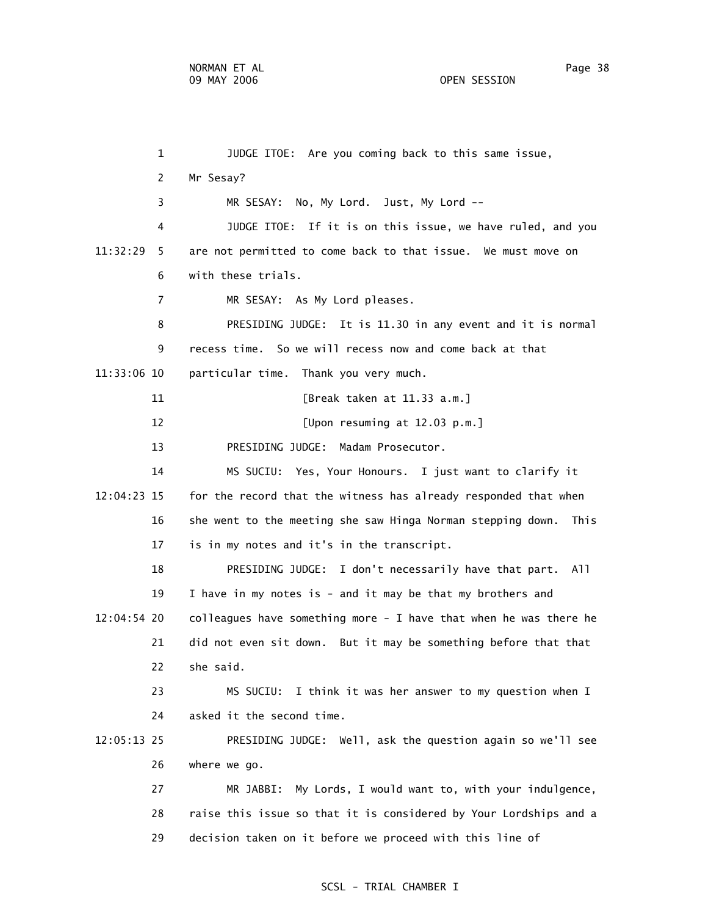1 JUDGE ITOE: Are you coming back to this same issue, 2 Mr Sesay? 3 MR SESAY: No, My Lord. Just, My Lord -- 4 JUDGE ITOE: If it is on this issue, we have ruled, and you 11:32:29 5 are not permitted to come back to that issue. We must move on 6 with these trials. 7 MR SESAY: As My Lord pleases. 8 PRESIDING JUDGE: It is 11.30 in any event and it is normal 9 recess time. So we will recess now and come back at that 11:33:06 10 particular time. Thank you very much. 11 [Break taken at 11.33 a.m.] 12 *IDpon resuming at 12.03 p.m.*  13 PRESIDING JUDGE: Madam Prosecutor. 14 MS SUCIU: Yes, Your Honours. I just want to clarify it 12:04:23 15 for the record that the witness has already responded that when 16 she went to the meeting she saw Hinga Norman stepping down. This 17 is in my notes and it's in the transcript. 18 PRESIDING JUDGE: I don't necessarily have that part. All 19 I have in my notes is - and it may be that my brothers and 12:04:54 20 colleagues have something more - I have that when he was there he 21 did not even sit down. But it may be something before that that 22 she said. 23 MS SUCIU: I think it was her answer to my question when I 24 asked it the second time. 12:05:13 25 PRESIDING JUDGE: Well, ask the question again so we'll see 26 where we go. 27 MR JABBI: My Lords, I would want to, with your indulgence, 28 raise this issue so that it is considered by Your Lordships and a 29 decision taken on it before we proceed with this line of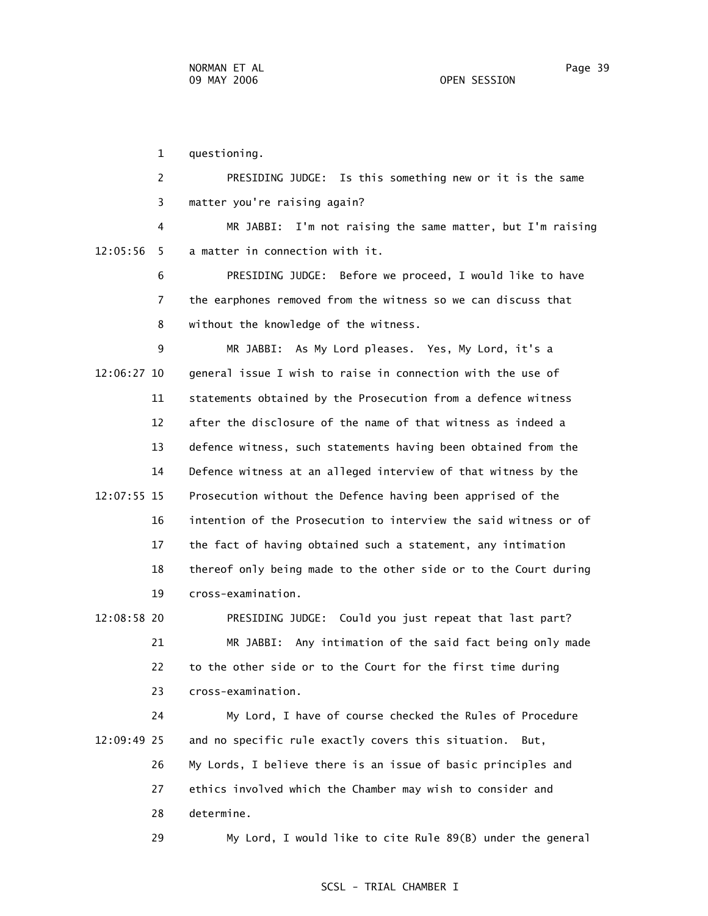1 questioning.

 2 PRESIDING JUDGE: Is this something new or it is the same 3 matter you're raising again?

 4 MR JABBI: I'm not raising the same matter, but I'm raising 12:05:56 5 a matter in connection with it.

> 6 PRESIDING JUDGE: Before we proceed, I would like to have 7 the earphones removed from the witness so we can discuss that 8 without the knowledge of the witness.

 9 MR JABBI: As My Lord pleases. Yes, My Lord, it's a 12:06:27 10 general issue I wish to raise in connection with the use of 11 statements obtained by the Prosecution from a defence witness 12 after the disclosure of the name of that witness as indeed a 13 defence witness, such statements having been obtained from the 14 Defence witness at an alleged interview of that witness by the 12:07:55 15 Prosecution without the Defence having been apprised of the 16 intention of the Prosecution to interview the said witness or of 17 the fact of having obtained such a statement, any intimation 18 thereof only being made to the other side or to the Court during 19 cross-examination.

 12:08:58 20 PRESIDING JUDGE: Could you just repeat that last part? 21 MR JABBI: Any intimation of the said fact being only made 22 to the other side or to the Court for the first time during 23 cross-examination.

 24 My Lord, I have of course checked the Rules of Procedure 12:09:49 25 and no specific rule exactly covers this situation. But, 26 My Lords, I believe there is an issue of basic principles and 27 ethics involved which the Chamber may wish to consider and 28 determine.

29 My Lord, I would like to cite Rule 89(B) under the general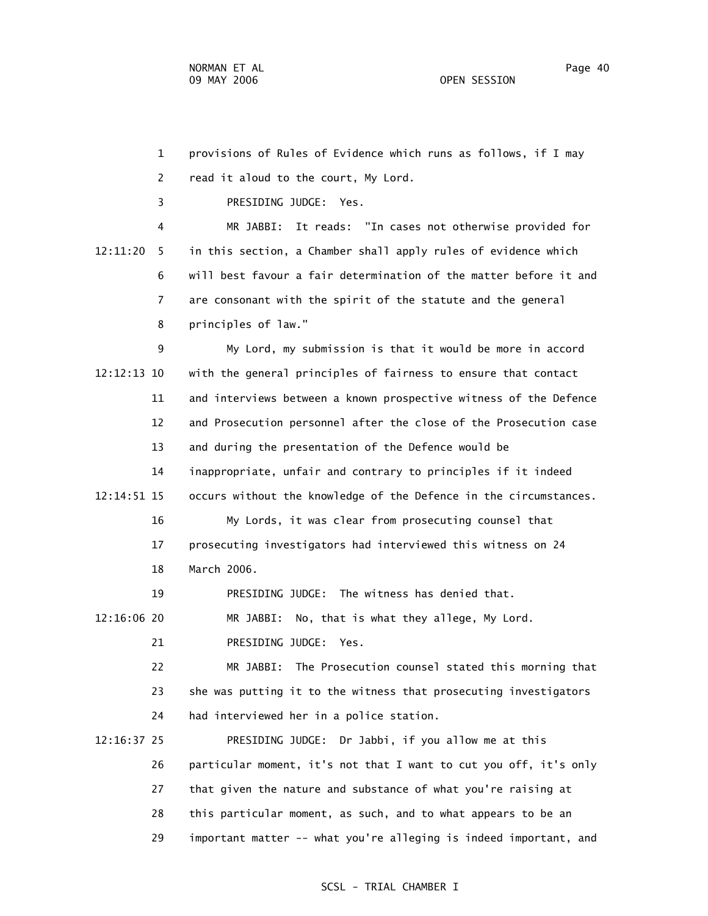1 provisions of Rules of Evidence which runs as follows, if I may 2 read it aloud to the court, My Lord. 3 PRESIDING JUDGE: Yes. 4 MR JABBI: It reads: "In cases not otherwise provided for 12:11:20 5 in this section, a Chamber shall apply rules of evidence which 6 will best favour a fair determination of the matter before it and 7 are consonant with the spirit of the statute and the general 8 principles of law." 9 My Lord, my submission is that it would be more in accord 12:12:13 10 with the general principles of fairness to ensure that contact 11 and interviews between a known prospective witness of the Defence 12 and Prosecution personnel after the close of the Prosecution case 13 and during the presentation of the Defence would be 14 inappropriate, unfair and contrary to principles if it indeed 12:14:51 15 occurs without the knowledge of the Defence in the circumstances. 16 My Lords, it was clear from prosecuting counsel that 17 prosecuting investigators had interviewed this witness on 24 18 March 2006. 19 PRESIDING JUDGE: The witness has denied that. 12:16:06 20 MR JABBI: No, that is what they allege, My Lord. 21 PRESIDING JUDGE: Yes. 22 MR JABBI: The Prosecution counsel stated this morning that 23 she was putting it to the witness that prosecuting investigators 24 had interviewed her in a police station. 12:16:37 25 PRESIDING JUDGE: Dr Jabbi, if you allow me at this 26 particular moment, it's not that I want to cut you off, it's only 27 that given the nature and substance of what you're raising at 28 this particular moment, as such, and to what appears to be an

29 important matter -- what you're alleging is indeed important, and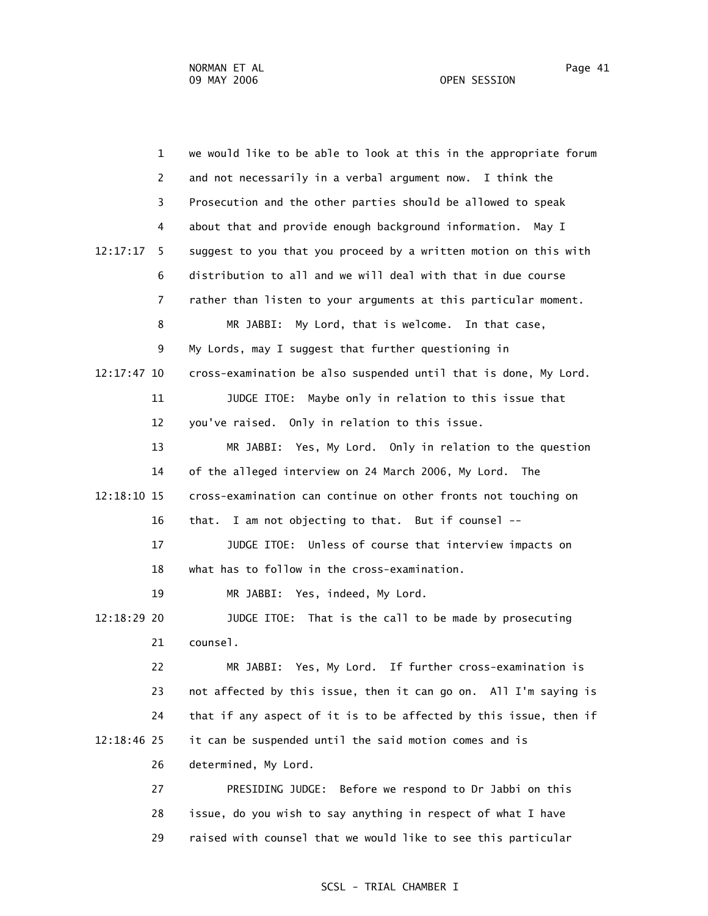1 we would like to be able to look at this in the appropriate forum 2 and not necessarily in a verbal argument now. I think the 3 Prosecution and the other parties should be allowed to speak 4 about that and provide enough background information. May I 12:17:17 5 suggest to you that you proceed by a written motion on this with 6 distribution to all and we will deal with that in due course 7 rather than listen to your arguments at this particular moment. 8 MR JABBI: My Lord, that is welcome. In that case, 9 My Lords, may I suggest that further questioning in 12:17:47 10 cross-examination be also suspended until that is done, My Lord. 11 JUDGE ITOE: Maybe only in relation to this issue that 12 you've raised. Only in relation to this issue. 13 MR JABBI: Yes, My Lord. Only in relation to the question 14 of the alleged interview on 24 March 2006, My Lord. The 12:18:10 15 cross-examination can continue on other fronts not touching on 16 that. I am not objecting to that. But if counsel -- 17 JUDGE ITOE: Unless of course that interview impacts on 18 what has to follow in the cross-examination. 19 MR JABBI: Yes, indeed, My Lord. 12:18:29 20 JUDGE ITOE: That is the call to be made by prosecuting 21 counsel. 22 MR JABBI: Yes, My Lord. If further cross-examination is 23 not affected by this issue, then it can go on. All I'm saying is 24 that if any aspect of it is to be affected by this issue, then if 12:18:46 25 it can be suspended until the said motion comes and is 26 determined, My Lord. 27 PRESIDING JUDGE: Before we respond to Dr Jabbi on this 28 issue, do you wish to say anything in respect of what I have 29 raised with counsel that we would like to see this particular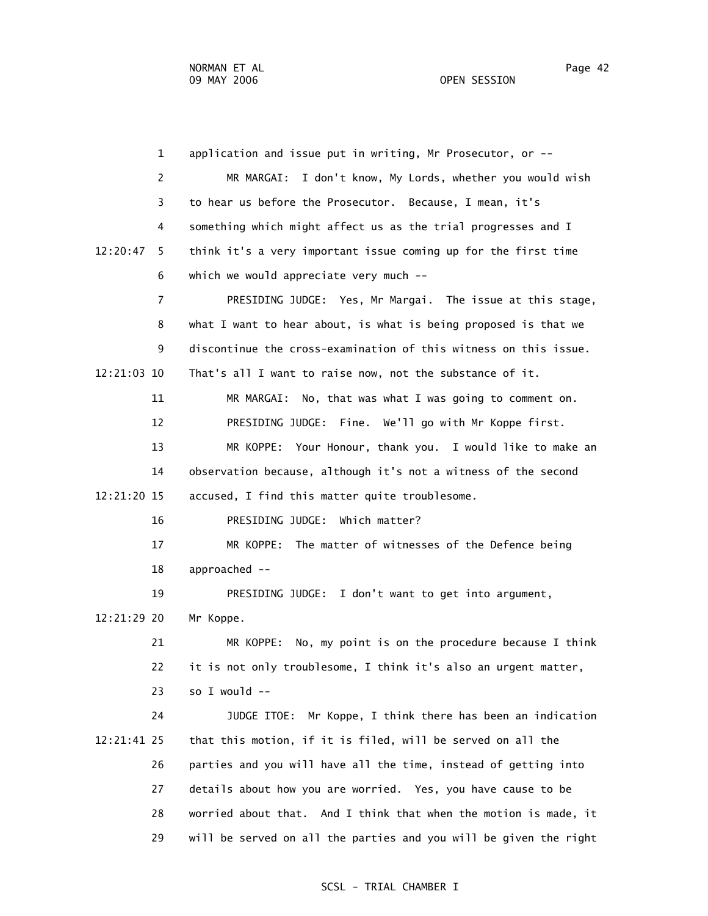|             | $\mathbf{1}$   | application and issue put in writing, Mr Prosecutor, or --        |
|-------------|----------------|-------------------------------------------------------------------|
|             | 2              | MR MARGAI: I don't know, My Lords, whether you would wish         |
|             | 3              | to hear us before the Prosecutor. Because, I mean, it's           |
|             | 4              | something which might affect us as the trial progresses and I     |
| 12:20:47    | 5.             | think it's a very important issue coming up for the first time    |
|             | 6              | which we would appreciate very much --                            |
|             | $\overline{7}$ | PRESIDING JUDGE: Yes, Mr Margai. The issue at this stage,         |
|             | 8              | what I want to hear about, is what is being proposed is that we   |
|             | 9              | discontinue the cross-examination of this witness on this issue.  |
| 12:21:03 10 |                | That's all I want to raise now, not the substance of it.          |
|             | 11             | MR MARGAI: No, that was what I was going to comment on.           |
|             | 12             | PRESIDING JUDGE: Fine. We'll go with Mr Koppe first.              |
|             | 13             | MR KOPPE: Your Honour, thank you. I would like to make an         |
|             | 14             | observation because, although it's not a witness of the second    |
| 12:21:20 15 |                | accused, I find this matter quite troublesome.                    |
|             | 16             | PRESIDING JUDGE: Which matter?                                    |
|             | 17             | MR KOPPE: The matter of witnesses of the Defence being            |
|             | 18             | approached --                                                     |
|             | 19             | PRESIDING JUDGE: I don't want to get into argument,               |
| 12:21:29 20 |                | Mr Koppe.                                                         |
|             | 21             | MR KOPPE: No, my point is on the procedure because I think        |
|             | 22             | it is not only troublesome, I think it's also an urgent matter,   |
|             | 23             | so I would --                                                     |
|             | 24             | Mr Koppe, I think there has been an indication<br>JUDGE ITOE:     |
| 12:21:41 25 |                | that this motion, if it is filed, will be served on all the       |
|             | 26             | parties and you will have all the time, instead of getting into   |
|             | 27             | details about how you are worried. Yes, you have cause to be      |
|             | 28             | worried about that. And I think that when the motion is made, it  |
|             | 29             | will be served on all the parties and you will be given the right |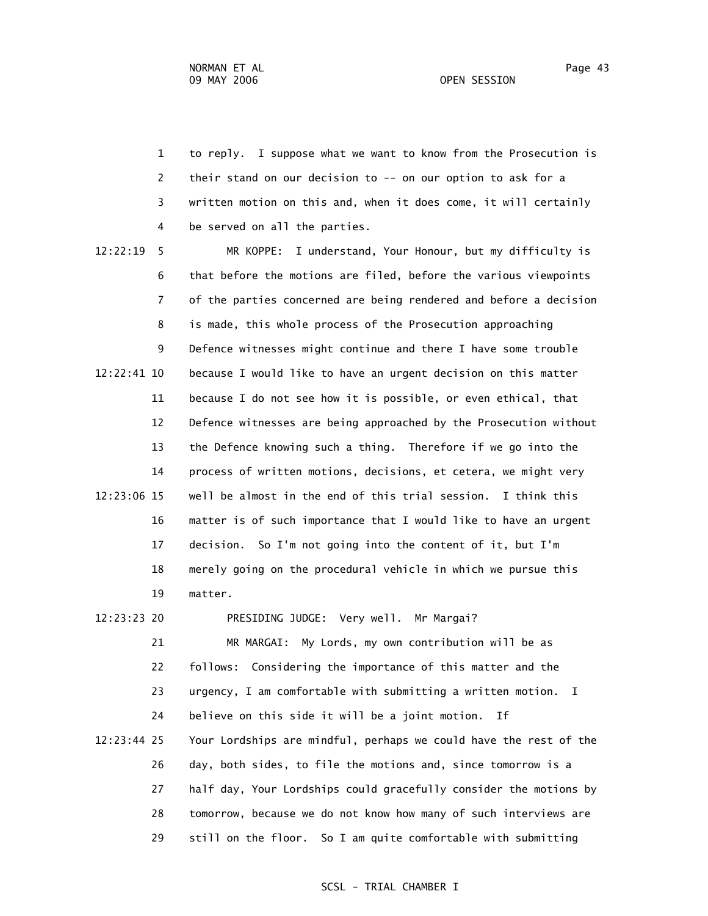1 to reply. I suppose what we want to know from the Prosecution is 2 their stand on our decision to -- on our option to ask for a 3 written motion on this and, when it does come, it will certainly 4 be served on all the parties.

 12:22:19 5 MR KOPPE: I understand, Your Honour, but my difficulty is 6 that before the motions are filed, before the various viewpoints 7 of the parties concerned are being rendered and before a decision 8 is made, this whole process of the Prosecution approaching 9 Defence witnesses might continue and there I have some trouble 12:22:41 10 because I would like to have an urgent decision on this matter 11 because I do not see how it is possible, or even ethical, that 12 Defence witnesses are being approached by the Prosecution without 13 the Defence knowing such a thing. Therefore if we go into the 14 process of written motions, decisions, et cetera, we might very 12:23:06 15 well be almost in the end of this trial session. I think this 16 matter is of such importance that I would like to have an urgent 17 decision. So I'm not going into the content of it, but I'm 18 merely going on the procedural vehicle in which we pursue this 19 matter.

# 12:23:23 20 PRESIDING JUDGE: Very well. Mr Margai?

 21 MR MARGAI: My Lords, my own contribution will be as 22 follows: Considering the importance of this matter and the 23 urgency, I am comfortable with submitting a written motion. I 24 believe on this side it will be a joint motion. If 12:23:44 25 Your Lordships are mindful, perhaps we could have the rest of the 26 day, both sides, to file the motions and, since tomorrow is a 27 half day, Your Lordships could gracefully consider the motions by 28 tomorrow, because we do not know how many of such interviews are 29 still on the floor. So I am quite comfortable with submitting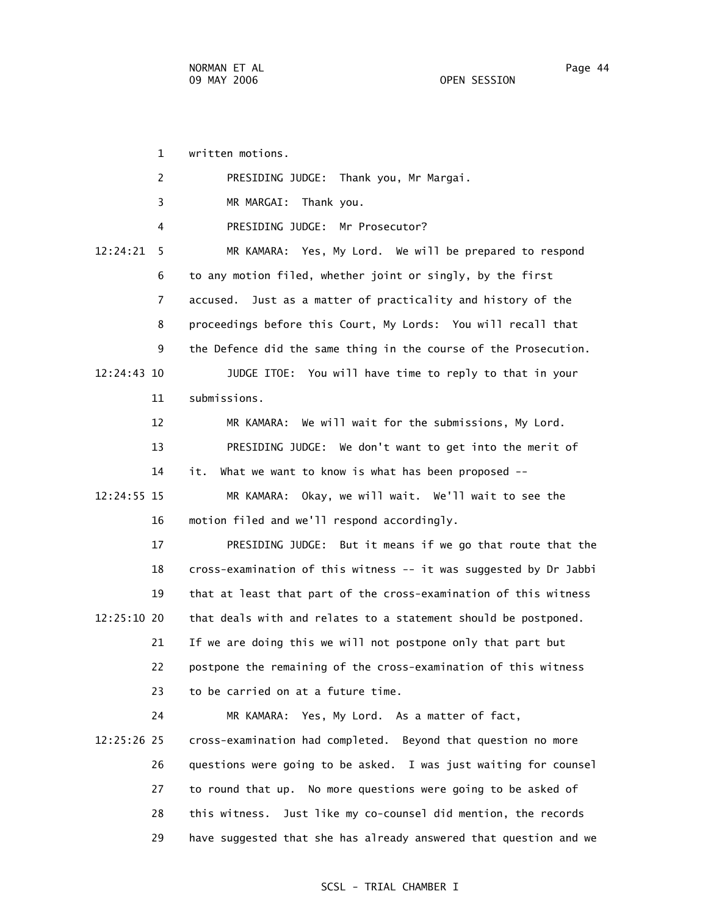1 written motions.

| $\overline{2}$ | PRESIDING JUDGE: Thank you, Mr Margai.                            |
|----------------|-------------------------------------------------------------------|
| 3              | MR MARGAI: Thank you.                                             |
| 4              | PRESIDING JUDGE: Mr Prosecutor?                                   |
| 12:24:21<br>5  | MR KAMARA: Yes, My Lord. We will be prepared to respond           |
| 6              | to any motion filed, whether joint or singly, by the first        |
| $\overline{7}$ | accused. Just as a matter of practicality and history of the      |
| 8              | proceedings before this Court, My Lords: You will recall that     |
| 9              | the Defence did the same thing in the course of the Prosecution.  |
| 12:24:43 10    | JUDGE ITOE: You will have time to reply to that in your           |
| 11             | submissions.                                                      |
| 12             | We will wait for the submissions, My Lord.<br>MR KAMARA:          |
| 13             | PRESIDING JUDGE: We don't want to get into the merit of           |
| 14             | What we want to know is what has been proposed --<br>it.          |
| 12:24:55 15    | MR KAMARA: Okay, we will wait. We'll wait to see the              |
| 16             | motion filed and we'll respond accordingly.                       |
| 17             | PRESIDING JUDGE: But it means if we go that route that the        |
| 18             | cross-examination of this witness -- it was suggested by Dr Jabbi |
| 19             | that at least that part of the cross-examination of this witness  |
| 12:25:10 20    | that deals with and relates to a statement should be postponed.   |
| 21             | If we are doing this we will not postpone only that part but      |
| 22             | postpone the remaining of the cross-examination of this witness   |
| 23             | to be carried on at a future time.                                |
| 24             | MR KAMARA: Yes, My Lord. As a matter of fact,                     |
| 12:25:26 25    | cross-examination had completed. Beyond that question no more     |
| 26             | questions were going to be asked. I was just waiting for counsel  |
| 27             | to round that up. No more questions were going to be asked of     |

 28 this witness. Just like my co-counsel did mention, the records 29 have suggested that she has already answered that question and we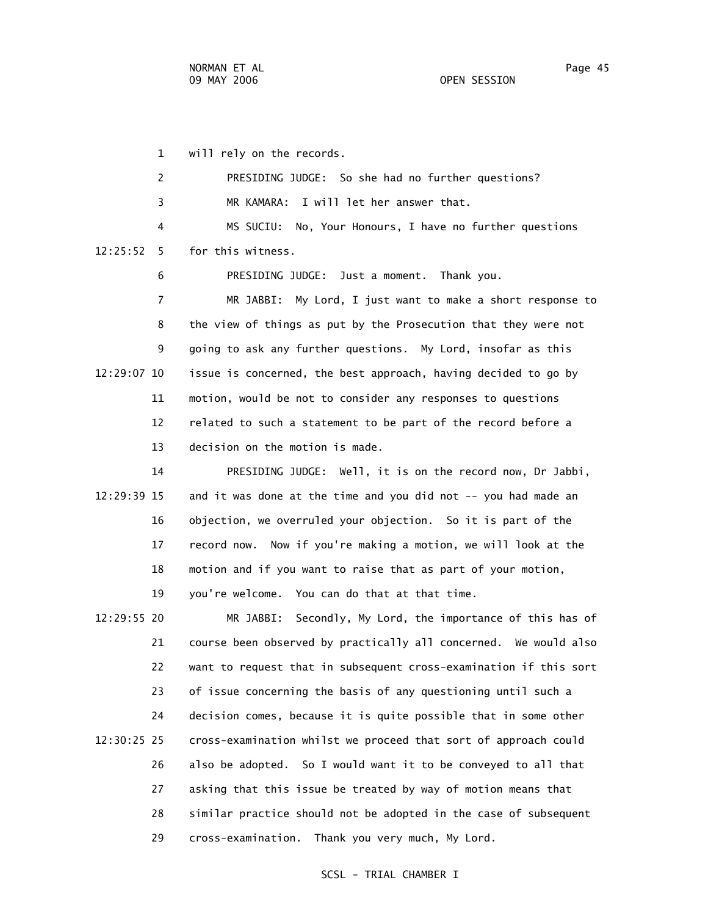1 will rely on the records. 2 PRESIDING JUDGE: So she had no further questions? 3 MR KAMARA: I will let her answer that. 4 MS SUCIU: No, Your Honours, I have no further questions 12:25:52 5 for this witness. 6 PRESIDING JUDGE: Just a moment. Thank you. 7 MR JABBI: My Lord, I just want to make a short response to 8 the view of things as put by the Prosecution that they were not 9 going to ask any further questions. My Lord, insofar as this 12:29:07 10 issue is concerned, the best approach, having decided to go by 11 motion, would be not to consider any responses to questions 12 related to such a statement to be part of the record before a 13 decision on the motion is made. 14 PRESIDING JUDGE: Well, it is on the record now, Dr Jabbi,

 12:29:39 15 and it was done at the time and you did not -- you had made an 16 objection, we overruled your objection. So it is part of the 17 record now. Now if you're making a motion, we will look at the 18 motion and if you want to raise that as part of your motion, 19 you're welcome. You can do that at that time.

 12:29:55 20 MR JABBI: Secondly, My Lord, the importance of this has of 21 course been observed by practically all concerned. We would also 22 want to request that in subsequent cross-examination if this sort 23 of issue concerning the basis of any questioning until such a 24 decision comes, because it is quite possible that in some other 12:30:25 25 cross-examination whilst we proceed that sort of approach could 26 also be adopted. So I would want it to be conveyed to all that 27 asking that this issue be treated by way of motion means that 28 similar practice should not be adopted in the case of subsequent 29 cross-examination. Thank you very much, My Lord.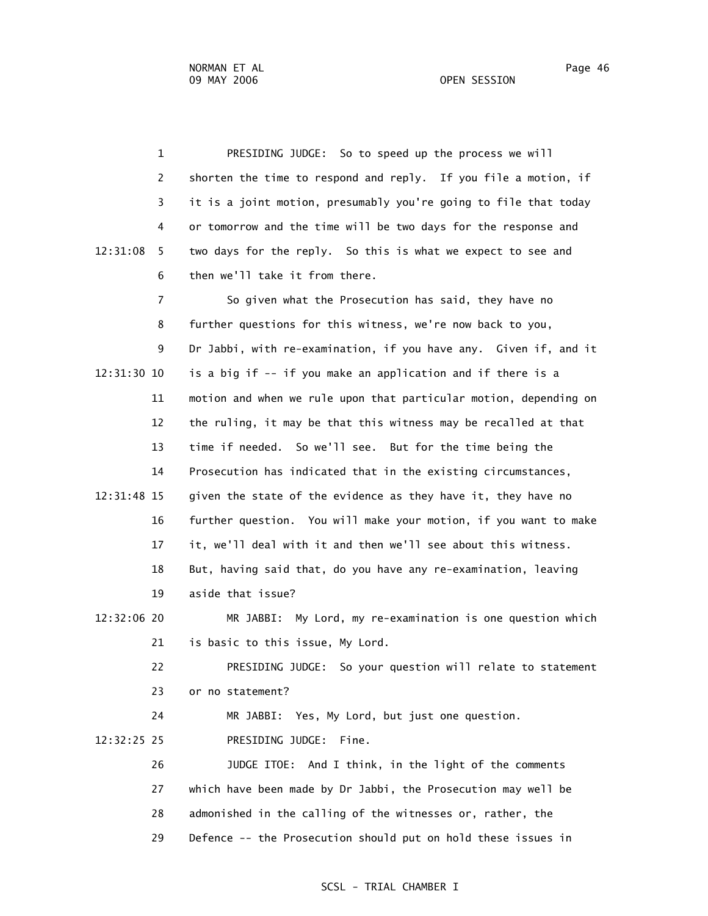1 PRESIDING JUDGE: So to speed up the process we will 2 shorten the time to respond and reply. If you file a motion, if 3 it is a joint motion, presumably you're going to file that today 4 or tomorrow and the time will be two days for the response and 12:31:08 5 two days for the reply. So this is what we expect to see and 6 then we'll take it from there. 7 So given what the Prosecution has said, they have no 8 further questions for this witness, we're now back to you, 9 Dr Jabbi, with re-examination, if you have any. Given if, and it 12:31:30 10 is a big if -- if you make an application and if there is a 11 motion and when we rule upon that particular motion, depending on 12 the ruling, it may be that this witness may be recalled at that 13 time if needed. So we'll see. But for the time being the 14 Prosecution has indicated that in the existing circumstances, 12:31:48 15 given the state of the evidence as they have it, they have no 16 further question. You will make your motion, if you want to make 17 it, we'll deal with it and then we'll see about this witness. 18 But, having said that, do you have any re-examination, leaving 19 aside that issue? 12:32:06 20 MR JABBI: My Lord, my re-examination is one question which 21 is basic to this issue, My Lord. 22 PRESIDING JUDGE: So your question will relate to statement 23 or no statement? 24 MR JABBI: Yes, My Lord, but just one question. 12:32:25 25 PRESIDING JUDGE: Fine. 26 JUDGE ITOE: And I think, in the light of the comments 27 which have been made by Dr Jabbi, the Prosecution may well be 28 admonished in the calling of the witnesses or, rather, the

29 Defence -- the Prosecution should put on hold these issues in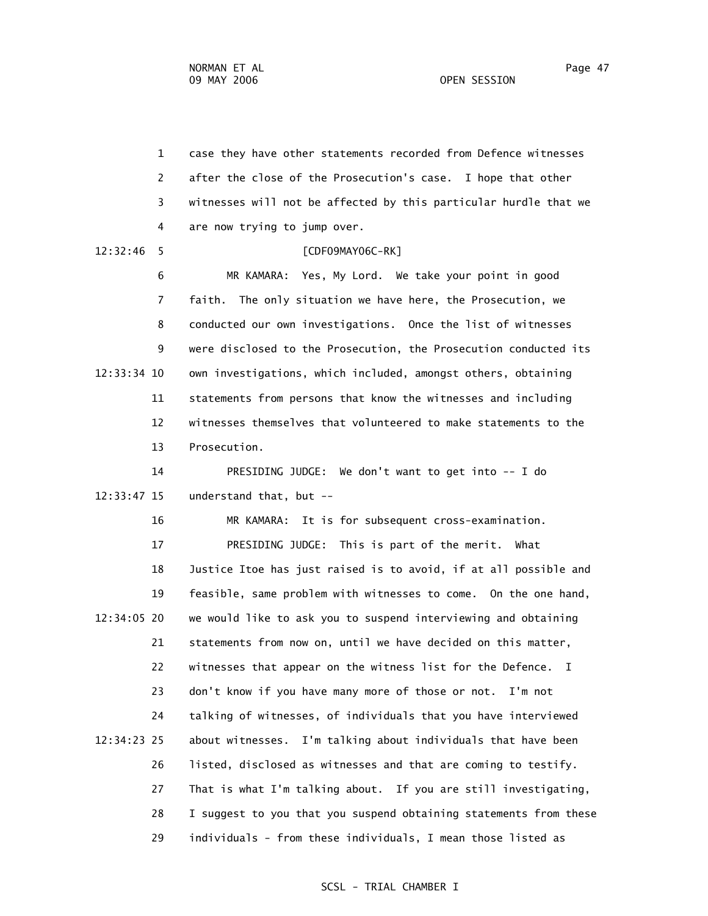1 case they have other statements recorded from Defence witnesses 2 after the close of the Prosecution's case. I hope that other 3 witnesses will not be affected by this particular hurdle that we 4 are now trying to jump over. 12:32:46 5 [CDF09MAY06C-RK] 6 MR KAMARA: Yes, My Lord. We take your point in good 7 faith. The only situation we have here, the Prosecution, we 8 conducted our own investigations. Once the list of witnesses 9 were disclosed to the Prosecution, the Prosecution conducted its 12:33:34 10 own investigations, which included, amongst others, obtaining 11 statements from persons that know the witnesses and including 12 witnesses themselves that volunteered to make statements to the 13 Prosecution. 14 PRESIDING JUDGE: We don't want to get into -- I do 12:33:47 15 understand that, but -- 16 MR KAMARA: It is for subsequent cross-examination. 17 PRESIDING JUDGE: This is part of the merit. What 18 Justice Itoe has just raised is to avoid, if at all possible and 19 feasible, same problem with witnesses to come. On the one hand, 12:34:05 20 we would like to ask you to suspend interviewing and obtaining 21 statements from now on, until we have decided on this matter, 22 witnesses that appear on the witness list for the Defence. I 23 don't know if you have many more of those or not. I'm not 24 talking of witnesses, of individuals that you have interviewed 12:34:23 25 about witnesses. I'm talking about individuals that have been 26 listed, disclosed as witnesses and that are coming to testify. 27 That is what I'm talking about. If you are still investigating, 28 I suggest to you that you suspend obtaining statements from these 29 individuals - from these individuals, I mean those listed as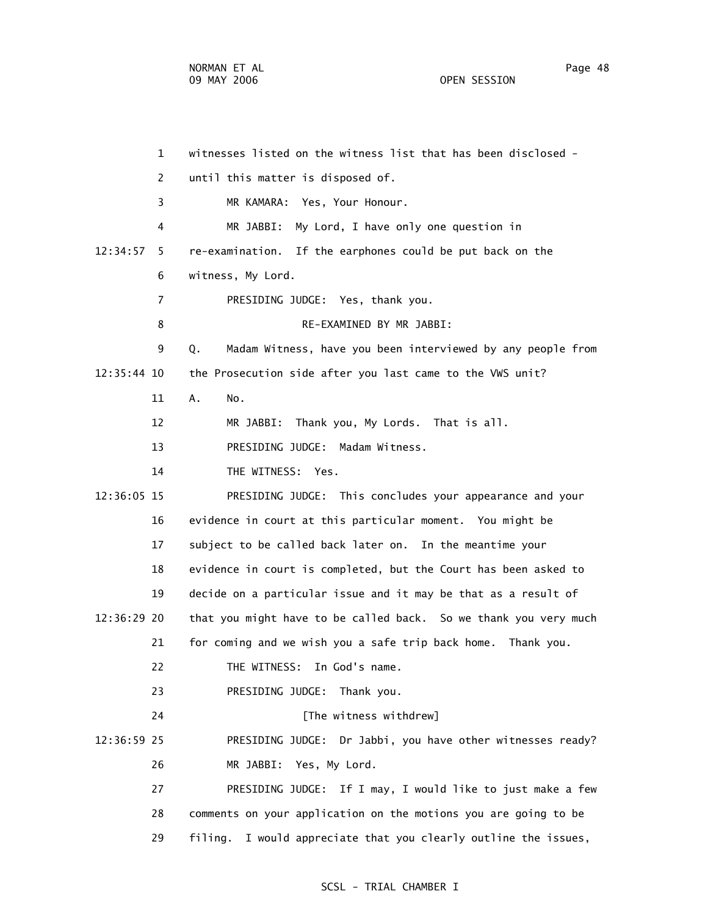1 witnesses listed on the witness list that has been disclosed - 2 until this matter is disposed of. 3 MR KAMARA: Yes, Your Honour. 4 MR JABBI: My Lord, I have only one question in 12:34:57 5 re-examination. If the earphones could be put back on the 6 witness, My Lord. 7 PRESIDING JUDGE: Yes, thank you. 8 RE-EXAMINED BY MR JABBI: 9 Q. Madam Witness, have you been interviewed by any people from 12:35:44 10 the Prosecution side after you last came to the VWS unit? 11 A. No. 12 MR JABBI: Thank you, My Lords. That is all. 13 PRESIDING JUDGE: Madam Witness. 14 THE WITNESS: Yes. 12:36:05 15 PRESIDING JUDGE: This concludes your appearance and your 16 evidence in court at this particular moment. You might be 17 subject to be called back later on. In the meantime your 18 evidence in court is completed, but the Court has been asked to 19 decide on a particular issue and it may be that as a result of 12:36:29 20 that you might have to be called back. So we thank you very much 21 for coming and we wish you a safe trip back home. Thank you. 22 THE WITNESS: In God's name. 23 PRESIDING JUDGE: Thank you. 24 **Example 24** [The witness withdrew] 12:36:59 25 PRESIDING JUDGE: Dr Jabbi, you have other witnesses ready? 26 MR JABBI: Yes, My Lord. 27 PRESIDING JUDGE: If I may, I would like to just make a few 28 comments on your application on the motions you are going to be 29 filing. I would appreciate that you clearly outline the issues,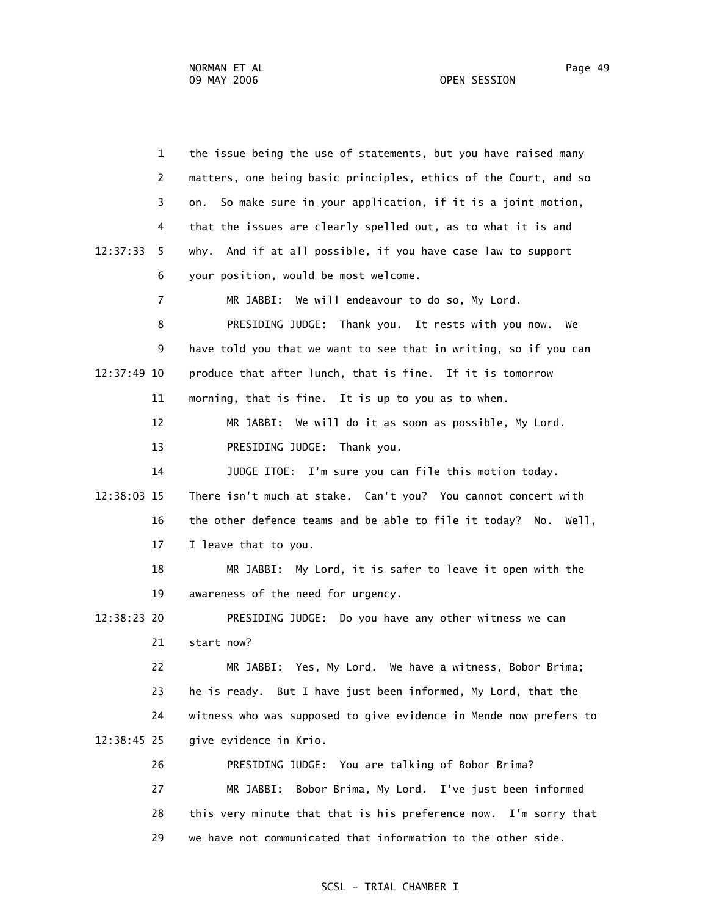1 the issue being the use of statements, but you have raised many 2 matters, one being basic principles, ethics of the Court, and so 3 on. So make sure in your application, if it is a joint motion, 4 that the issues are clearly spelled out, as to what it is and 12:37:33 5 why. And if at all possible, if you have case law to support 6 your position, would be most welcome. 7 MR JABBI: We will endeavour to do so, My Lord. 8 PRESIDING JUDGE: Thank you. It rests with you now. We 9 have told you that we want to see that in writing, so if you can 12:37:49 10 produce that after lunch, that is fine. If it is tomorrow 11 morning, that is fine. It is up to you as to when. 12 MR JABBI: We will do it as soon as possible, My Lord. 13 PRESIDING JUDGE: Thank you. 14 JUDGE ITOE: I'm sure you can file this motion today. 12:38:03 15 There isn't much at stake. Can't you? You cannot concert with 16 the other defence teams and be able to file it today? No. Well, 17 I leave that to you. 18 MR JABBI: My Lord, it is safer to leave it open with the 19 awareness of the need for urgency. 12:38:23 20 PRESIDING JUDGE: Do you have any other witness we can 21 start now? 22 MR JABBI: Yes, My Lord. We have a witness, Bobor Brima; 23 he is ready. But I have just been informed, My Lord, that the 24 witness who was supposed to give evidence in Mende now prefers to 12:38:45 25 give evidence in Krio. 26 PRESIDING JUDGE: You are talking of Bobor Brima? 27 MR JABBI: Bobor Brima, My Lord. I've just been informed 28 this very minute that that is his preference now. I'm sorry that 29 we have not communicated that information to the other side.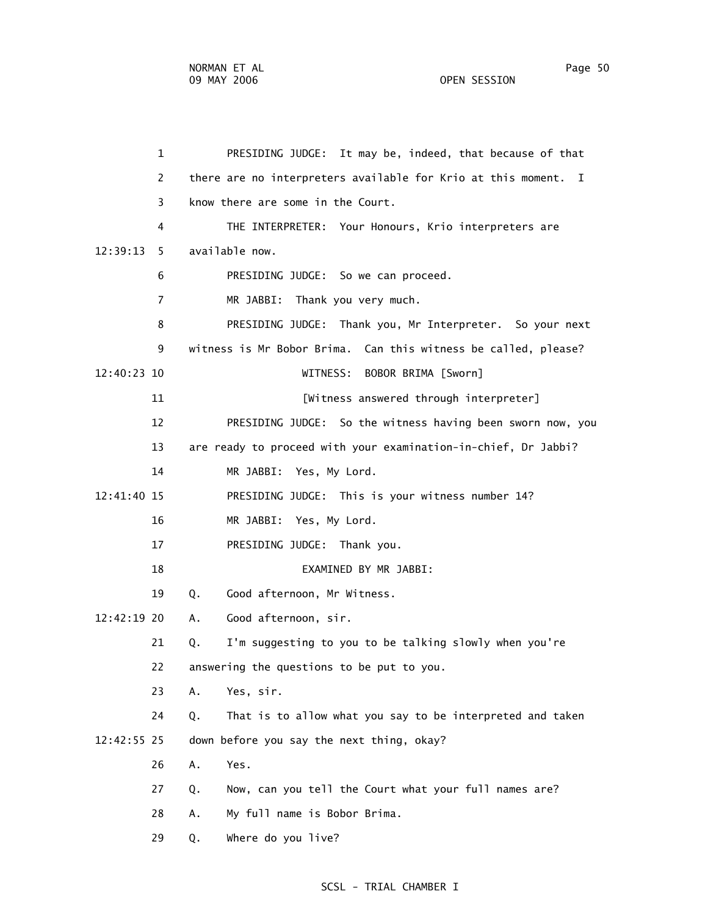1 PRESIDING JUDGE: It may be, indeed, that because of that 2 there are no interpreters available for Krio at this moment. I 3 know there are some in the Court. 4 THE INTERPRETER: Your Honours, Krio interpreters are 12:39:13 5 available now. 6 PRESIDING JUDGE: So we can proceed. 7 MR JABBI: Thank you very much. 8 PRESIDING JUDGE: Thank you, Mr Interpreter. So your next 9 witness is Mr Bobor Brima. Can this witness be called, please? 12:40:23 10 WITNESS: BOBOR BRIMA [Sworn] 11 [Witness answered through interpreter] 12 PRESIDING JUDGE: So the witness having been sworn now, you 13 are ready to proceed with your examination-in-chief, Dr Jabbi? 14 MR JABBI: Yes, My Lord. 12:41:40 15 PRESIDING JUDGE: This is your witness number 14? 16 MR JABBI: Yes, My Lord. 17 PRESIDING JUDGE: Thank you. 18 EXAMINED BY MR JABBI: 19 Q. Good afternoon, Mr Witness. 12:42:19 20 A. Good afternoon, sir. 21 Q. I'm suggesting to you to be talking slowly when you're 22 answering the questions to be put to you. 23 A. Yes, sir. 24 Q. That is to allow what you say to be interpreted and taken 12:42:55 25 down before you say the next thing, okay? 26 A. Yes. 27 Q. Now, can you tell the Court what your full names are? 28 A. My full name is Bobor Brima.

29 Q. Where do you live?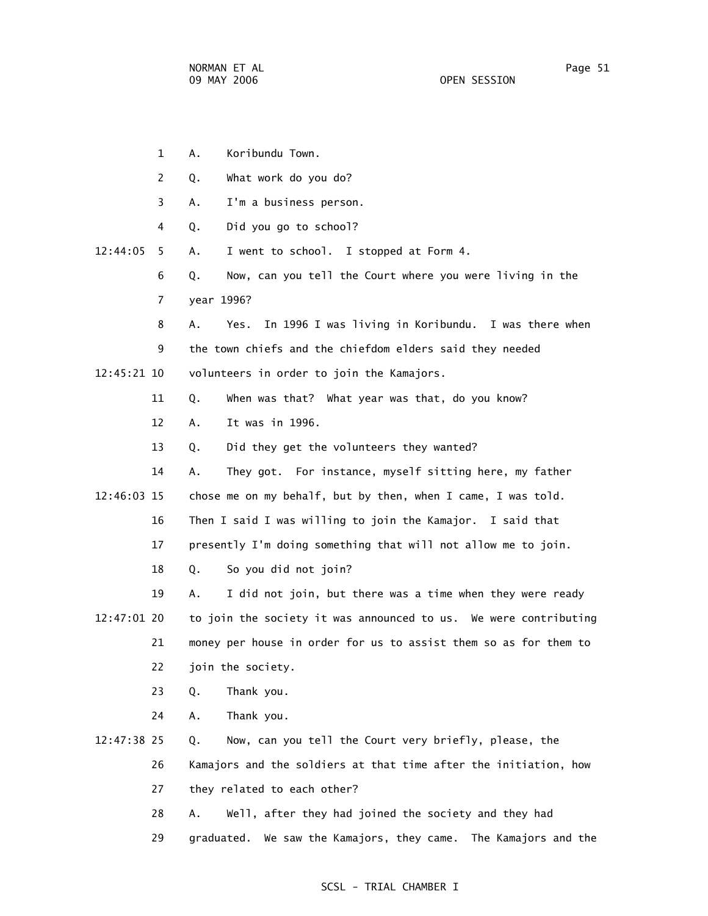- 1 A. Koribundu Town. 2 Q. What work do you do? 3 A. I'm a business person. 4 Q. Did you go to school? 12:44:05 5 A. I went to school. I stopped at Form 4. 6 Q. Now, can you tell the Court where you were living in the 7 year 1996? 8 A. Yes. In 1996 I was living in Koribundu. I was there when 9 the town chiefs and the chiefdom elders said they needed 12:45:21 10 volunteers in order to join the Kamajors. 11 Q. When was that? What year was that, do you know? 12 A. It was in 1996. 13 Q. Did they get the volunteers they wanted? 14 A. They got. For instance, myself sitting here, my father 12:46:03 15 chose me on my behalf, but by then, when I came, I was told. 16 Then I said I was willing to join the Kamajor. I said that 17 presently I'm doing something that will not allow me to join. 18 Q. So you did not join? 19 A. I did not join, but there was a time when they were ready 12:47:01 20 to join the society it was announced to us. We were contributing 21 money per house in order for us to assist them so as for them to 22 join the society. 23 Q. Thank you. 24 A. Thank you. 12:47:38 25 Q. Now, can you tell the Court very briefly, please, the 26 Kamajors and the soldiers at that time after the initiation, how 27 they related to each other? 28 A. Well, after they had joined the society and they had
	- 29 graduated. We saw the Kamajors, they came. The Kamajors and the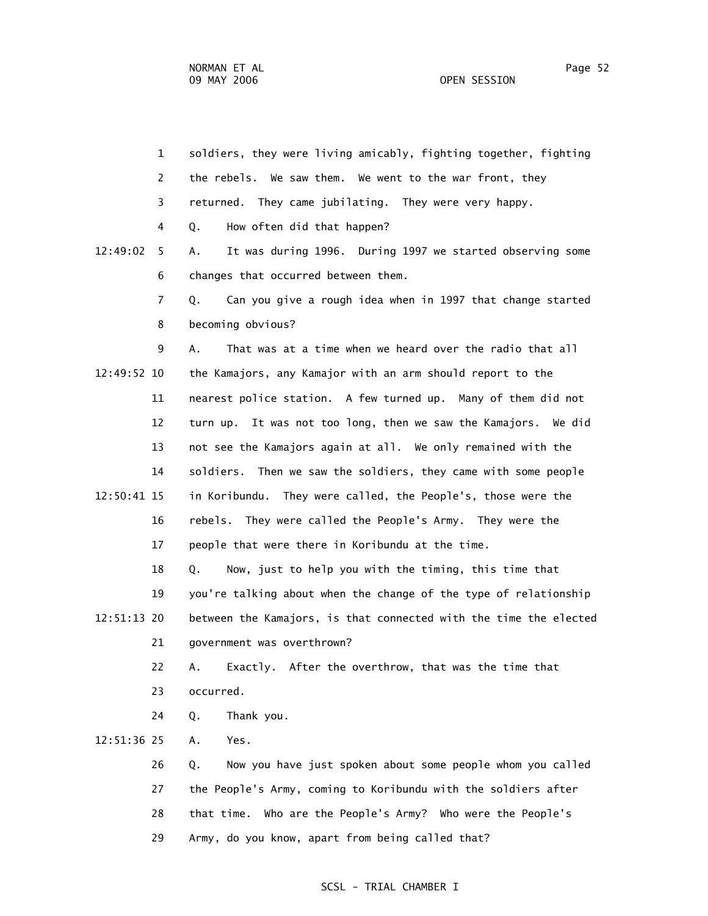1 soldiers, they were living amicably, fighting together, fighting 2 the rebels. We saw them. We went to the war front, they 3 returned. They came jubilating. They were very happy. 4 Q. How often did that happen? 12:49:02 5 A. It was during 1996. During 1997 we started observing some 6 changes that occurred between them. 7 Q. Can you give a rough idea when in 1997 that change started 8 becoming obvious? 9 A. That was at a time when we heard over the radio that all 12:49:52 10 the Kamajors, any Kamajor with an arm should report to the 11 nearest police station. A few turned up. Many of them did not 12 turn up. It was not too long, then we saw the Kamajors. We did 13 not see the Kamajors again at all. We only remained with the 14 soldiers. Then we saw the soldiers, they came with some people 12:50:41 15 in Koribundu. They were called, the People's, those were the 16 rebels. They were called the People's Army. They were the 17 people that were there in Koribundu at the time. 18 Q. Now, just to help you with the timing, this time that 19 you're talking about when the change of the type of relationship 12:51:13 20 between the Kamajors, is that connected with the time the elected 21 government was overthrown? 22 A. Exactly. After the overthrow, that was the time that 23 occurred. 24 Q. Thank you. 12:51:36 25 A. Yes. 26 Q. Now you have just spoken about some people whom you called 27 the People's Army, coming to Koribundu with the soldiers after 28 that time. Who are the People's Army? Who were the People's 29 Army, do you know, apart from being called that?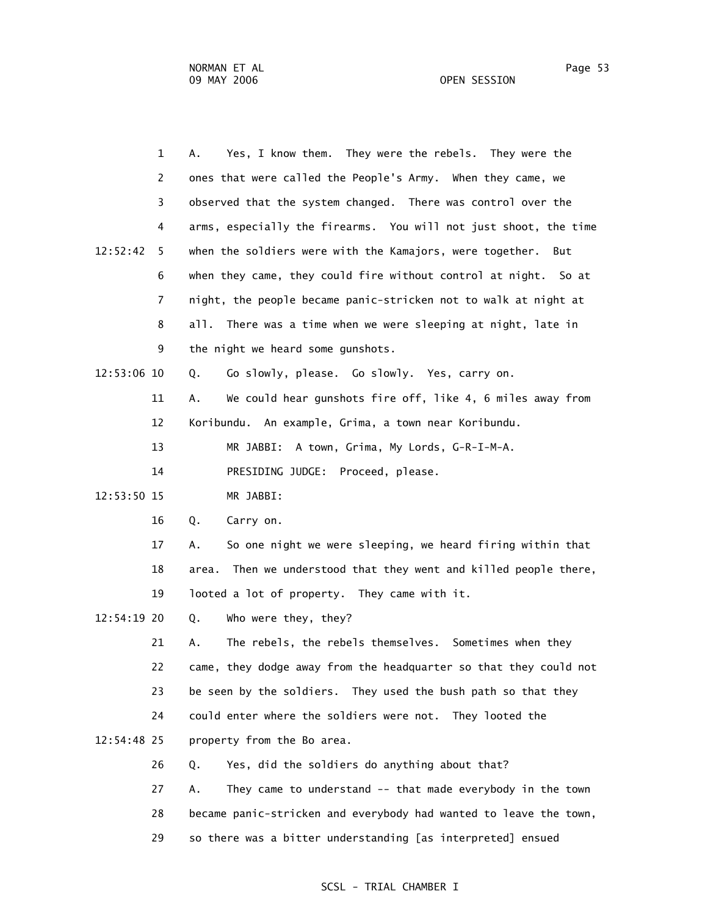| 1              | Yes, I know them. They were the rebels. They were the<br>А.         |
|----------------|---------------------------------------------------------------------|
| 2              | ones that were called the People's Army. When they came, we         |
| 3              | observed that the system changed. There was control over the        |
| 4              | arms, especially the firearms. You will not just shoot, the time    |
| 12:52:42<br>5. | when the soldiers were with the Kamajors, were together.<br>But     |
| 6              | when they came, they could fire without control at night. So at     |
| 7              | night, the people became panic-stricken not to walk at night at     |
| 8              | all. There was a time when we were sleeping at night, late in       |
| 9              | the night we heard some gunshots.                                   |
| 12:53:06 10    | Go slowly, please. Go slowly. Yes, carry on.<br>Q.                  |
| 11             | We could hear gunshots fire off, like 4, 6 miles away from<br>Α.    |
| 12             | Koribundu. An example, Grima, a town near Koribundu.                |
| 13             | A town, Grima, My Lords, G-R-I-M-A.<br>MR JABBI:                    |
| 14             | PRESIDING JUDGE: Proceed, please.                                   |
| 12:53:50 15    | MR JABBI:                                                           |
| 16             | Q.<br>Carry on.                                                     |
| 17             | So one night we were sleeping, we heard firing within that<br>А.    |
| 18             | Then we understood that they went and killed people there,<br>area. |
| 19             | looted a lot of property. They came with it.                        |
| 12:54:19 20    | Q.<br>Who were they, they?                                          |
| 21             | The rebels, the rebels themselves. Sometimes when they<br>Α.        |
| 22             | came, they dodge away from the headquarter so that they could not   |
| 23             | be seen by the soldiers. They used the bush path so that they       |
| 24             | could enter where the soldiers were not. They looted the            |
| 12:54:48 25    | property from the Bo area.                                          |
| 26             | Yes, did the soldiers do anything about that?<br>Q.                 |
| 27             | They came to understand -- that made everybody in the town<br>А.    |
| 28             | became panic-stricken and everybody had wanted to leave the town,   |
| 29             | so there was a bitter understanding [as interpreted] ensued         |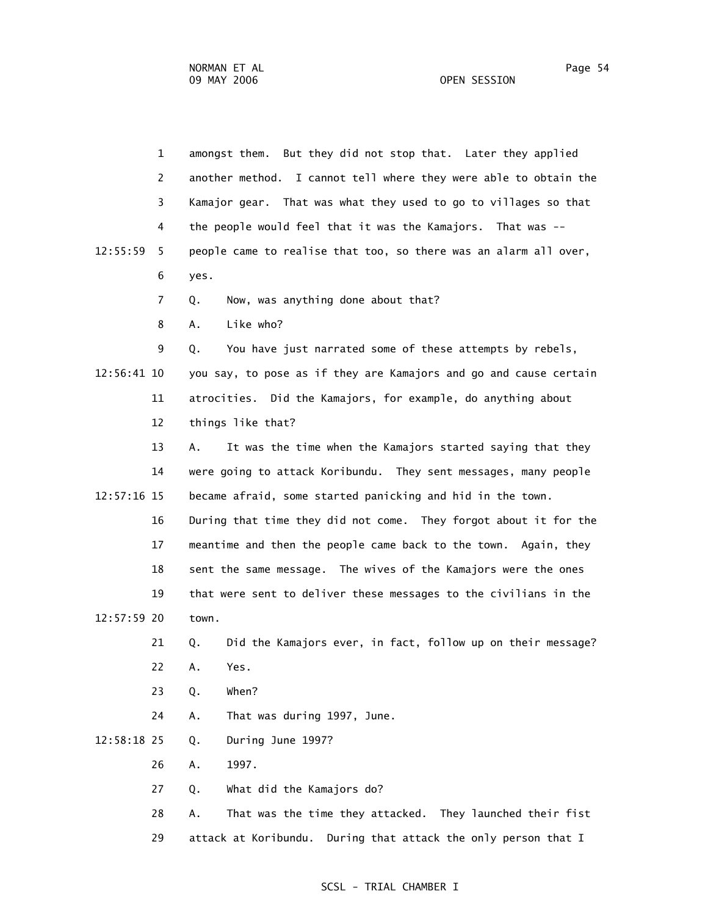|             | $\mathbf{1}$   | amongst them. But they did not stop that. Later they applied      |
|-------------|----------------|-------------------------------------------------------------------|
|             | 2              | another method. I cannot tell where they were able to obtain the  |
|             | 3              | Kamajor gear. That was what they used to go to villages so that   |
|             | 4              | the people would feel that it was the Kamajors. That was --       |
| 12:55:59    | 5              | people came to realise that too, so there was an alarm all over,  |
|             | 6              | yes.                                                              |
|             | $\overline{7}$ | Now, was anything done about that?<br>Q.                          |
|             | 8              | Like who?<br>А.                                                   |
|             | 9              | You have just narrated some of these attempts by rebels,<br>Q.    |
| 12:56:41 10 |                | you say, to pose as if they are Kamajors and go and cause certain |
|             | 11             | atrocities. Did the Kamajors, for example, do anything about      |
|             | 12             | things like that?                                                 |
|             | 13             | It was the time when the Kamajors started saying that they<br>А.  |
|             | 14             | were going to attack Koribundu. They sent messages, many people   |
| 12:57:16 15 |                | became afraid, some started panicking and hid in the town.        |
|             | 16             | During that time they did not come. They forgot about it for the  |
|             | 17             | meantime and then the people came back to the town. Again, they   |
|             | 18             | sent the same message. The wives of the Kamajors were the ones    |
|             | 19             | that were sent to deliver these messages to the civilians in the  |
| 12:57:59 20 |                | town.                                                             |
|             | 21             | Did the Kamajors ever, in fact, follow up on their message?<br>Q. |
|             | 22             | Yes.<br>Α.                                                        |
|             | 23             | When?<br>Q.                                                       |
|             | 24             | Α.<br>That was during 1997, June.                                 |
| 12:58:18 25 |                | During June 1997?<br>Q.                                           |
|             | 26             | 1997.<br>Α.                                                       |
|             | 27             | What did the Kamajors do?<br>Q.                                   |
|             | 28             | That was the time they attacked. They launched their fist<br>Α.   |
|             | 29             | attack at Koribundu.<br>During that attack the only person that I |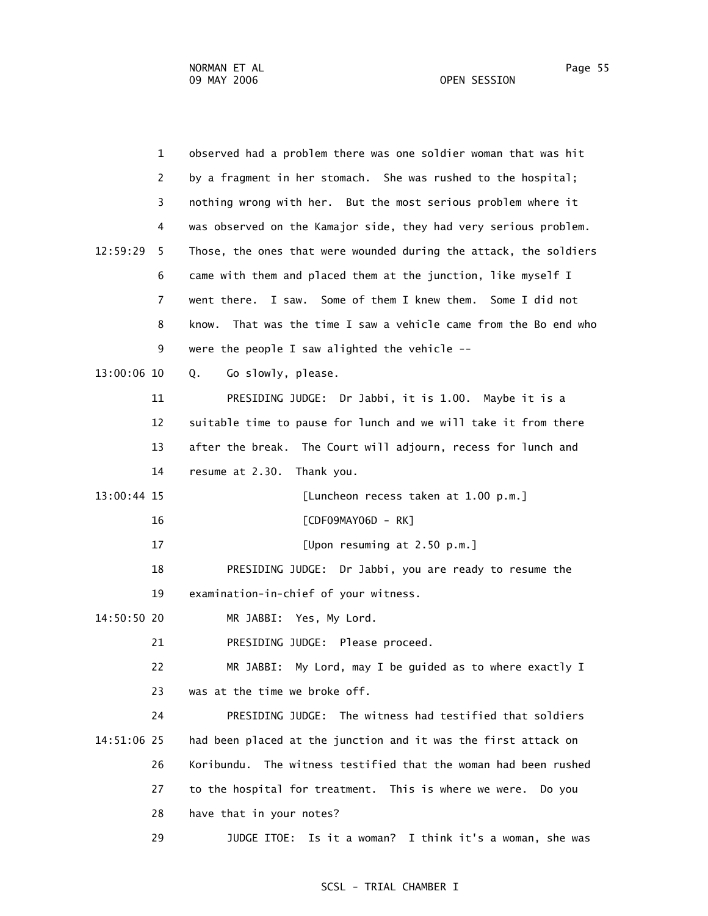| $\mathbf{1}$  | observed had a problem there was one soldier woman that was hit     |
|---------------|---------------------------------------------------------------------|
| 2             | by a fragment in her stomach. She was rushed to the hospital;       |
| 3             | nothing wrong with her. But the most serious problem where it       |
| 4             | was observed on the Kamajor side, they had very serious problem.    |
| 12:59:29<br>5 | Those, the ones that were wounded during the attack, the soldiers   |
| 6             | came with them and placed them at the junction, like myself I       |
| 7             | I saw. Some of them I knew them. Some I did not<br>went there.      |
| 8             | That was the time I saw a vehicle came from the Bo end who<br>know. |
| 9             | were the people I saw alighted the vehicle $--$                     |
| 13:00:06 10   | Go slowly, please.<br>Q.                                            |
| 11            | PRESIDING JUDGE: Dr Jabbi, it is 1.00. Maybe it is a                |
| 12            | suitable time to pause for lunch and we will take it from there     |
| 13            | after the break. The Court will adjourn, recess for lunch and       |
| 14            | Thank you.<br>resume at 2.30.                                       |
| 13:00:44 15   | [Luncheon recess taken at 1.00 p.m.]                                |
| 16            | [CDF09MAY06D - RK]                                                  |
| 17            | [Upon resuming at 2.50 p.m.]                                        |
| 18            | PRESIDING JUDGE: Dr Jabbi, you are ready to resume the              |
| 19            | examination-in-chief of your witness.                               |
| 14:50:50 20   | MR JABBI: Yes, My Lord.                                             |
| 21            | PRESIDING JUDGE: Please proceed.                                    |
| 22            | MR JABBI: My Lord, may I be guided as to where exactly I            |
| 23            | was at the time we broke off.                                       |
| 24            | PRESIDING JUDGE: The witness had testified that soldiers            |
| 14:51:06 25   | had been placed at the junction and it was the first attack on      |
| 26            | Koribundu. The witness testified that the woman had been rushed     |
| 27            | to the hospital for treatment. This is where we were.<br>Do you     |
| 28            | have that in your notes?                                            |
| 29            | JUDGE ITOE: Is it a woman? I think it's a woman, she was            |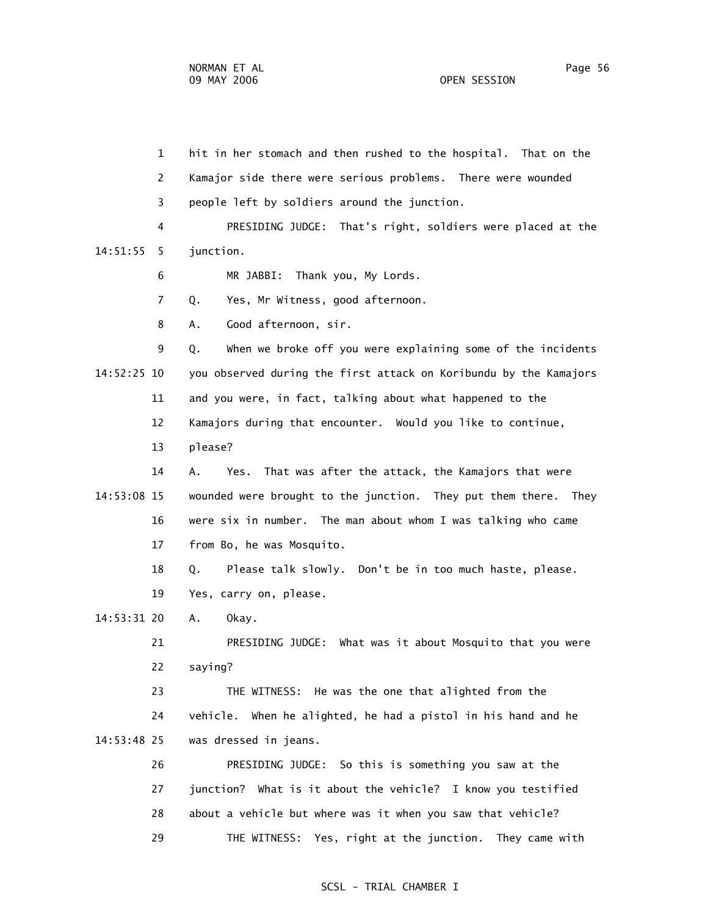1 hit in her stomach and then rushed to the hospital. That on the 2 Kamajor side there were serious problems. There were wounded 3 people left by soldiers around the junction. 4 PRESIDING JUDGE: That's right, soldiers were placed at the 14:51:55 5 junction. 6 MR JABBI: Thank you, My Lords. 7 Q. Yes, Mr Witness, good afternoon. 8 A. Good afternoon, sir. 9 Q. When we broke off you were explaining some of the incidents 14:52:25 10 you observed during the first attack on Koribundu by the Kamajors 11 and you were, in fact, talking about what happened to the 12 Kamajors during that encounter. Would you like to continue, 13 please? 14 A. Yes. That was after the attack, the Kamajors that were 14:53:08 15 wounded were brought to the junction. They put them there. They 16 were six in number. The man about whom I was talking who came 17 from Bo, he was Mosquito. 18 Q. Please talk slowly. Don't be in too much haste, please. 19 Yes, carry on, please. 14:53:31 20 A. Okay. 21 PRESIDING JUDGE: What was it about Mosquito that you were 22 saying? 23 THE WITNESS: He was the one that alighted from the 24 vehicle. When he alighted, he had a pistol in his hand and he 14:53:48 25 was dressed in jeans. 26 PRESIDING JUDGE: So this is something you saw at the 27 junction? What is it about the vehicle? I know you testified 28 about a vehicle but where was it when you saw that vehicle? 29 THE WITNESS: Yes, right at the junction. They came with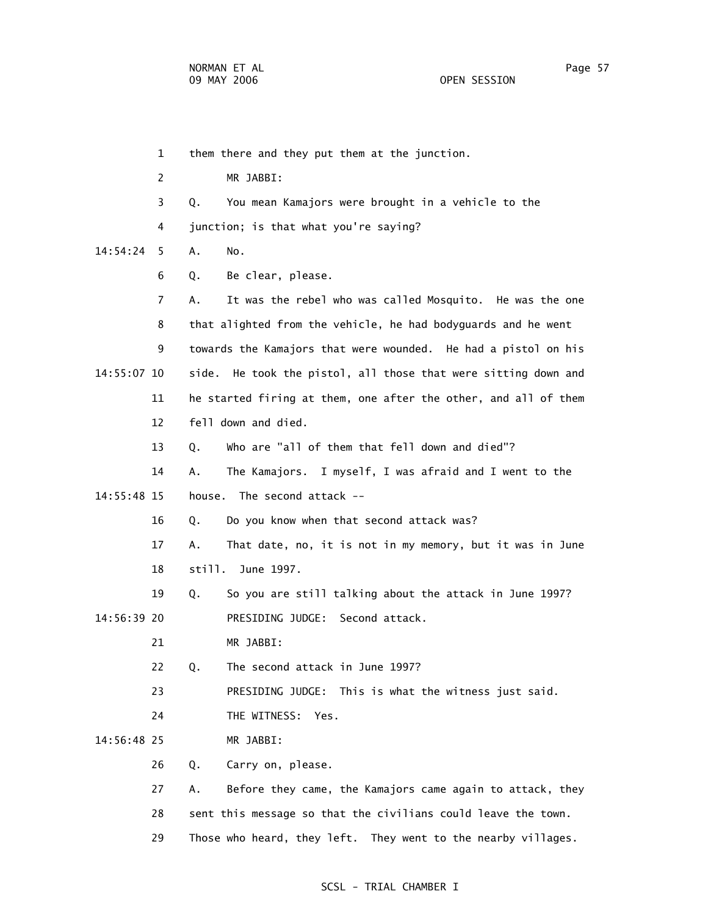1 them there and they put them at the junction. 2 MR JABBI: 3 Q. You mean Kamajors were brought in a vehicle to the 4 junction; is that what you're saying? 14:54:24 5 A. No. 6 Q. Be clear, please. 7 A. It was the rebel who was called Mosquito. He was the one 8 that alighted from the vehicle, he had bodyguards and he went 9 towards the Kamajors that were wounded. He had a pistol on his 14:55:07 10 side. He took the pistol, all those that were sitting down and 11 he started firing at them, one after the other, and all of them 12 fell down and died. 13 Q. Who are "all of them that fell down and died"? 14 A. The Kamajors. I myself, I was afraid and I went to the 14:55:48 15 house. The second attack -- 16 Q. Do you know when that second attack was? 17 A. That date, no, it is not in my memory, but it was in June 18 still. June 1997. 19 Q. So you are still talking about the attack in June 1997? 14:56:39 20 PRESIDING JUDGE: Second attack. 21 MR JABBI: 22 Q. The second attack in June 1997? 23 PRESIDING JUDGE: This is what the witness just said. 24 THE WITNESS: Yes. 14:56:48 25 MR JABBI: 26 Q. Carry on, please. 27 A. Before they came, the Kamajors came again to attack, they 28 sent this message so that the civilians could leave the town. 29 Those who heard, they left. They went to the nearby villages.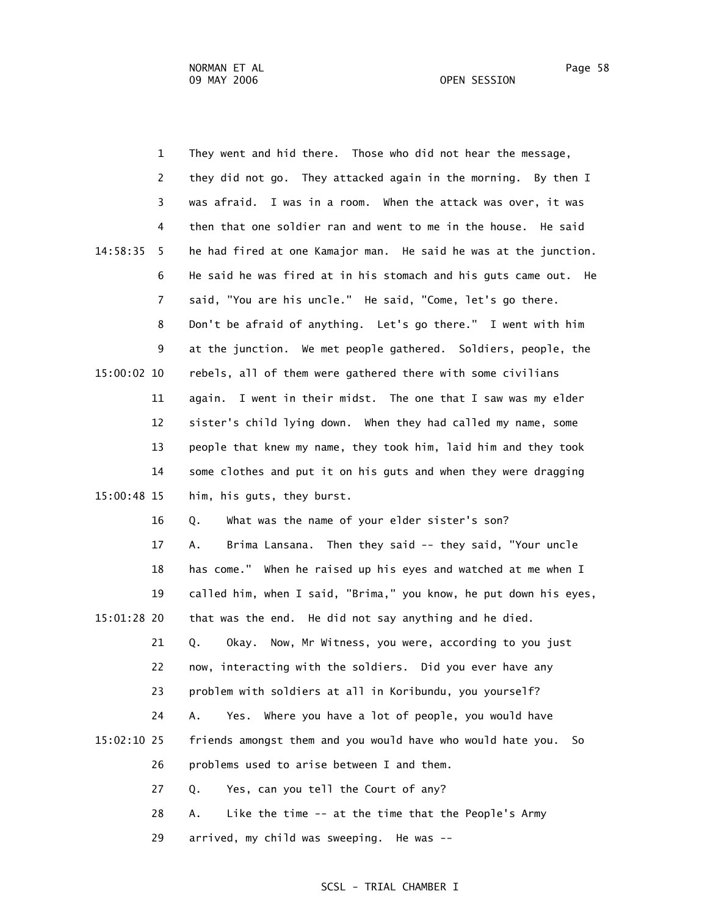|  | <b>OPEN SESSION</b> |
|--|---------------------|
|--|---------------------|

|             | $\mathbf{1}$   | They went and hid there. Those who did not hear the message,      |
|-------------|----------------|-------------------------------------------------------------------|
|             | $\overline{2}$ | they did not go. They attacked again in the morning. By then I    |
|             | 3              | was afraid.<br>I was in a room. When the attack was over, it was  |
|             | 4              | then that one soldier ran and went to me in the house. He said    |
| 14:58:35    | 5.             | he had fired at one Kamajor man. He said he was at the junction.  |
|             | 6              | He said he was fired at in his stomach and his guts came out. He  |
|             | $\overline{7}$ | said, "You are his uncle." He said, "Come, let's go there.        |
|             | 8              | Don't be afraid of anything. Let's go there." I went with him     |
|             | 9              | at the junction. We met people gathered. Soldiers, people, the    |
| 15:00:02 10 |                | rebels, all of them were gathered there with some civilians       |
|             | 11             | again. I went in their midst. The one that I saw was my elder     |
|             | 12             | sister's child lying down. When they had called my name, some     |
|             | 13             | people that knew my name, they took him, laid him and they took   |
|             | 14             | some clothes and put it on his guts and when they were dragging   |
| 15:00:48 15 |                | him, his guts, they burst.                                        |
|             | 16             | What was the name of your elder sister's son?<br>Q.               |
|             | 17             | Brima Lansana. Then they said -- they said, "Your uncle<br>А.     |
|             | 18             | has come." When he raised up his eyes and watched at me when I    |
|             | 19             | called him, when I said, "Brima," you know, he put down his eyes, |
| 15:01:28 20 |                | that was the end. He did not say anything and he died.            |
|             | 21             | Q.<br>Now, Mr Witness, you were, according to you just<br>Okay.   |
|             | 22             | now, interacting with the soldiers. Did you ever have any         |
|             | 23             | problem with soldiers at all in Koribundu, you yourself?          |
|             | 24             | Where you have a lot of people, you would have<br>Α.<br>Yes.      |
| 15:02:10 25 |                | friends amongst them and you would have who would hate you.<br>So |
|             | 26             | problems used to arise between I and them.                        |
|             | 27             | Yes, can you tell the Court of any?<br>Q.                         |
|             | 28             | Like the time -- at the time that the People's Army<br>Α.         |
|             |                |                                                                   |

29 arrived, my child was sweeping. He was --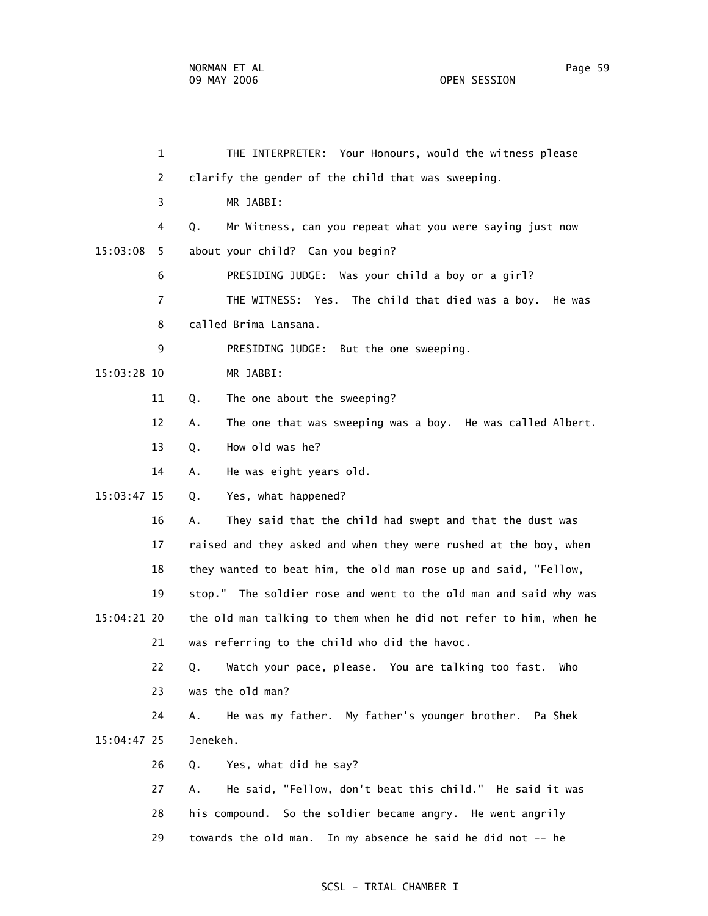1 THE INTERPRETER: Your Honours, would the witness please 2 clarify the gender of the child that was sweeping. 3 MR JABBI: 4 Q. Mr Witness, can you repeat what you were saying just now 15:03:08 5 about your child? Can you begin? 6 PRESIDING JUDGE: Was your child a boy or a girl? 7 THE WITNESS: Yes. The child that died was a boy. He was 8 called Brima Lansana. 9 PRESIDING JUDGE: But the one sweeping. 15:03:28 10 MR JABBI: 11 Q. The one about the sweeping? 12 A. The one that was sweeping was a boy. He was called Albert. 13 Q. How old was he? 14 A. He was eight years old. 15:03:47 15 Q. Yes, what happened? 16 A. They said that the child had swept and that the dust was 17 raised and they asked and when they were rushed at the boy, when 18 they wanted to beat him, the old man rose up and said, "Fellow, 19 stop." The soldier rose and went to the old man and said why was 15:04:21 20 the old man talking to them when he did not refer to him, when he 21 was referring to the child who did the havoc. 22 Q. Watch your pace, please. You are talking too fast. Who 23 was the old man? 24 A. He was my father. My father's younger brother. Pa Shek 15:04:47 25 Jenekeh. 26 Q. Yes, what did he say? 27 A. He said, "Fellow, don't beat this child." He said it was 28 his compound. So the soldier became angry. He went angrily 29 towards the old man. In my absence he said he did not -- he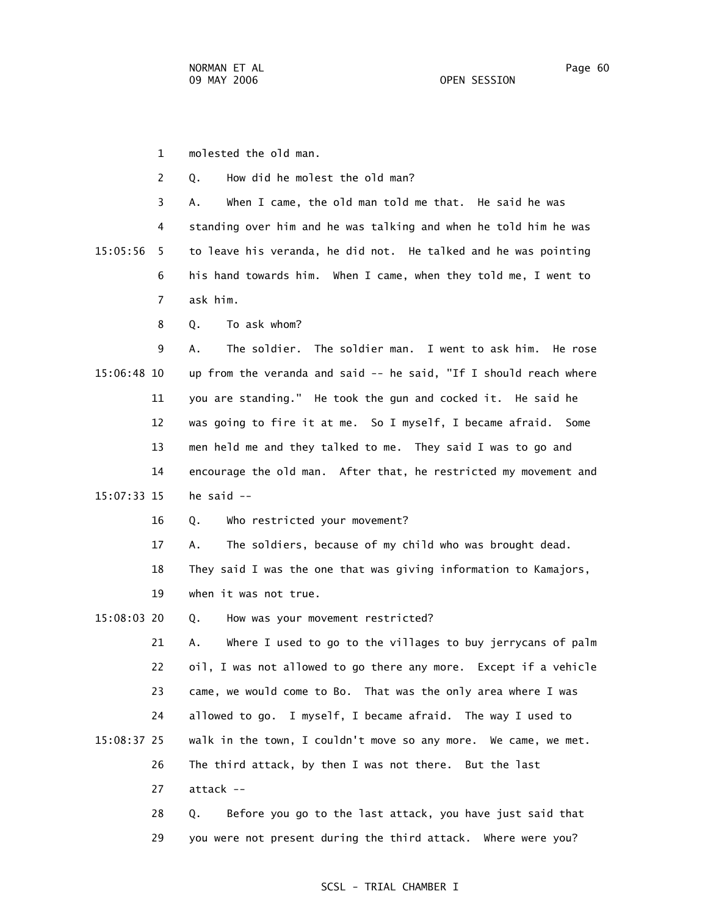1 molested the old man.

2 Q. How did he molest the old man?

 3 A. When I came, the old man told me that. He said he was 4 standing over him and he was talking and when he told him he was 15:05:56 5 to leave his veranda, he did not. He talked and he was pointing 6 his hand towards him. When I came, when they told me, I went to 7 ask him.

8 Q. To ask whom?

 9 A. The soldier. The soldier man. I went to ask him. He rose 15:06:48 10 up from the veranda and said -- he said, "If I should reach where 11 you are standing." He took the gun and cocked it. He said he 12 was going to fire it at me. So I myself, I became afraid. Some 13 men held me and they talked to me. They said I was to go and 14 encourage the old man. After that, he restricted my movement and 15:07:33 15 he said --

16 Q. Who restricted your movement?

17 A. The soldiers, because of my child who was brought dead.

18 They said I was the one that was giving information to Kamajors,

19 when it was not true.

15:08:03 20 Q. How was your movement restricted?

 21 A. Where I used to go to the villages to buy jerrycans of palm 22 oil, I was not allowed to go there any more. Except if a vehicle 23 came, we would come to Bo. That was the only area where I was 24 allowed to go. I myself, I became afraid. The way I used to 15:08:37 25 walk in the town, I couldn't move so any more. We came, we met. 26 The third attack, by then I was not there. But the last

27 attack --

 28 Q. Before you go to the last attack, you have just said that 29 you were not present during the third attack. Where were you?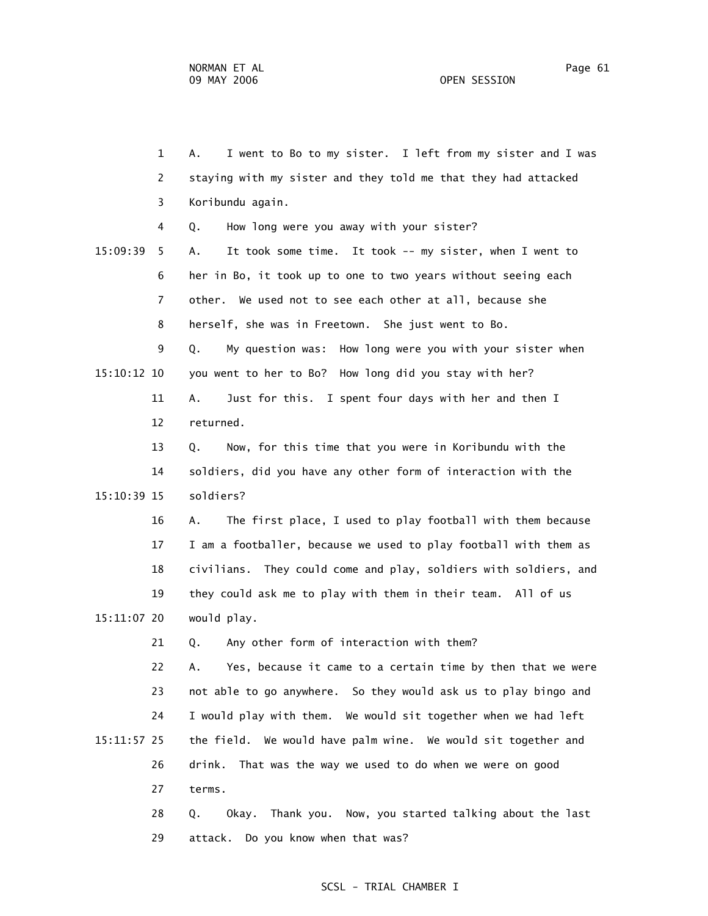1 A. I went to Bo to my sister. I left from my sister and I was 2 staying with my sister and they told me that they had attacked 3 Koribundu again. 4 Q. How long were you away with your sister? 15:09:39 5 A. It took some time. It took -- my sister, when I went to 6 her in Bo, it took up to one to two years without seeing each 7 other. We used not to see each other at all, because she 8 herself, she was in Freetown. She just went to Bo. 9 Q. My question was: How long were you with your sister when 15:10:12 10 you went to her to Bo? How long did you stay with her? 11 A. Just for this. I spent four days with her and then I 12 returned. 13 Q. Now, for this time that you were in Koribundu with the 14 soldiers, did you have any other form of interaction with the 15:10:39 15 soldiers? 16 A. The first place, I used to play football with them because 17 I am a footballer, because we used to play football with them as 18 civilians. They could come and play, soldiers with soldiers, and 19 they could ask me to play with them in their team. All of us 15:11:07 20 would play. 21 Q. Any other form of interaction with them? 22 A. Yes, because it came to a certain time by then that we were 23 not able to go anywhere. So they would ask us to play bingo and 24 I would play with them. We would sit together when we had left 15:11:57 25 the field. We would have palm wine. We would sit together and 26 drink. That was the way we used to do when we were on good 27 terms. 28 Q. Okay. Thank you. Now, you started talking about the last

29 attack. Do you know when that was?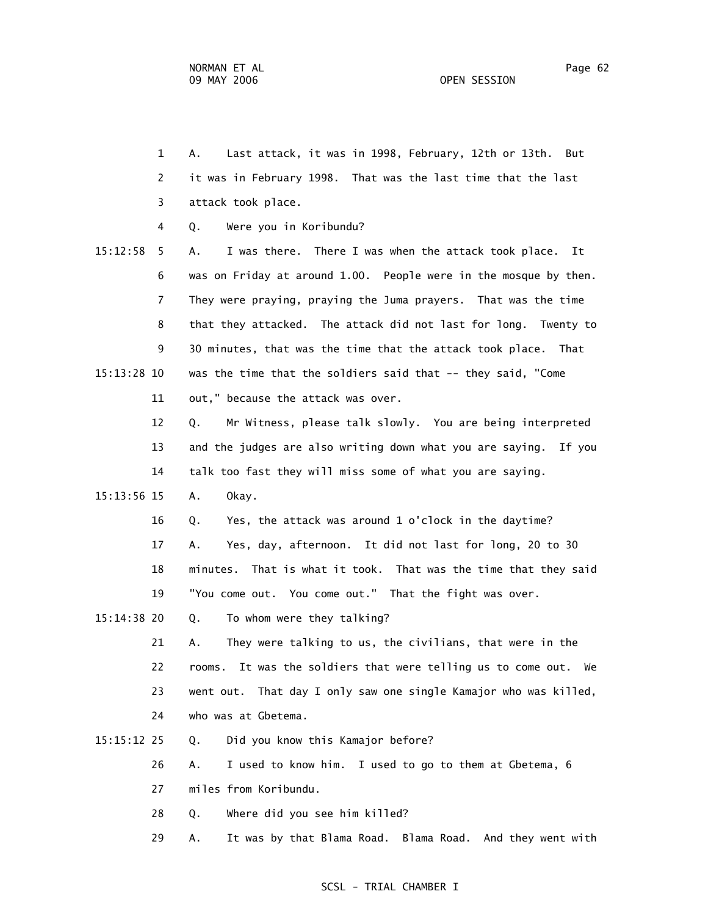1 A. Last attack, it was in 1998, February, 12th or 13th. But 2 it was in February 1998. That was the last time that the last 3 attack took place. 4 Q. Were you in Koribundu? 15:12:58 5 A. I was there. There I was when the attack took place. It 6 was on Friday at around 1.00. People were in the mosque by then. 7 They were praying, praying the Juma prayers. That was the time 8 that they attacked. The attack did not last for long. Twenty to 9 30 minutes, that was the time that the attack took place. That 15:13:28 10 was the time that the soldiers said that -- they said, "Come 11 out," because the attack was over. 12 Q. Mr Witness, please talk slowly. You are being interpreted 13 and the judges are also writing down what you are saying. If you 14 talk too fast they will miss some of what you are saying. 15:13:56 15 A. Okay. 16 Q. Yes, the attack was around 1 o'clock in the daytime? 17 A. Yes, day, afternoon. It did not last for long, 20 to 30 18 minutes. That is what it took. That was the time that they said 19 "You come out. You come out." That the fight was over. 15:14:38 20 Q. To whom were they talking? 21 A. They were talking to us, the civilians, that were in the 22 rooms. It was the soldiers that were telling us to come out. We 23 went out. That day I only saw one single Kamajor who was killed, 24 who was at Gbetema. 15:15:12 25 Q. Did you know this Kamajor before? 26 A. I used to know him. I used to go to them at Gbetema, 6 27 miles from Koribundu.

28 Q. Where did you see him killed?

29 A. It was by that Blama Road. Blama Road. And they went with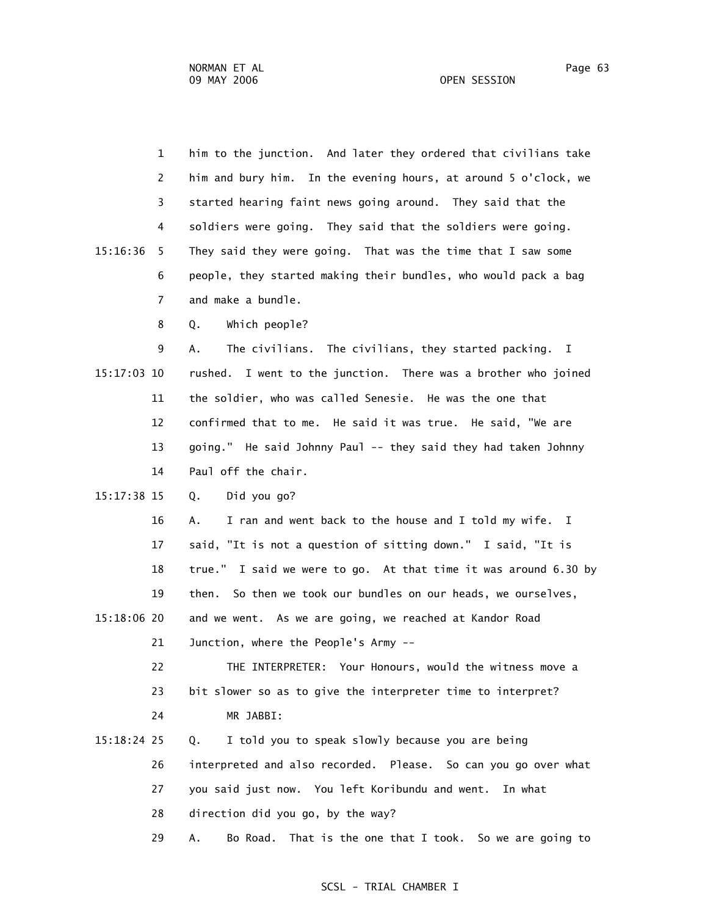1 him to the junction. And later they ordered that civilians take 2 him and bury him. In the evening hours, at around 5 o'clock, we 3 started hearing faint news going around. They said that the 4 soldiers were going. They said that the soldiers were going. 15:16:36 5 They said they were going. That was the time that I saw some 6 people, they started making their bundles, who would pack a bag 7 and make a bundle. 8 Q. Which people? 9 A. The civilians. The civilians, they started packing. I 15:17:03 10 rushed. I went to the junction. There was a brother who joined 11 the soldier, who was called Senesie. He was the one that 12 confirmed that to me. He said it was true. He said, "We are 13 going." He said Johnny Paul -- they said they had taken Johnny 14 Paul off the chair. 15:17:38 15 Q. Did you go? 16 A. I ran and went back to the house and I told my wife. I 17 said, "It is not a question of sitting down." I said, "It is 18 true." I said we were to go. At that time it was around 6.30 by 19 then. So then we took our bundles on our heads, we ourselves, 15:18:06 20 and we went. As we are going, we reached at Kandor Road 21 Junction, where the People's Army -- 22 THE INTERPRETER: Your Honours, would the witness move a 23 bit slower so as to give the interpreter time to interpret? 24 MR JABBI: 15:18:24 25 Q. I told you to speak slowly because you are being 26 interpreted and also recorded. Please. So can you go over what 27 you said just now. You left Koribundu and went. In what 28 direction did you go, by the way? 29 A. Bo Road. That is the one that I took. So we are going to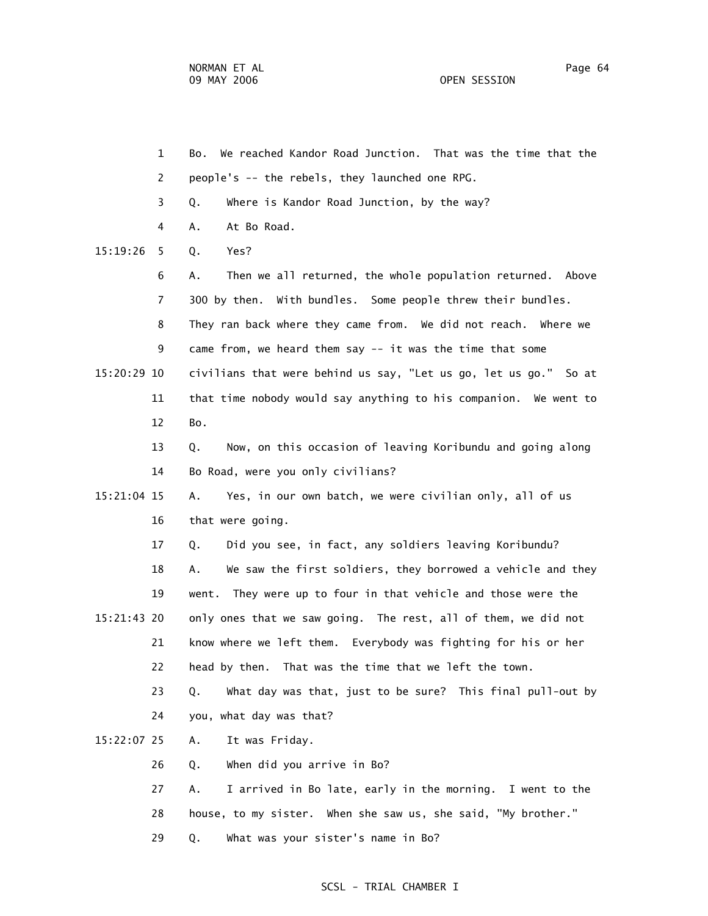1 Bo. We reached Kandor Road Junction. That was the time that the 2 people's -- the rebels, they launched one RPG. 3 Q. Where is Kandor Road Junction, by the way? 4 A. At Bo Road. 15:19:26 5 Q. Yes? 6 A. Then we all returned, the whole population returned. Above 7 300 by then. With bundles. Some people threw their bundles. 8 They ran back where they came from. We did not reach. Where we 9 came from, we heard them say -- it was the time that some 15:20:29 10 civilians that were behind us say, "Let us go, let us go." So at 11 that time nobody would say anything to his companion. We went to 12 Bo. 13 Q. Now, on this occasion of leaving Koribundu and going along 14 Bo Road, were you only civilians? 15:21:04 15 A. Yes, in our own batch, we were civilian only, all of us 16 that were going. 17 Q. Did you see, in fact, any soldiers leaving Koribundu? 18 A. We saw the first soldiers, they borrowed a vehicle and they 19 went. They were up to four in that vehicle and those were the 15:21:43 20 only ones that we saw going. The rest, all of them, we did not 21 know where we left them. Everybody was fighting for his or her 22 head by then. That was the time that we left the town. 23 Q. What day was that, just to be sure? This final pull-out by 24 you, what day was that? 15:22:07 25 A. It was Friday. 26 Q. When did you arrive in Bo? 27 A. I arrived in Bo late, early in the morning. I went to the 28 house, to my sister. When she saw us, she said, "My brother." 29 Q. What was your sister's name in Bo?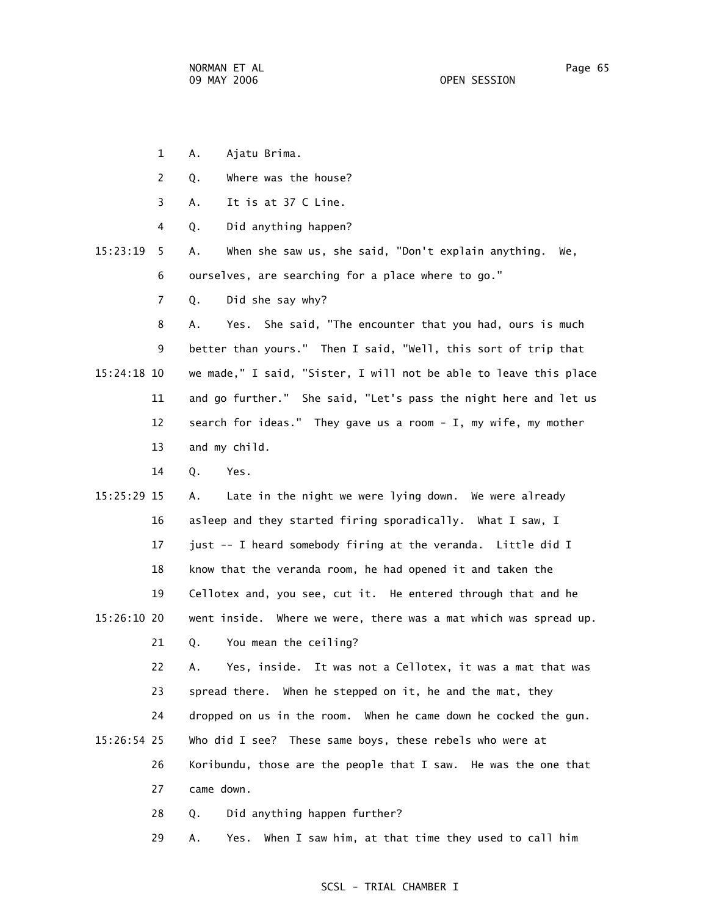- 1 A. Ajatu Brima.
- 2 Q. Where was the house?
- 3 A. It is at 37 C Line.
- 4 Q. Did anything happen?
- 15:23:19 5 A. When she saw us, she said, "Don't explain anything. We, 6 ourselves, are searching for a place where to go."
	- 7 Q. Did she say why?

 8 A. Yes. She said, "The encounter that you had, ours is much 9 better than yours." Then I said, "Well, this sort of trip that 15:24:18 10 we made," I said, "Sister, I will not be able to leave this place 11 and go further." She said, "Let's pass the night here and let us 12 search for ideas." They gave us a room - I, my wife, my mother 13 and my child.

- 14 Q. Yes.
- 15:25:29 15 A. Late in the night we were lying down. We were already 16 asleep and they started firing sporadically. What I saw, I 17 just -- I heard somebody firing at the veranda. Little did I 18 know that the veranda room, he had opened it and taken the 19 Cellotex and, you see, cut it. He entered through that and he 15:26:10 20 went inside. Where we were, there was a mat which was spread up.

21 Q. You mean the ceiling?

 22 A. Yes, inside. It was not a Cellotex, it was a mat that was 23 spread there. When he stepped on it, he and the mat, they

24 dropped on us in the room. When he came down he cocked the gun.

- 15:26:54 25 Who did I see? These same boys, these rebels who were at
	- 26 Koribundu, those are the people that I saw. He was the one that 27 came down.
		- 28 Q. Did anything happen further?

29 A. Yes. When I saw him, at that time they used to call him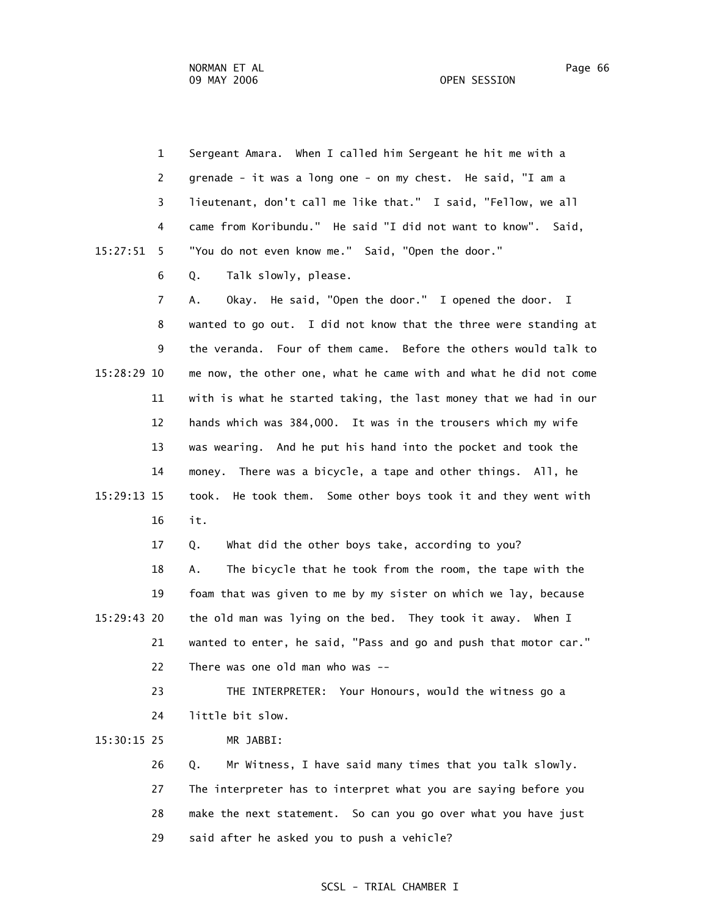| $\mathbf{1}$   |       | Sergeant Amara. When I called him Sergeant he hit me with a       |
|----------------|-------|-------------------------------------------------------------------|
| 2              |       | grenade - it was a long one - on my chest. He said, "I am a       |
| 3              |       | lieutenant, don't call me like that." I said, "Fellow, we all     |
| 4              |       | came from Koribundu." He said "I did not want to know". Said,     |
| 15:27:51<br>5  |       | "You do not even know me." Said, "Open the door."                 |
| 6              | Q.    | Talk slowly, please.                                              |
| $\overline{7}$ | Α.    | Okay. He said, "Open the door." I opened the door. I              |
| 8              |       | wanted to go out. I did not know that the three were standing at  |
| 9              |       | the veranda. Four of them came. Before the others would talk to   |
| 15:28:29 10    |       | me now, the other one, what he came with and what he did not come |
| 11             |       | with is what he started taking, the last money that we had in our |
| 12             |       | hands which was 384,000. It was in the trousers which my wife     |
| 13             |       | was wearing. And he put his hand into the pocket and took the     |
| 14             |       | money. There was a bicycle, a tape and other things. All, he      |
| 15:29:13 15    | took. | He took them. Some other boys took it and they went with          |
| 16             | it.   |                                                                   |
| 17             | Q.    | What did the other boys take, according to you?                   |
| 18             | Α.    | The bicycle that he took from the room, the tape with the         |
| 19             |       | foam that was given to me by my sister on which we lay, because   |
| 15:29:43 20    |       | the old man was lying on the bed. They took it away. When I       |
| 21             |       | wanted to enter, he said, "Pass and go and push that motor car."  |

22 There was one old man who was --

 23 THE INTERPRETER: Your Honours, would the witness go a 24 little bit slow.

15:30:15 25 MR JABBI:

 26 Q. Mr Witness, I have said many times that you talk slowly. 27 The interpreter has to interpret what you are saying before you 28 make the next statement. So can you go over what you have just 29 said after he asked you to push a vehicle?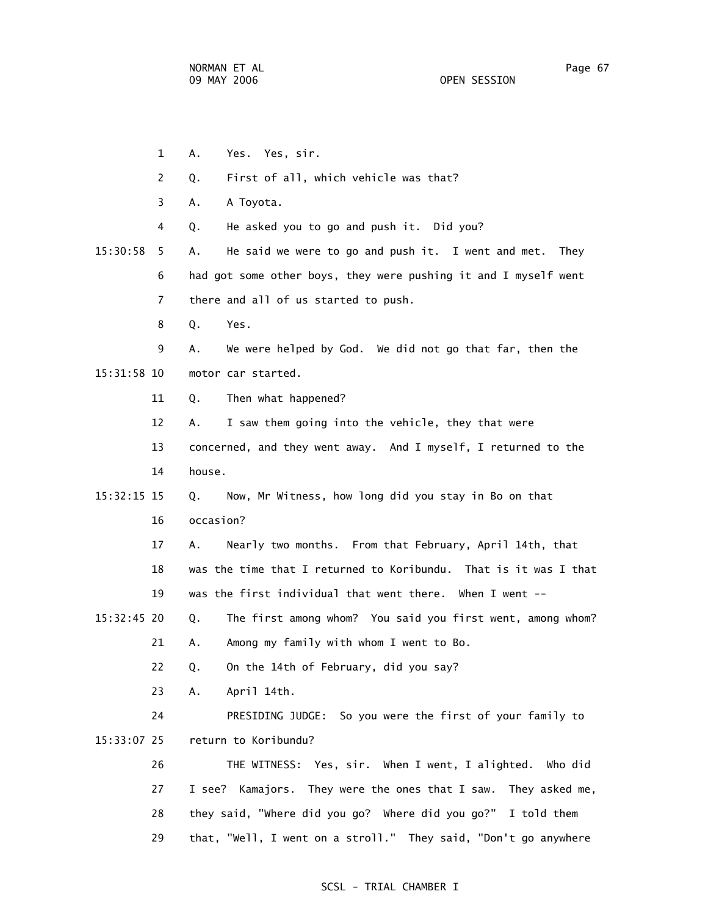1 A. Yes. Yes, sir. 2 Q. First of all, which vehicle was that? 3 A. A Toyota. 4 Q. He asked you to go and push it. Did you? 15:30:58 5 A. He said we were to go and push it. I went and met. They 6 had got some other boys, they were pushing it and I myself went 7 there and all of us started to push. 8 Q. Yes. 9 A. We were helped by God. We did not go that far, then the 15:31:58 10 motor car started. 11 Q. Then what happened? 12 A. I saw them going into the vehicle, they that were 13 concerned, and they went away. And I myself, I returned to the 14 house. 15:32:15 15 Q. Now, Mr Witness, how long did you stay in Bo on that 16 occasion? 17 A. Nearly two months. From that February, April 14th, that 18 was the time that I returned to Koribundu. That is it was I that 19 was the first individual that went there. When I went -- 15:32:45 20 Q. The first among whom? You said you first went, among whom? 21 A. Among my family with whom I went to Bo. 22 Q. On the 14th of February, did you say? 23 A. April 14th. 24 PRESIDING JUDGE: So you were the first of your family to 15:33:07 25 return to Koribundu? 26 THE WITNESS: Yes, sir. When I went, I alighted. Who did 27 I see? Kamajors. They were the ones that I saw. They asked me, 28 they said, "Where did you go? Where did you go?" I told them

#### SCSL - TRIAL CHAMBER I

29 that, "Well, I went on a stroll." They said, "Don't go anywhere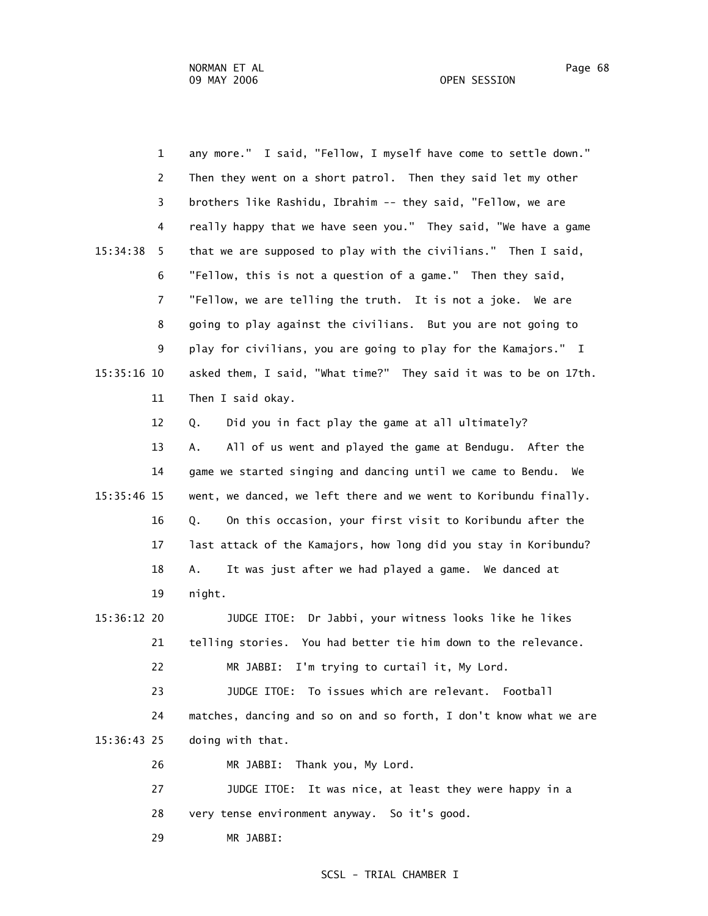| $\mathbf{1}$   | any more." I said, "Fellow, I myself have come to settle down."   |
|----------------|-------------------------------------------------------------------|
| 2              | Then they went on a short patrol. Then they said let my other     |
| 3              | brothers like Rashidu, Ibrahim -- they said, "Fellow, we are      |
| 4              | really happy that we have seen you." They said, "We have a game   |
| 15:34:38<br>5  | that we are supposed to play with the civilians." Then I said,    |
| 6              | "Fellow, this is not a question of a game." Then they said,       |
| $\overline{7}$ | "Fellow, we are telling the truth. It is not a joke. We are       |
| 8              | going to play against the civilians. But you are not going to     |
| 9              | play for civilians, you are going to play for the Kamajors." I    |
| 15:35:16 10    | asked them, I said, "What time?" They said it was to be on 17th.  |
| 11             | Then I said okay.                                                 |
| 12             | Did you in fact play the game at all ultimately?<br>Q.            |
| 13             | All of us went and played the game at Bendugu. After the<br>Α.    |
| 14             | game we started singing and dancing until we came to Bendu.<br>We |
| 15:35:46 15    | went, we danced, we left there and we went to Koribundu finally.  |
| 16             | On this occasion, your first visit to Koribundu after the<br>Q.   |
| 17             | last attack of the Kamajors, how long did you stay in Koribundu?  |
| 18             | It was just after we had played a game. We danced at<br>Α.        |
| 19             | night.                                                            |
| 15:36:12 20    | JUDGE ITOE: Dr Jabbi, your witness looks like he likes            |
| 21             | telling stories. You had better tie him down to the relevance.    |
| 22             | MR JABBI: I'm trying to curtail it, My Lord.                      |
| 23             | To issues which are relevant. Football<br>JUDGE ITOE:             |
| 24             | matches, dancing and so on and so forth, I don't know what we are |
| 15:36:43 25    | doing with that.                                                  |
| 26             | Thank you, My Lord.<br>MR JABBI:                                  |
| 27             | JUDGE ITOE:<br>It was nice, at least they were happy in a         |
| 28             | very tense environment anyway. So it's good.                      |
| 29             | MR JABBI:                                                         |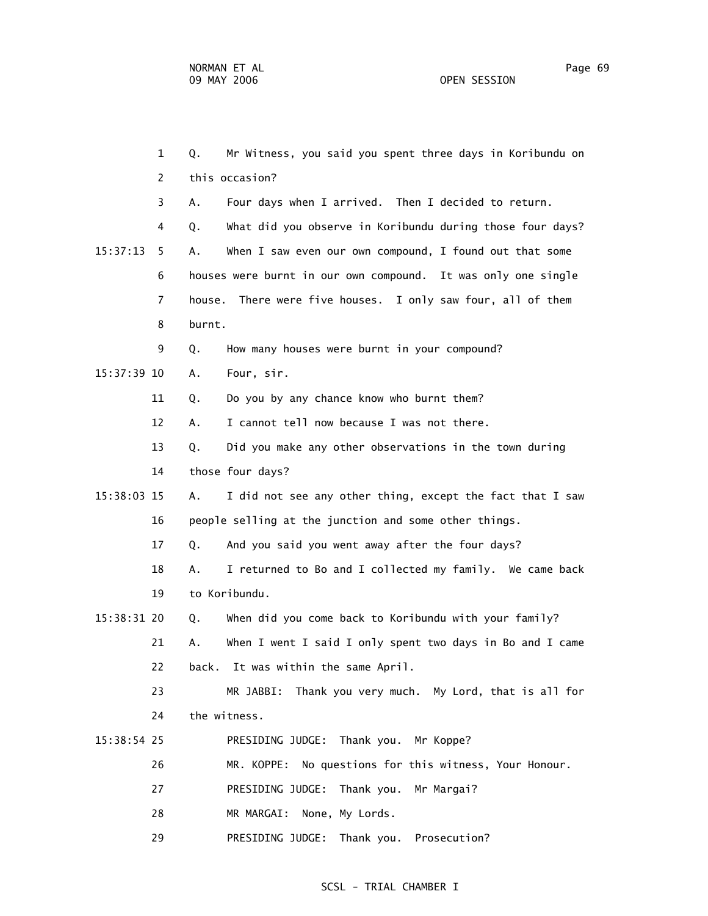1 Q. Mr Witness, you said you spent three days in Koribundu on 2 this occasion? 3 A. Four days when I arrived. Then I decided to return. 4 Q. What did you observe in Koribundu during those four days? 15:37:13 5 A. When I saw even our own compound, I found out that some 6 houses were burnt in our own compound. It was only one single 7 house. There were five houses. I only saw four, all of them 8 burnt. 9 Q. How many houses were burnt in your compound? 15:37:39 10 A. Four, sir. 11 Q. Do you by any chance know who burnt them? 12 A. I cannot tell now because I was not there. 13 Q. Did you make any other observations in the town during 14 those four days? 15:38:03 15 A. I did not see any other thing, except the fact that I saw 16 people selling at the junction and some other things. 17 Q. And you said you went away after the four days? 18 A. I returned to Bo and I collected my family. We came back 19 to Koribundu. 15:38:31 20 Q. When did you come back to Koribundu with your family? 21 A. When I went I said I only spent two days in Bo and I came 22 back. It was within the same April. 23 MR JABBI: Thank you very much. My Lord, that is all for 24 the witness. 15:38:54 25 PRESIDING JUDGE: Thank you. Mr Koppe? 26 MR. KOPPE: No questions for this witness, Your Honour. 27 PRESIDING JUDGE: Thank you. Mr Margai? 28 MR MARGAI: None, My Lords. 29 PRESIDING JUDGE: Thank you. Prosecution?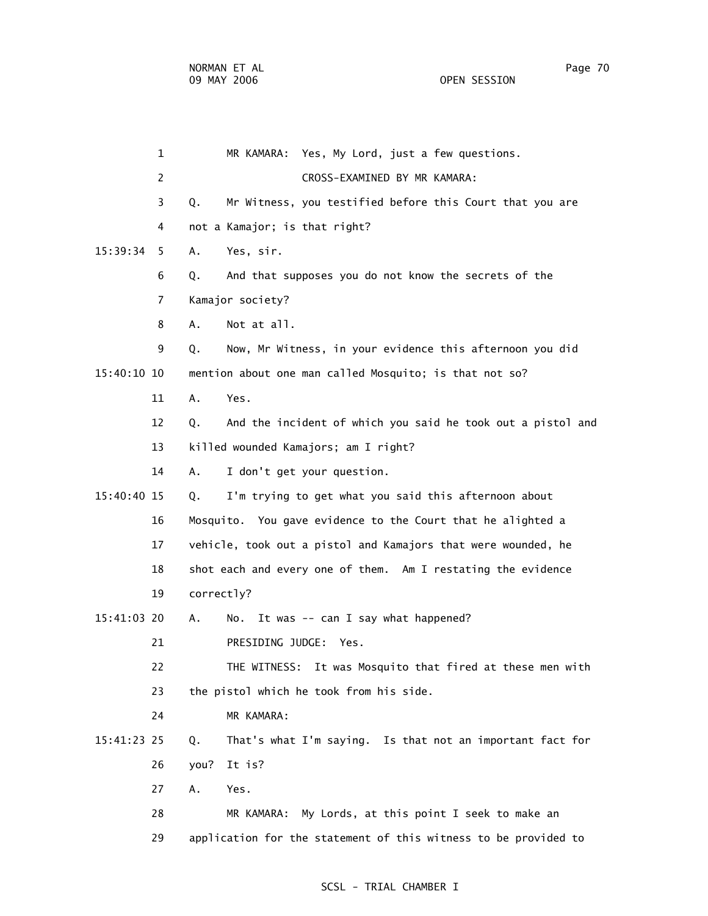1 MR KAMARA: Yes, My Lord, just a few questions. 2 CROSS-EXAMINED BY MR KAMARA: 3 Q. Mr Witness, you testified before this Court that you are 4 not a Kamajor; is that right? 15:39:34 5 A. Yes, sir. 6 Q. And that supposes you do not know the secrets of the 7 Kamajor society? 8 A. Not at all. 9 Q. Now, Mr Witness, in your evidence this afternoon you did 15:40:10 10 mention about one man called Mosquito; is that not so? 11 A. Yes. 12 Q. And the incident of which you said he took out a pistol and 13 killed wounded Kamajors; am I right? 14 A. I don't get your question. 15:40:40 15 Q. I'm trying to get what you said this afternoon about 16 Mosquito. You gave evidence to the Court that he alighted a 17 vehicle, took out a pistol and Kamajors that were wounded, he 18 shot each and every one of them. Am I restating the evidence 19 correctly? 15:41:03 20 A. No. It was -- can I say what happened? 21 PRESIDING JUDGE: Yes. 22 THE WITNESS: It was Mosquito that fired at these men with 23 the pistol which he took from his side. 24 MR KAMARA: 15:41:23 25 Q. That's what I'm saying. Is that not an important fact for 26 you? It is? 27 A. Yes. 28 MR KAMARA: My Lords, at this point I seek to make an 29 application for the statement of this witness to be provided to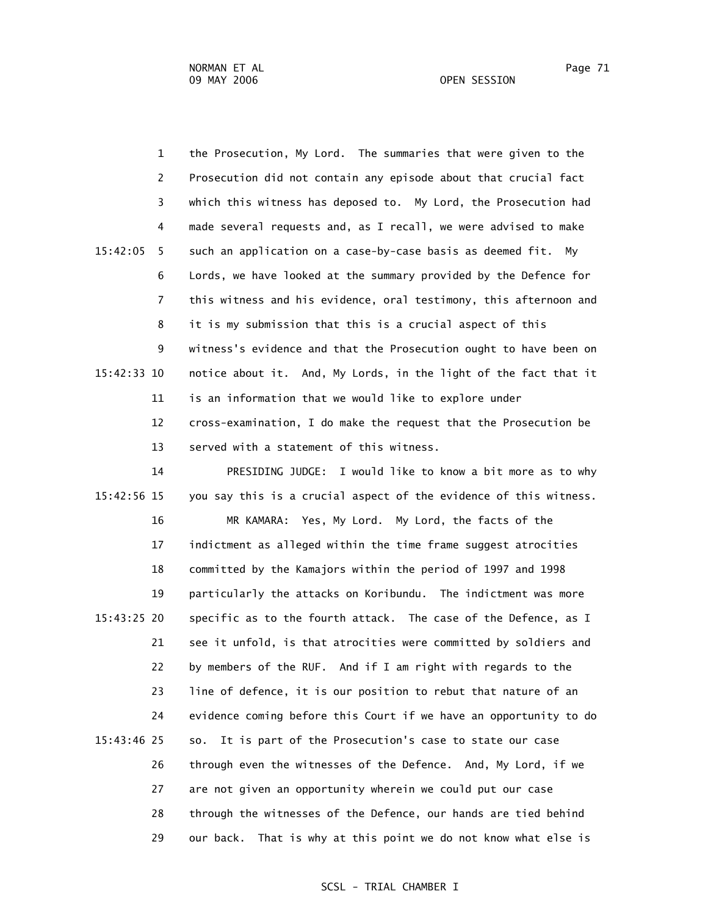1 the Prosecution, My Lord. The summaries that were given to the 2 Prosecution did not contain any episode about that crucial fact 3 which this witness has deposed to. My Lord, the Prosecution had 4 made several requests and, as I recall, we were advised to make 15:42:05 5 such an application on a case-by-case basis as deemed fit. My 6 Lords, we have looked at the summary provided by the Defence for 7 this witness and his evidence, oral testimony, this afternoon and 8 it is my submission that this is a crucial aspect of this 9 witness's evidence and that the Prosecution ought to have been on 15:42:33 10 notice about it. And, My Lords, in the light of the fact that it 11 is an information that we would like to explore under 12 cross-examination, I do make the request that the Prosecution be 13 served with a statement of this witness.

 14 PRESIDING JUDGE: I would like to know a bit more as to why 15:42:56 15 you say this is a crucial aspect of the evidence of this witness. 16 MR KAMARA: Yes, My Lord. My Lord, the facts of the 17 indictment as alleged within the time frame suggest atrocities 18 committed by the Kamajors within the period of 1997 and 1998 19 particularly the attacks on Koribundu. The indictment was more 15:43:25 20 specific as to the fourth attack. The case of the Defence, as I 21 see it unfold, is that atrocities were committed by soldiers and 22 by members of the RUF. And if I am right with regards to the 23 line of defence, it is our position to rebut that nature of an 24 evidence coming before this Court if we have an opportunity to do 15:43:46 25 so. It is part of the Prosecution's case to state our case 26 through even the witnesses of the Defence. And, My Lord, if we 27 are not given an opportunity wherein we could put our case 28 through the witnesses of the Defence, our hands are tied behind 29 our back. That is why at this point we do not know what else is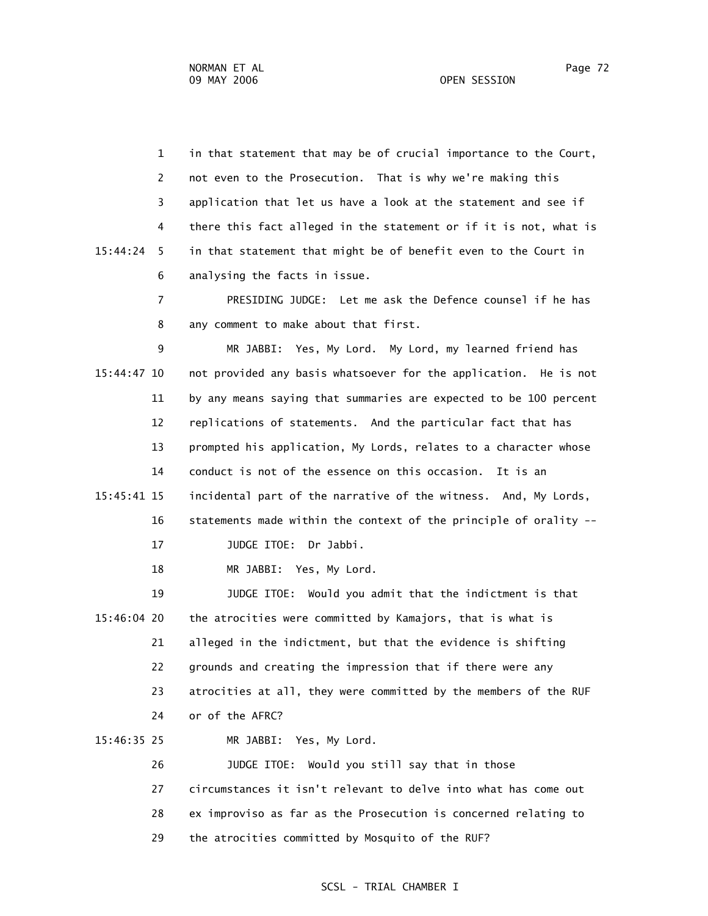1 in that statement that may be of crucial importance to the Court, 2 not even to the Prosecution. That is why we're making this 3 application that let us have a look at the statement and see if 4 there this fact alleged in the statement or if it is not, what is 15:44:24 5 in that statement that might be of benefit even to the Court in 6 analysing the facts in issue.

> 7 PRESIDING JUDGE: Let me ask the Defence counsel if he has 8 any comment to make about that first.

 9 MR JABBI: Yes, My Lord. My Lord, my learned friend has 15:44:47 10 not provided any basis whatsoever for the application. He is not 11 by any means saying that summaries are expected to be 100 percent 12 replications of statements. And the particular fact that has 13 prompted his application, My Lords, relates to a character whose 14 conduct is not of the essence on this occasion. It is an 15:45:41 15 incidental part of the narrative of the witness. And, My Lords, 16 statements made within the context of the principle of orality -- 17 JUDGE ITOE: Dr Jabbi.

18 MR JABBI: Yes, My Lord.

 19 JUDGE ITOE: Would you admit that the indictment is that 15:46:04 20 the atrocities were committed by Kamajors, that is what is 21 alleged in the indictment, but that the evidence is shifting 22 grounds and creating the impression that if there were any 23 atrocities at all, they were committed by the members of the RUF 24 or of the AFRC?

15:46:35 25 MR JABBI: Yes, My Lord.

 26 JUDGE ITOE: Would you still say that in those 27 circumstances it isn't relevant to delve into what has come out 28 ex improviso as far as the Prosecution is concerned relating to 29 the atrocities committed by Mosquito of the RUF?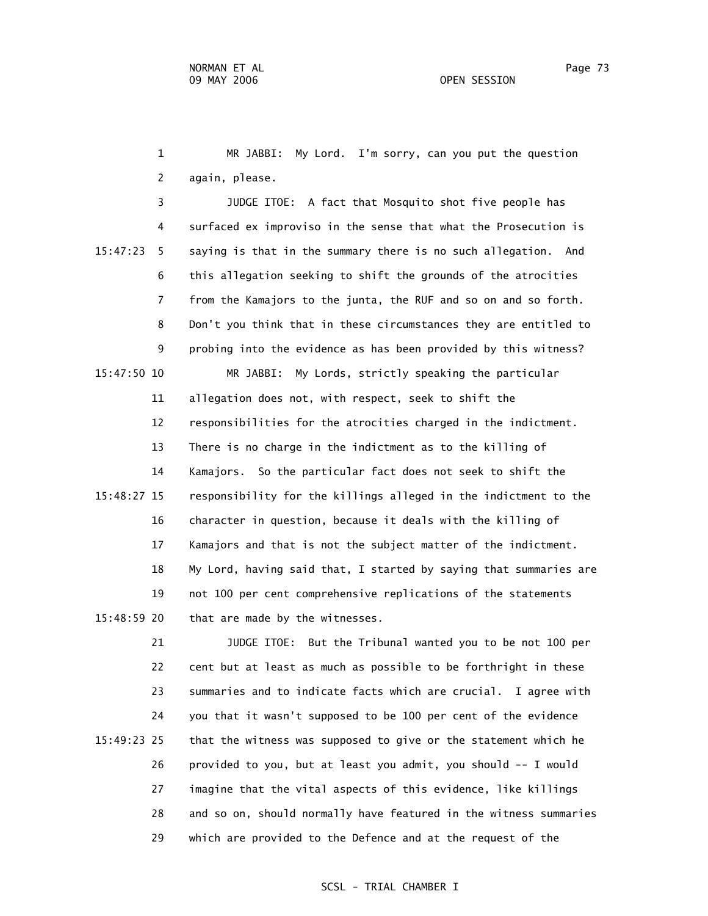1 MR JABBI: My Lord. I'm sorry, can you put the question 2 again, please.

 3 JUDGE ITOE: A fact that Mosquito shot five people has 4 surfaced ex improviso in the sense that what the Prosecution is 15:47:23 5 saying is that in the summary there is no such allegation. And 6 this allegation seeking to shift the grounds of the atrocities 7 from the Kamajors to the junta, the RUF and so on and so forth. 8 Don't you think that in these circumstances they are entitled to 9 probing into the evidence as has been provided by this witness? 15:47:50 10 MR JABBI: My Lords, strictly speaking the particular 11 allegation does not, with respect, seek to shift the 12 responsibilities for the atrocities charged in the indictment. 13 There is no charge in the indictment as to the killing of 14 Kamajors. So the particular fact does not seek to shift the 15:48:27 15 responsibility for the killings alleged in the indictment to the 16 character in question, because it deals with the killing of 17 Kamajors and that is not the subject matter of the indictment. 18 My Lord, having said that, I started by saying that summaries are 19 not 100 per cent comprehensive replications of the statements 15:48:59 20 that are made by the witnesses.

 21 JUDGE ITOE: But the Tribunal wanted you to be not 100 per 22 cent but at least as much as possible to be forthright in these 23 summaries and to indicate facts which are crucial. I agree with 24 you that it wasn't supposed to be 100 per cent of the evidence 15:49:23 25 that the witness was supposed to give or the statement which he 26 provided to you, but at least you admit, you should -- I would 27 imagine that the vital aspects of this evidence, like killings 28 and so on, should normally have featured in the witness summaries 29 which are provided to the Defence and at the request of the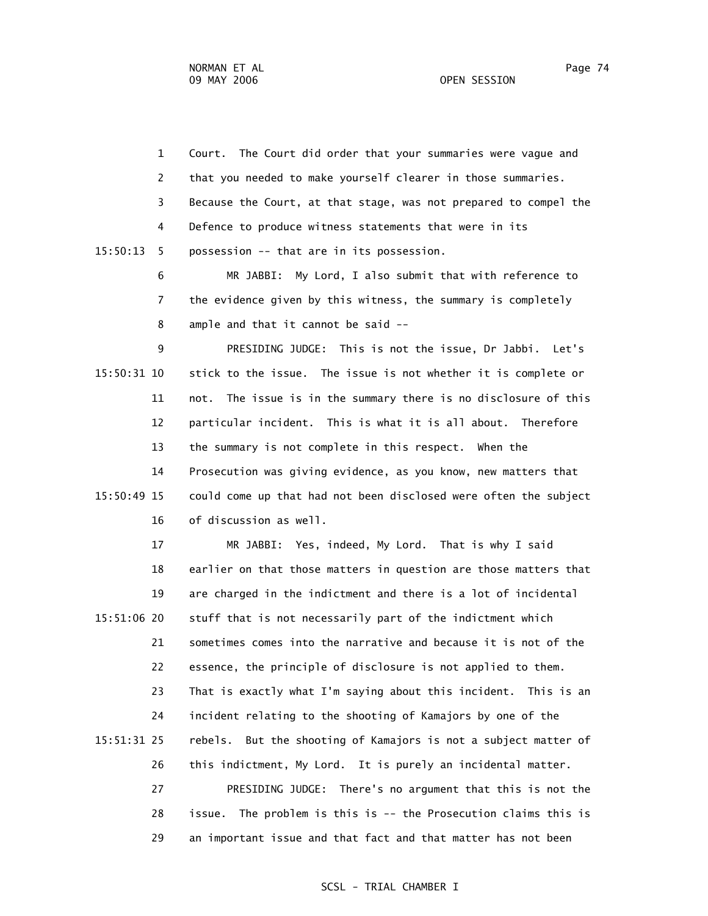1 Court. The Court did order that your summaries were vague and 2 that you needed to make yourself clearer in those summaries. 3 Because the Court, at that stage, was not prepared to compel the 4 Defence to produce witness statements that were in its 15:50:13 5 possession -- that are in its possession. 6 MR JABBI: My Lord, I also submit that with reference to 7 the evidence given by this witness, the summary is completely 8 ample and that it cannot be said -- 9 PRESIDING JUDGE: This is not the issue, Dr Jabbi. Let's 15:50:31 10 stick to the issue. The issue is not whether it is complete or 11 not. The issue is in the summary there is no disclosure of this 12 particular incident. This is what it is all about. Therefore 13 the summary is not complete in this respect. When the 14 Prosecution was giving evidence, as you know, new matters that 15:50:49 15 could come up that had not been disclosed were often the subject 16 of discussion as well. 17 MR JABBI: Yes, indeed, My Lord. That is why I said 18 earlier on that those matters in question are those matters that 19 are charged in the indictment and there is a lot of incidental 15:51:06 20 stuff that is not necessarily part of the indictment which 21 sometimes comes into the narrative and because it is not of the

 22 essence, the principle of disclosure is not applied to them. 23 That is exactly what I'm saying about this incident. This is an 24 incident relating to the shooting of Kamajors by one of the 15:51:31 25 rebels. But the shooting of Kamajors is not a subject matter of 26 this indictment, My Lord. It is purely an incidental matter. 27 PRESIDING JUDGE: There's no argument that this is not the 28 issue. The problem is this is -- the Prosecution claims this is 29 an important issue and that fact and that matter has not been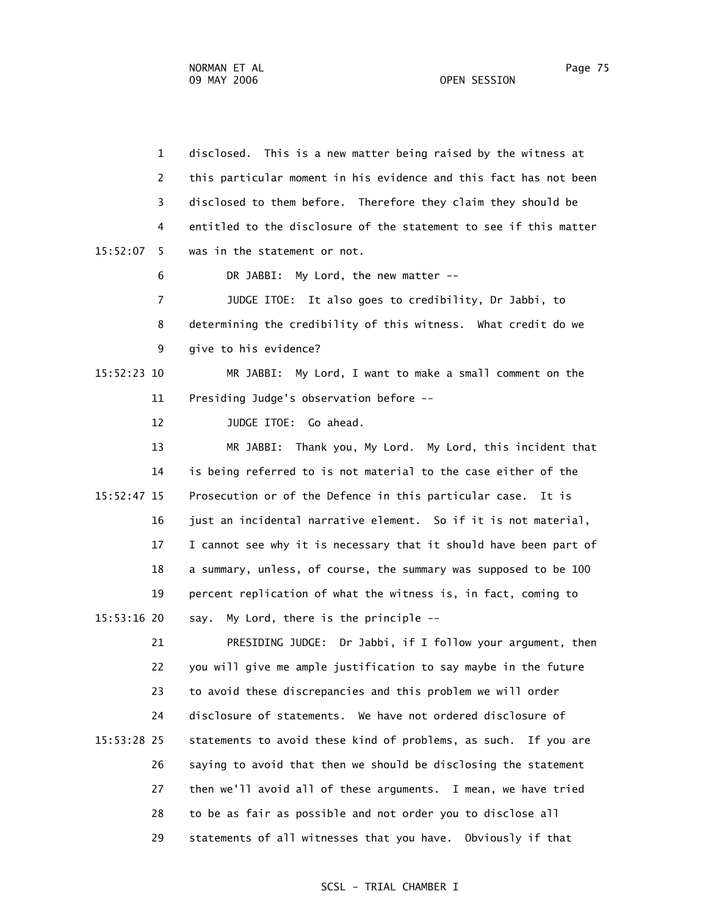1 disclosed. This is a new matter being raised by the witness at 2 this particular moment in his evidence and this fact has not been 3 disclosed to them before. Therefore they claim they should be 4 entitled to the disclosure of the statement to see if this matter 15:52:07 5 was in the statement or not. 6 DR JABBI: My Lord, the new matter -- 7 JUDGE ITOE: It also goes to credibility, Dr Jabbi, to 8 determining the credibility of this witness. What credit do we 9 give to his evidence? 15:52:23 10 MR JABBI: My Lord, I want to make a small comment on the 11 Presiding Judge's observation before -- 12 JUDGE ITOE: Go ahead. 13 MR JABBI: Thank you, My Lord. My Lord, this incident that 14 is being referred to is not material to the case either of the 15:52:47 15 Prosecution or of the Defence in this particular case. It is 16 just an incidental narrative element. So if it is not material, 17 I cannot see why it is necessary that it should have been part of 18 a summary, unless, of course, the summary was supposed to be 100 19 percent replication of what the witness is, in fact, coming to 15:53:16 20 say. My Lord, there is the principle -- 21 PRESIDING JUDGE: Dr Jabbi, if I follow your argument, then 22 you will give me ample justification to say maybe in the future 23 to avoid these discrepancies and this problem we will order 24 disclosure of statements. We have not ordered disclosure of 15:53:28 25 statements to avoid these kind of problems, as such. If you are 26 saying to avoid that then we should be disclosing the statement 27 then we'll avoid all of these arguments. I mean, we have tried

> 28 to be as fair as possible and not order you to disclose all 29 statements of all witnesses that you have. Obviously if that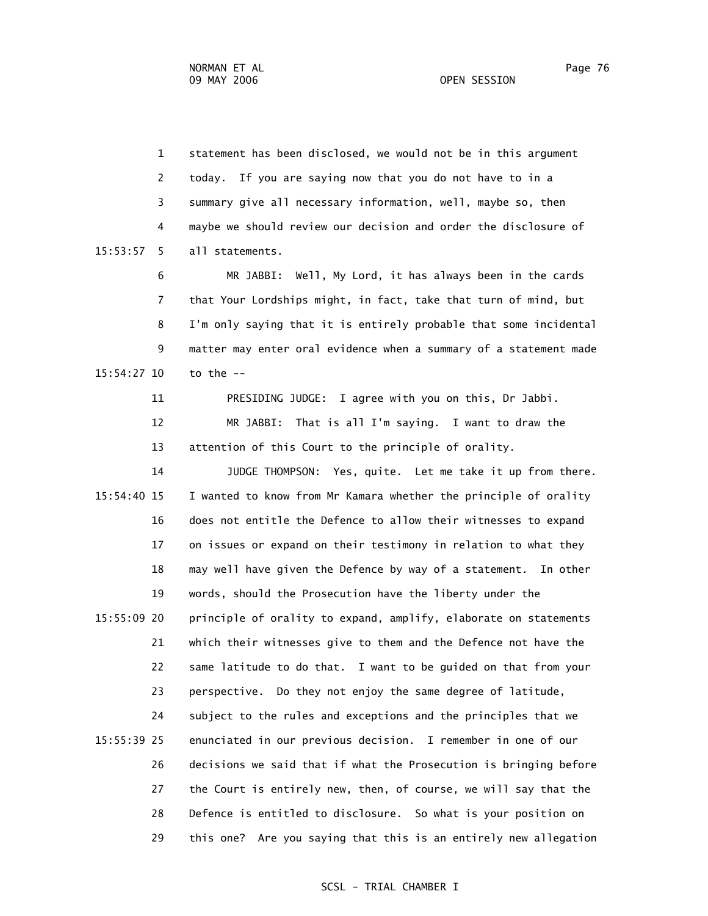1 statement has been disclosed, we would not be in this argument 2 today. If you are saying now that you do not have to in a 3 summary give all necessary information, well, maybe so, then 4 maybe we should review our decision and order the disclosure of 15:53:57 5 all statements. 6 MR JABBI: Well, My Lord, it has always been in the cards 7 that Your Lordships might, in fact, take that turn of mind, but 8 I'm only saying that it is entirely probable that some incidental

 9 matter may enter oral evidence when a summary of a statement made 15:54:27 10 to the --

11 PRESIDING JUDGE: I agree with you on this, Dr Jabbi.

 12 MR JABBI: That is all I'm saying. I want to draw the 13 attention of this Court to the principle of orality.

 14 JUDGE THOMPSON: Yes, quite. Let me take it up from there. 15:54:40 15 I wanted to know from Mr Kamara whether the principle of orality 16 does not entitle the Defence to allow their witnesses to expand 17 on issues or expand on their testimony in relation to what they 18 may well have given the Defence by way of a statement. In other 19 words, should the Prosecution have the liberty under the 15:55:09 20 principle of orality to expand, amplify, elaborate on statements 21 which their witnesses give to them and the Defence not have the 22 same latitude to do that. I want to be guided on that from your 23 perspective. Do they not enjoy the same degree of latitude, 24 subject to the rules and exceptions and the principles that we 15:55:39 25 enunciated in our previous decision. I remember in one of our 26 decisions we said that if what the Prosecution is bringing before 27 the Court is entirely new, then, of course, we will say that the 28 Defence is entitled to disclosure. So what is your position on 29 this one? Are you saying that this is an entirely new allegation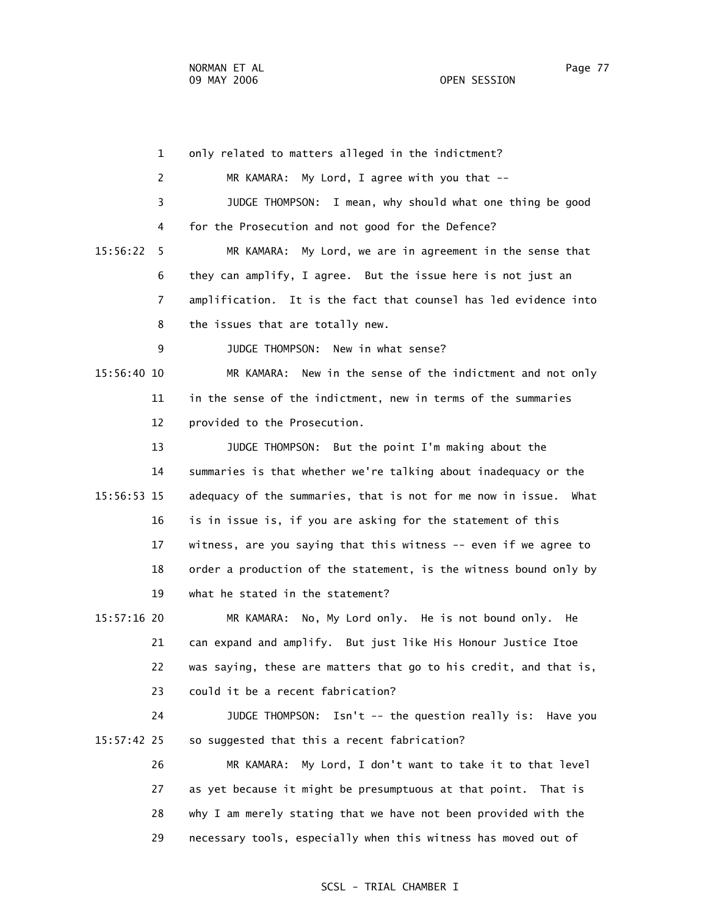1 only related to matters alleged in the indictment? 2 MR KAMARA: My Lord, I agree with you that -- 3 JUDGE THOMPSON: I mean, why should what one thing be good 4 for the Prosecution and not good for the Defence? 15:56:22 5 MR KAMARA: My Lord, we are in agreement in the sense that 6 they can amplify, I agree. But the issue here is not just an 7 amplification. It is the fact that counsel has led evidence into 8 the issues that are totally new. 9 JUDGE THOMPSON: New in what sense? 15:56:40 10 MR KAMARA: New in the sense of the indictment and not only 11 in the sense of the indictment, new in terms of the summaries 12 provided to the Prosecution. 13 JUDGE THOMPSON: But the point I'm making about the 14 summaries is that whether we're talking about inadequacy or the 15:56:53 15 adequacy of the summaries, that is not for me now in issue. What 16 is in issue is, if you are asking for the statement of this 17 witness, are you saying that this witness -- even if we agree to 18 order a production of the statement, is the witness bound only by 19 what he stated in the statement? 15:57:16 20 MR KAMARA: No, My Lord only. He is not bound only. He 21 can expand and amplify. But just like His Honour Justice Itoe 22 was saying, these are matters that go to his credit, and that is, 23 could it be a recent fabrication? 24 JUDGE THOMPSON: Isn't -- the question really is: Have you 15:57:42 25 so suggested that this a recent fabrication? 26 MR KAMARA: My Lord, I don't want to take it to that level 27 as yet because it might be presumptuous at that point. That is 28 why I am merely stating that we have not been provided with the 29 necessary tools, especially when this witness has moved out of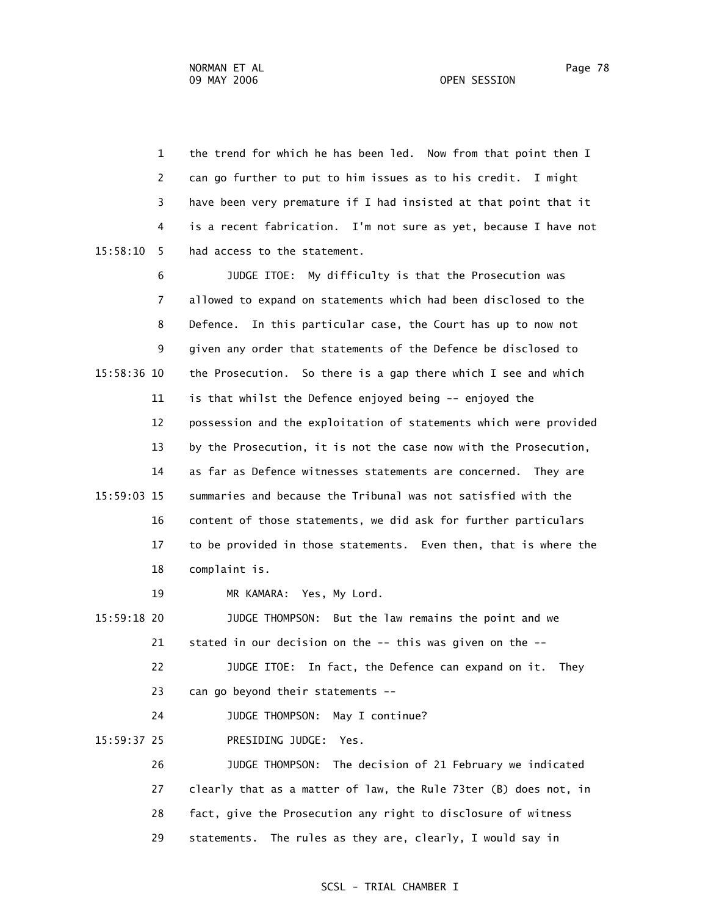1 the trend for which he has been led. Now from that point then I 2 can go further to put to him issues as to his credit. I might 3 have been very premature if I had insisted at that point that it 4 is a recent fabrication. I'm not sure as yet, because I have not 15:58:10 5 had access to the statement.

 6 JUDGE ITOE: My difficulty is that the Prosecution was 7 allowed to expand on statements which had been disclosed to the 8 Defence. In this particular case, the Court has up to now not 9 given any order that statements of the Defence be disclosed to 15:58:36 10 the Prosecution. So there is a gap there which I see and which 11 is that whilst the Defence enjoyed being -- enjoyed the 12 possession and the exploitation of statements which were provided 13 by the Prosecution, it is not the case now with the Prosecution, 14 as far as Defence witnesses statements are concerned. They are 15:59:03 15 summaries and because the Tribunal was not satisfied with the 16 content of those statements, we did ask for further particulars 17 to be provided in those statements. Even then, that is where the 18 complaint is.

19 MR KAMARA: Yes, My Lord.

 15:59:18 20 JUDGE THOMPSON: But the law remains the point and we 21 stated in our decision on the -- this was given on the -- 22 JUDGE ITOE: In fact, the Defence can expand on it. They 23 can go beyond their statements --

24 JUDGE THOMPSON: May I continue?

15:59:37 25 PRESIDING JUDGE: Yes.

 26 JUDGE THOMPSON: The decision of 21 February we indicated 27 clearly that as a matter of law, the Rule 73ter (B) does not, in 28 fact, give the Prosecution any right to disclosure of witness 29 statements. The rules as they are, clearly, I would say in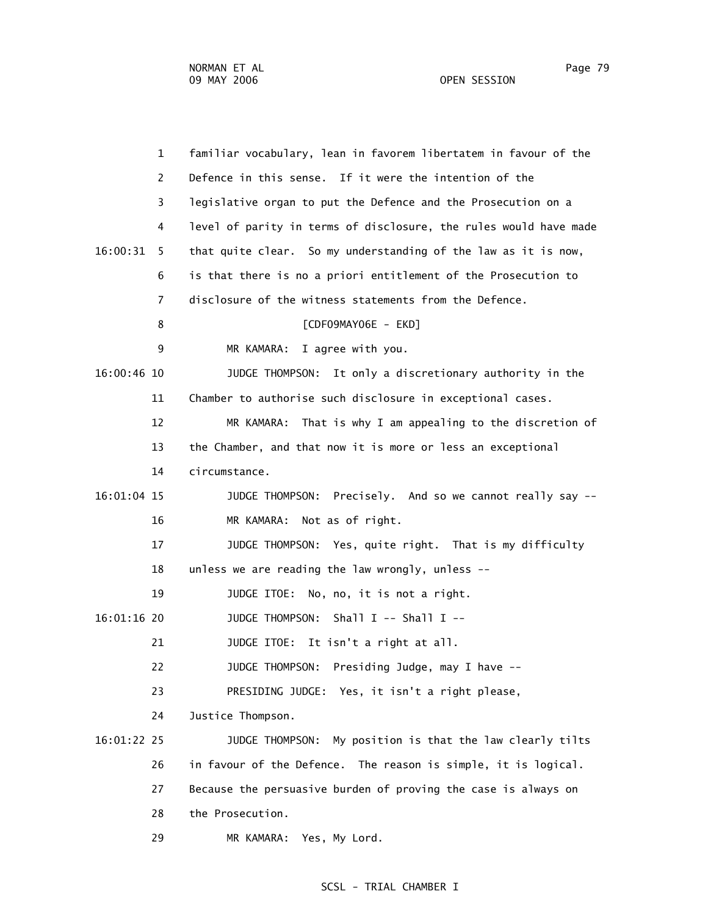| $\mathbf{1}$  | familiar vocabulary, lean in favorem libertatem in favour of the  |
|---------------|-------------------------------------------------------------------|
| 2             | Defence in this sense. If it were the intention of the            |
| 3             | legislative organ to put the Defence and the Prosecution on a     |
| 4             | level of parity in terms of disclosure, the rules would have made |
| 16:00:31<br>5 | that quite clear. So my understanding of the law as it is now,    |
| 6             | is that there is no a priori entitlement of the Prosecution to    |
| 7             | disclosure of the witness statements from the Defence.            |
| 8             | [CDF09MAY06E - EKD]                                               |
| 9             | I agree with you.<br>MR KAMARA:                                   |
| 16:00:46 10   | JUDGE THOMPSON: It only a discretionary authority in the          |
| 11            | Chamber to authorise such disclosure in exceptional cases.        |
| 12            | MR KAMARA: That is why I am appealing to the discretion of        |
| 13            | the Chamber, and that now it is more or less an exceptional       |
| 14            | circumstance.                                                     |
| 16:01:04 15   | Precisely. And so we cannot really say --<br>JUDGE THOMPSON:      |
| 16            | Not as of right.<br>MR KAMARA:                                    |
| 17            | JUDGE THOMPSON: Yes, quite right. That is my difficulty           |
| 18            | unless we are reading the law wrongly, unless --                  |
| 19            | JUDGE ITOE: No, no, it is not a right.                            |
| 16:01:16 20   | Shall I -- Shall I --<br>JUDGE THOMPSON:                          |
| 21            | JUDGE ITOE:<br>It isn't a right at all.                           |
| 22            | Presiding Judge, may I have --<br>JUDGE THOMPSON:                 |
| 23            | PRESIDING JUDGE: Yes, it isn't a right please,                    |
| 24            | Justice Thompson.                                                 |
| 16:01:22 25   | My position is that the law clearly tilts<br>JUDGE THOMPSON:      |
| 26            | in favour of the Defence. The reason is simple, it is logical.    |
| 27            | Because the persuasive burden of proving the case is always on    |
| 28            | the Prosecution.                                                  |
| 29            | Yes, My Lord.<br>MR KAMARA:                                       |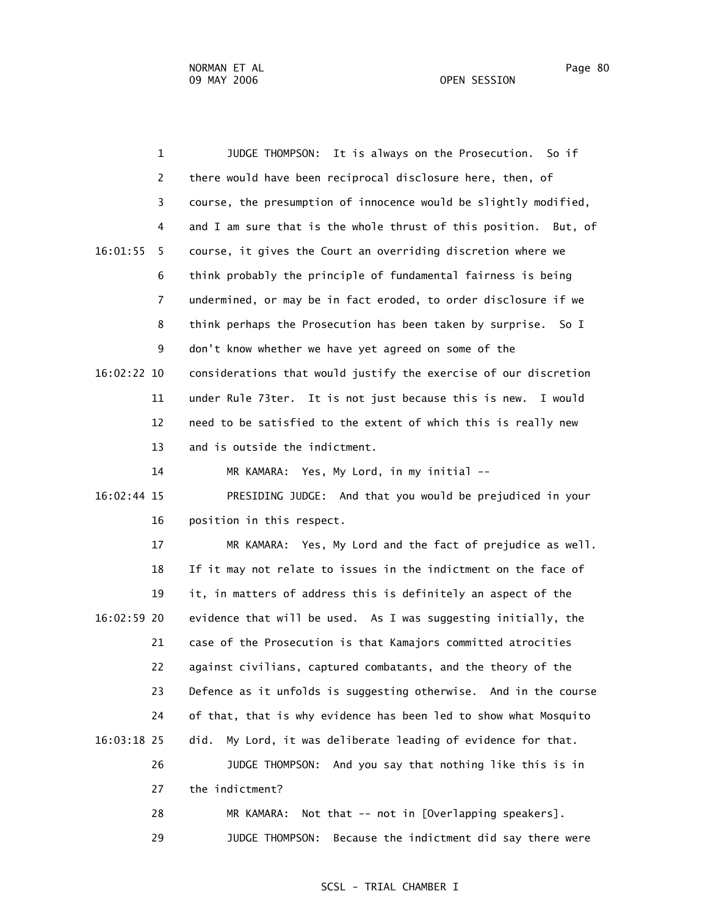1 JUDGE THOMPSON: It is always on the Prosecution. So if 2 there would have been reciprocal disclosure here, then, of 3 course, the presumption of innocence would be slightly modified, 4 and I am sure that is the whole thrust of this position. But, of 16:01:55 5 course, it gives the Court an overriding discretion where we 6 think probably the principle of fundamental fairness is being 7 undermined, or may be in fact eroded, to order disclosure if we 8 think perhaps the Prosecution has been taken by surprise. So I 9 don't know whether we have yet agreed on some of the 16:02:22 10 considerations that would justify the exercise of our discretion 11 under Rule 73ter. It is not just because this is new. I would 12 need to be satisfied to the extent of which this is really new 13 and is outside the indictment. 14 MR KAMARA: Yes, My Lord, in my initial -- 16:02:44 15 PRESIDING JUDGE: And that you would be prejudiced in your 16 position in this respect. 17 MR KAMARA: Yes, My Lord and the fact of prejudice as well. 18 If it may not relate to issues in the indictment on the face of 19 it, in matters of address this is definitely an aspect of the 16:02:59 20 evidence that will be used. As I was suggesting initially, the 21 case of the Prosecution is that Kamajors committed atrocities 22 against civilians, captured combatants, and the theory of the 23 Defence as it unfolds is suggesting otherwise. And in the course 24 of that, that is why evidence has been led to show what Mosquito 16:03:18 25 did. My Lord, it was deliberate leading of evidence for that. 26 JUDGE THOMPSON: And you say that nothing like this is in 27 the indictment? 28 MR KAMARA: Not that -- not in [Overlapping speakers]. 29 JUDGE THOMPSON: Because the indictment did say there were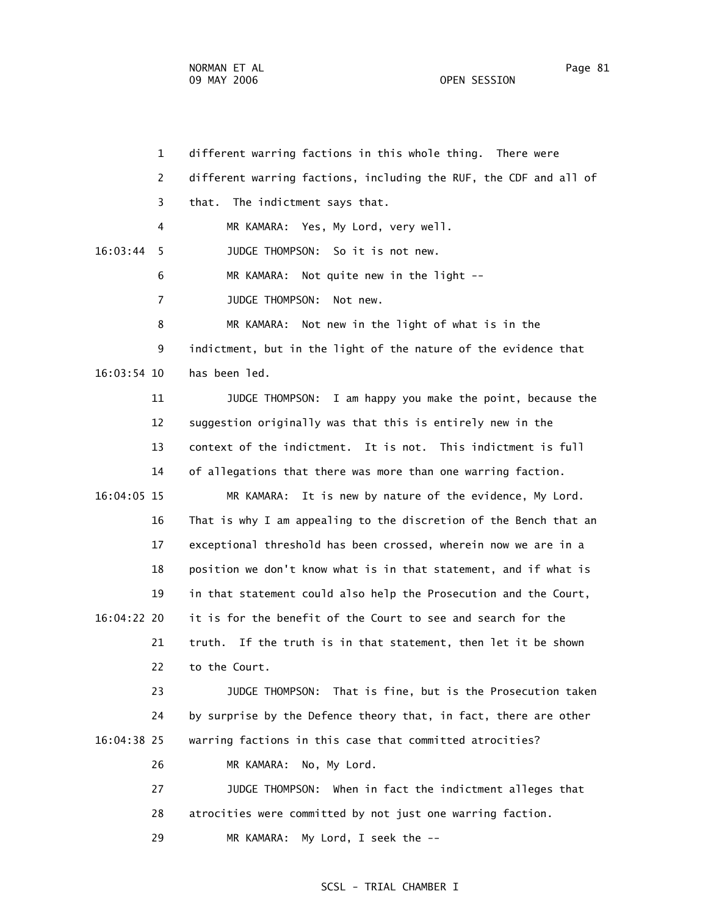NORMAN ET AL PAGE 2014 AND RESERVE TO A 2014 A PAGE 31 AND RAIL PAGE 31 09 MAY 2006 OPEN SESSION

 1 different warring factions in this whole thing. There were 2 different warring factions, including the RUF, the CDF and all of 3 that. The indictment says that. 4 MR KAMARA: Yes, My Lord, very well. 16:03:44 5 JUDGE THOMPSON: So it is not new. 6 MR KAMARA: Not quite new in the light -- 7 JUDGE THOMPSON: Not new. 8 MR KAMARA: Not new in the light of what is in the 9 indictment, but in the light of the nature of the evidence that 16:03:54 10 has been led. 11 JUDGE THOMPSON: I am happy you make the point, because the 12 suggestion originally was that this is entirely new in the 13 context of the indictment. It is not. This indictment is full 14 of allegations that there was more than one warring faction. 16:04:05 15 MR KAMARA: It is new by nature of the evidence, My Lord. 16 That is why I am appealing to the discretion of the Bench that an 17 exceptional threshold has been crossed, wherein now we are in a 18 position we don't know what is in that statement, and if what is 19 in that statement could also help the Prosecution and the Court, 16:04:22 20 it is for the benefit of the Court to see and search for the 21 truth. If the truth is in that statement, then let it be shown 22 to the Court. 23 JUDGE THOMPSON: That is fine, but is the Prosecution taken 24 by surprise by the Defence theory that, in fact, there are other 16:04:38 25 warring factions in this case that committed atrocities? 26 MR KAMARA: No, My Lord. 27 JUDGE THOMPSON: When in fact the indictment alleges that 28 atrocities were committed by not just one warring faction. 29 MR KAMARA: My Lord, I seek the --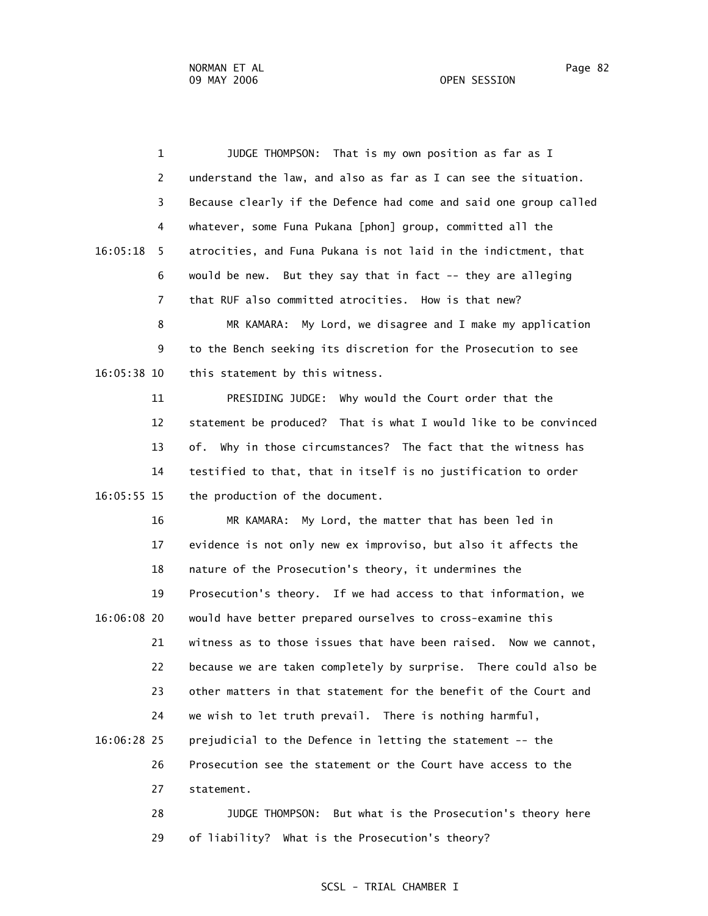2 understand the law, and also as far as I can see the situation. 3 Because clearly if the Defence had come and said one group called 4 whatever, some Funa Pukana [phon] group, committed all the 16:05:18 5 atrocities, and Funa Pukana is not laid in the indictment, that 6 would be new. But they say that in fact -- they are alleging 7 that RUF also committed atrocities. How is that new? 8 MR KAMARA: My Lord, we disagree and I make my application 9 to the Bench seeking its discretion for the Prosecution to see 16:05:38 10 this statement by this witness. 11 PRESIDING JUDGE: Why would the Court order that the 12 statement be produced? That is what I would like to be convinced 13 of. Why in those circumstances? The fact that the witness has 14 testified to that, that in itself is no justification to order 16:05:55 15 the production of the document. 16 MR KAMARA: My Lord, the matter that has been led in 17 evidence is not only new ex improviso, but also it affects the 18 nature of the Prosecution's theory, it undermines the 19 Prosecution's theory. If we had access to that information, we 16:06:08 20 would have better prepared ourselves to cross-examine this 21 witness as to those issues that have been raised. Now we cannot, 22 because we are taken completely by surprise. There could also be 23 other matters in that statement for the benefit of the Court and 24 we wish to let truth prevail. There is nothing harmful, 16:06:28 25 prejudicial to the Defence in letting the statement -- the 26 Prosecution see the statement or the Court have access to the 27 statement. 28 JUDGE THOMPSON: But what is the Prosecution's theory here 29 of liability? What is the Prosecution's theory?

1 JUDGE THOMPSON: That is my own position as far as I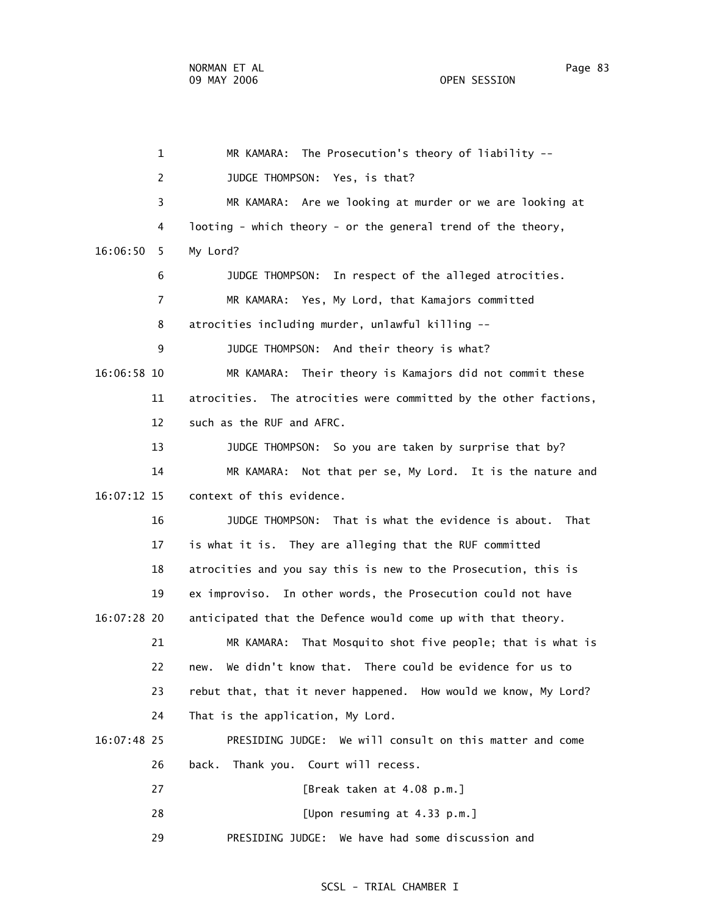1 MR KAMARA: The Prosecution's theory of liability -- 2 JUDGE THOMPSON: Yes, is that? 3 MR KAMARA: Are we looking at murder or we are looking at 4 looting - which theory - or the general trend of the theory, 16:06:50 5 My Lord? 6 JUDGE THOMPSON: In respect of the alleged atrocities. 7 MR KAMARA: Yes, My Lord, that Kamajors committed 8 atrocities including murder, unlawful killing -- 9 JUDGE THOMPSON: And their theory is what? 16:06:58 10 MR KAMARA: Their theory is Kamajors did not commit these 11 atrocities. The atrocities were committed by the other factions, 12 such as the RUF and AFRC. 13 JUDGE THOMPSON: So you are taken by surprise that by? 14 MR KAMARA: Not that per se, My Lord. It is the nature and 16:07:12 15 context of this evidence. 16 JUDGE THOMPSON: That is what the evidence is about. That 17 is what it is. They are alleging that the RUF committed 18 atrocities and you say this is new to the Prosecution, this is 19 ex improviso. In other words, the Prosecution could not have 16:07:28 20 anticipated that the Defence would come up with that theory. 21 MR KAMARA: That Mosquito shot five people; that is what is 22 new. We didn't know that. There could be evidence for us to 23 rebut that, that it never happened. How would we know, My Lord? 24 That is the application, My Lord. 16:07:48 25 PRESIDING JUDGE: We will consult on this matter and come 26 back. Thank you. Court will recess. 27 [Break taken at 4.08 p.m.] 28 [Upon resuming at 4.33 p.m.] 29 PRESIDING JUDGE: We have had some discussion and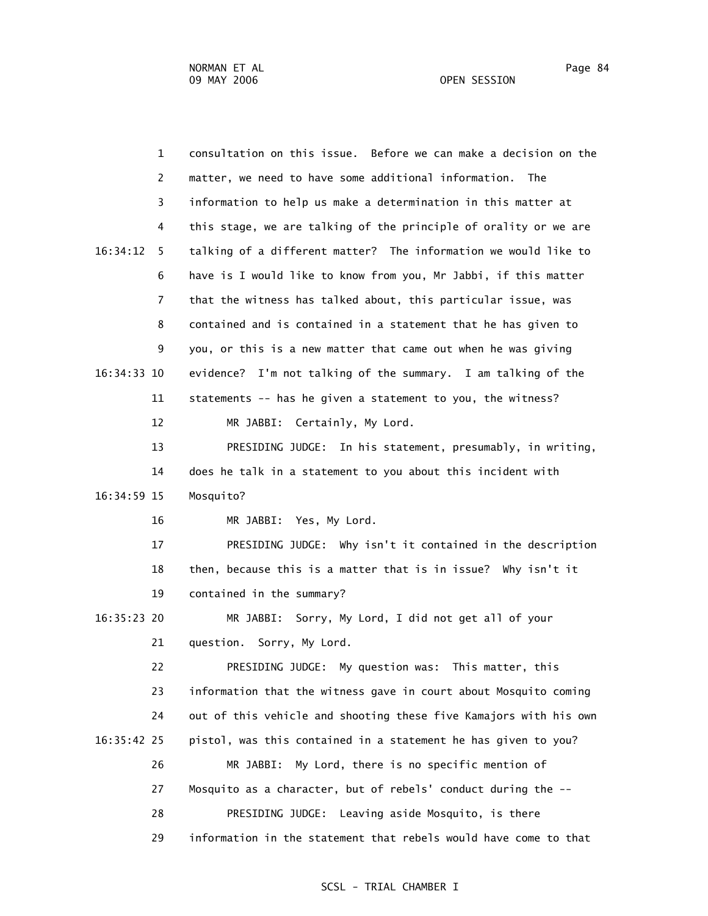| $\mathbf 1$    | consultation on this issue. Before we can make a decision on the  |
|----------------|-------------------------------------------------------------------|
| 2              | matter, we need to have some additional information.<br>The       |
| 3              | information to help us make a determination in this matter at     |
| 4              | this stage, we are talking of the principle of orality or we are  |
| 16:34:12<br>5. | talking of a different matter? The information we would like to   |
| 6              | have is I would like to know from you, Mr Jabbi, if this matter   |
| 7              | that the witness has talked about, this particular issue, was     |
| 8              | contained and is contained in a statement that he has given to    |
| 9              | you, or this is a new matter that came out when he was giving     |
| 16:34:33 10    | evidence? I'm not talking of the summary. I am talking of the     |
| 11             | statements -- has he given a statement to you, the witness?       |
| 12             | Certainly, My Lord.<br>MR JABBI:                                  |
| 13             | PRESIDING JUDGE: In his statement, presumably, in writing,        |
| 14             | does he talk in a statement to you about this incident with       |
| 16:34:59 15    | Mosquito?                                                         |
| 16             | MR JABBI: Yes, My Lord.                                           |
| 17             | PRESIDING JUDGE: Why isn't it contained in the description        |
| 18             | then, because this is a matter that is in issue? Why isn't it     |
| 19             | contained in the summary?                                         |
| 16:35:23 20    | MR JABBI: Sorry, My Lord, I did not get all of your               |
| 21             | question. Sorry, My Lord.                                         |
| 22             | PRESIDING JUDGE: My question was: This matter, this               |
| 23             | information that the witness gave in court about Mosquito coming  |
| 24             | out of this vehicle and shooting these five Kamajors with his own |
| 16:35:42 25    | pistol, was this contained in a statement he has given to you?    |
| 26             | My Lord, there is no specific mention of<br>MR JABBI:             |
| 27             | Mosquito as a character, but of rebels' conduct during the --     |
| 28             | PRESIDING JUDGE: Leaving aside Mosquito, is there                 |
| 29             | information in the statement that rebels would have come to that  |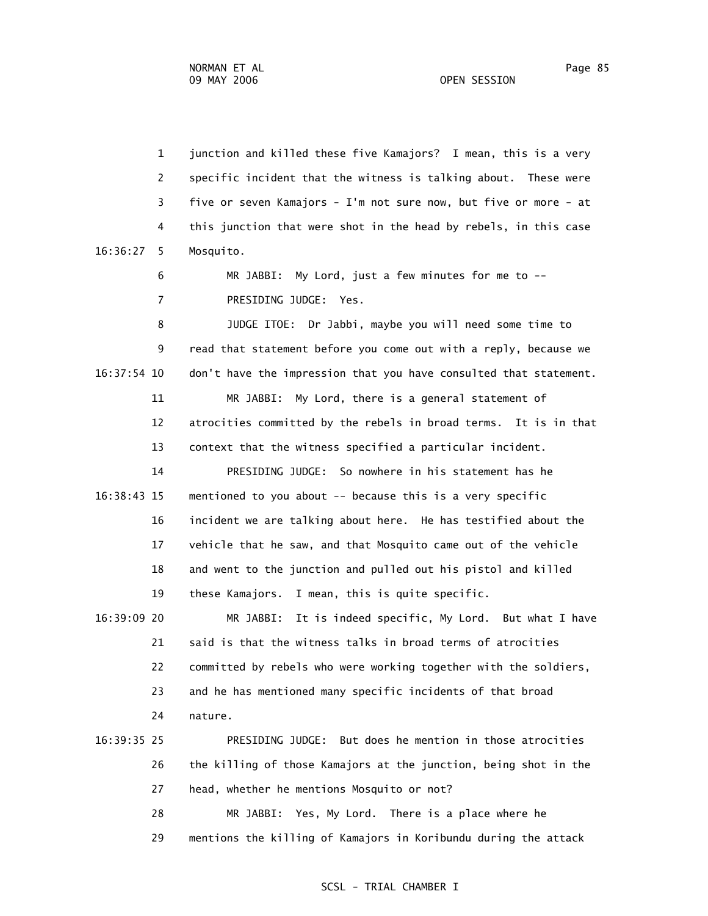1 junction and killed these five Kamajors? I mean, this is a very 2 specific incident that the witness is talking about. These were 3 five or seven Kamajors - I'm not sure now, but five or more - at 4 this junction that were shot in the head by rebels, in this case 16:36:27 5 Mosquito.

> 6 MR JABBI: My Lord, just a few minutes for me to -- 7 PRESIDING JUDGE: Yes.

 8 JUDGE ITOE: Dr Jabbi, maybe you will need some time to 9 read that statement before you come out with a reply, because we 16:37:54 10 don't have the impression that you have consulted that statement. 11 MR JABBI: My Lord, there is a general statement of 12 atrocities committed by the rebels in broad terms. It is in that

13 context that the witness specified a particular incident.

 14 PRESIDING JUDGE: So nowhere in his statement has he 16:38:43 15 mentioned to you about -- because this is a very specific 16 incident we are talking about here. He has testified about the 17 vehicle that he saw, and that Mosquito came out of the vehicle 18 and went to the junction and pulled out his pistol and killed 19 these Kamajors. I mean, this is quite specific.

 16:39:09 20 MR JABBI: It is indeed specific, My Lord. But what I have 21 said is that the witness talks in broad terms of atrocities 22 committed by rebels who were working together with the soldiers, 23 and he has mentioned many specific incidents of that broad 24 nature.

# 16:39:35 25 PRESIDING JUDGE: But does he mention in those atrocities 26 the killing of those Kamajors at the junction, being shot in the 27 head, whether he mentions Mosquito or not? 28 MR JABBI: Yes, My Lord. There is a place where he

29 mentions the killing of Kamajors in Koribundu during the attack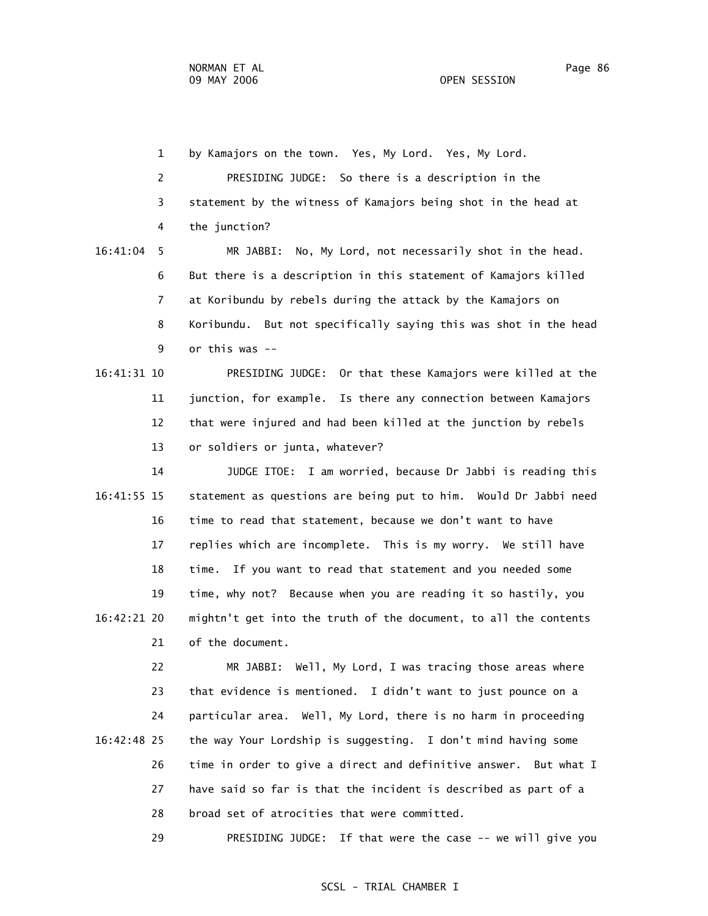9 or this was --

 1 by Kamajors on the town. Yes, My Lord. Yes, My Lord. 2 PRESIDING JUDGE: So there is a description in the 3 statement by the witness of Kamajors being shot in the head at 4 the junction? 16:41:04 5 MR JABBI: No, My Lord, not necessarily shot in the head. 6 But there is a description in this statement of Kamajors killed 7 at Koribundu by rebels during the attack by the Kamajors on 8 Koribundu. But not specifically saying this was shot in the head

 16:41:31 10 PRESIDING JUDGE: Or that these Kamajors were killed at the 11 junction, for example. Is there any connection between Kamajors 12 that were injured and had been killed at the junction by rebels 13 or soldiers or junta, whatever?

 14 JUDGE ITOE: I am worried, because Dr Jabbi is reading this 16:41:55 15 statement as questions are being put to him. Would Dr Jabbi need 16 time to read that statement, because we don't want to have 17 replies which are incomplete. This is my worry. We still have 18 time. If you want to read that statement and you needed some 19 time, why not? Because when you are reading it so hastily, you 16:42:21 20 mightn't get into the truth of the document, to all the contents 21 of the document.

 22 MR JABBI: Well, My Lord, I was tracing those areas where 23 that evidence is mentioned. I didn't want to just pounce on a 24 particular area. Well, My Lord, there is no harm in proceeding 16:42:48 25 the way Your Lordship is suggesting. I don't mind having some 26 time in order to give a direct and definitive answer. But what I 27 have said so far is that the incident is described as part of a 28 broad set of atrocities that were committed.

29 PRESIDING JUDGE: If that were the case -- we will give you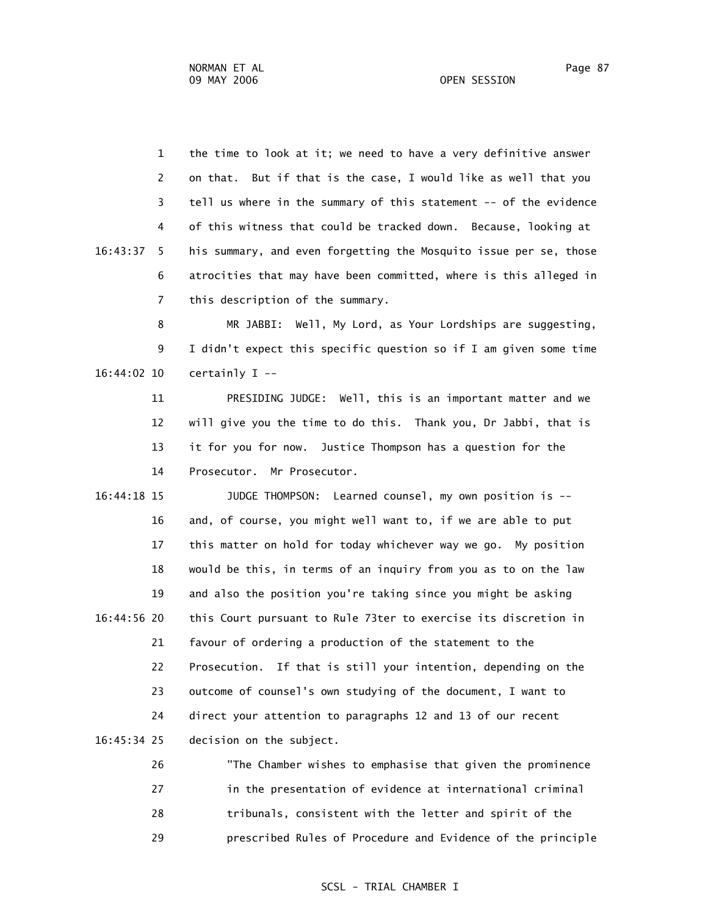1 the time to look at it; we need to have a very definitive answer 2 on that. But if that is the case, I would like as well that you 3 tell us where in the summary of this statement -- of the evidence 4 of this witness that could be tracked down. Because, looking at 16:43:37 5 his summary, and even forgetting the Mosquito issue per se, those 6 atrocities that may have been committed, where is this alleged in 7 this description of the summary.

 8 MR JABBI: Well, My Lord, as Your Lordships are suggesting, 9 I didn't expect this specific question so if I am given some time 16:44:02 10 certainly I --

 11 PRESIDING JUDGE: Well, this is an important matter and we 12 will give you the time to do this. Thank you, Dr Jabbi, that is 13 it for you for now. Justice Thompson has a question for the 14 Prosecutor. Mr Prosecutor.

 16:44:18 15 JUDGE THOMPSON: Learned counsel, my own position is -- 16 and, of course, you might well want to, if we are able to put 17 this matter on hold for today whichever way we go. My position 18 would be this, in terms of an inquiry from you as to on the law 19 and also the position you're taking since you might be asking 16:44:56 20 this Court pursuant to Rule 73ter to exercise its discretion in 21 favour of ordering a production of the statement to the 22 Prosecution. If that is still your intention, depending on the 23 outcome of counsel's own studying of the document, I want to 24 direct your attention to paragraphs 12 and 13 of our recent 16:45:34 25 decision on the subject.

> 26 "The Chamber wishes to emphasise that given the prominence 27 in the presentation of evidence at international criminal 28 tribunals, consistent with the letter and spirit of the 29 prescribed Rules of Procedure and Evidence of the principle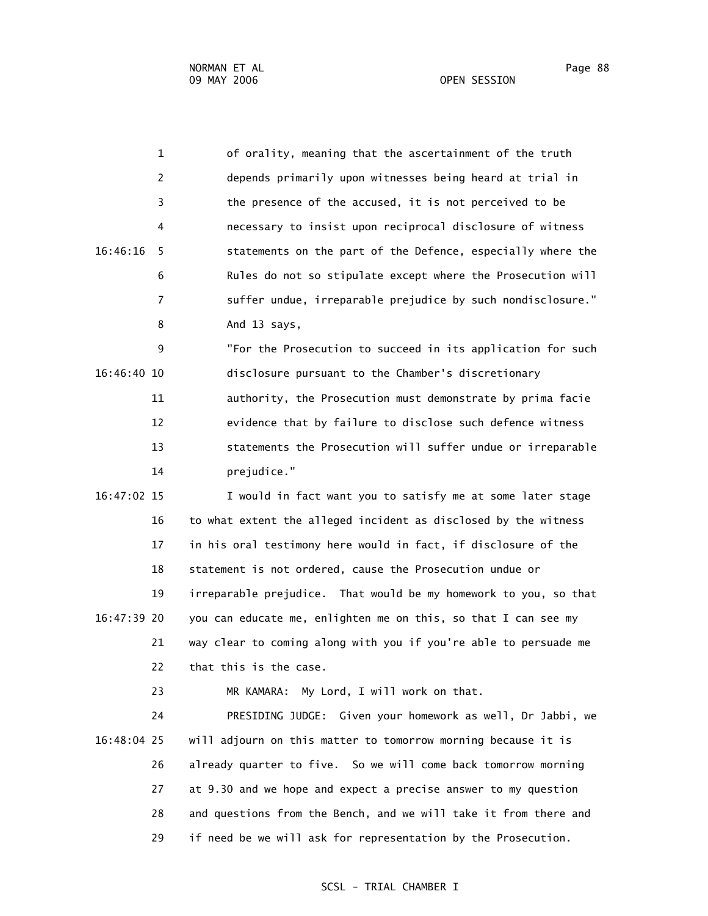1 of orality, meaning that the ascertainment of the truth 2 depends primarily upon witnesses being heard at trial in 3 the presence of the accused, it is not perceived to be 4 necessary to insist upon reciprocal disclosure of witness 16:46:16 5 statements on the part of the Defence, especially where the 6 Rules do not so stipulate except where the Prosecution will 7 suffer undue, irreparable prejudice by such nondisclosure." 8 And 13 says, 9 "For the Prosecution to succeed in its application for such 16:46:40 10 disclosure pursuant to the Chamber's discretionary 11 authority, the Prosecution must demonstrate by prima facie 12 evidence that by failure to disclose such defence witness 13 statements the Prosecution will suffer undue or irreparable 14 prejudice." 16:47:02 15 I would in fact want you to satisfy me at some later stage 16 to what extent the alleged incident as disclosed by the witness

 17 in his oral testimony here would in fact, if disclosure of the 18 statement is not ordered, cause the Prosecution undue or 19 irreparable prejudice. That would be my homework to you, so that 16:47:39 20 you can educate me, enlighten me on this, so that I can see my 21 way clear to coming along with you if you're able to persuade me 22 that this is the case.

23 MR KAMARA: My Lord, I will work on that.

 24 PRESIDING JUDGE: Given your homework as well, Dr Jabbi, we 16:48:04 25 will adjourn on this matter to tomorrow morning because it is 26 already quarter to five. So we will come back tomorrow morning 27 at 9.30 and we hope and expect a precise answer to my question 28 and questions from the Bench, and we will take it from there and 29 if need be we will ask for representation by the Prosecution.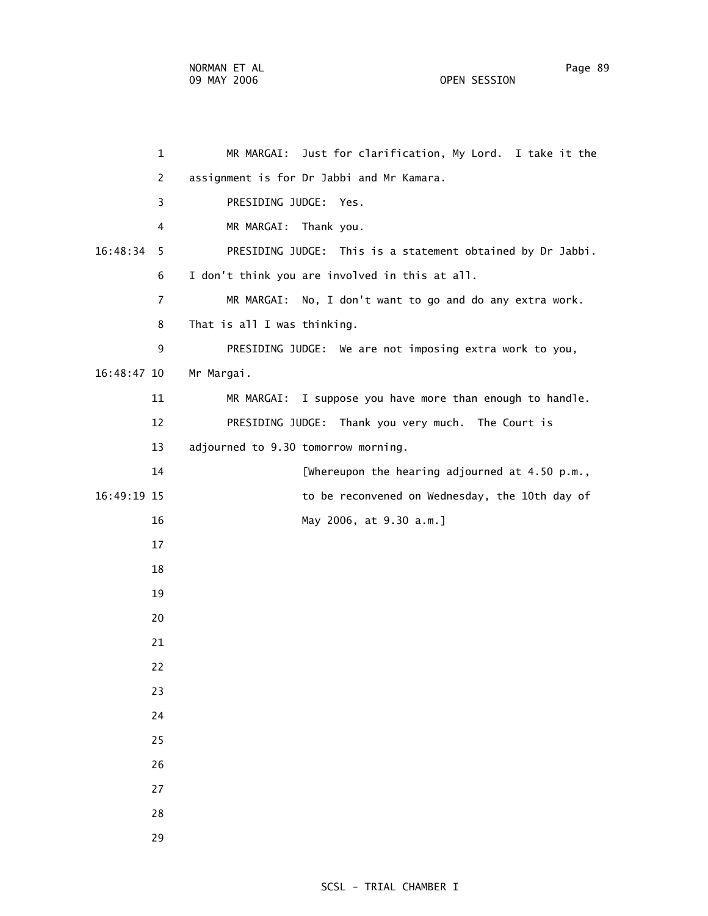1 MR MARGAI: Just for clarification, My Lord. I take it the 2 assignment is for Dr Jabbi and Mr Kamara. 3 PRESIDING JUDGE: Yes. 4 MR MARGAI: Thank you. 16:48:34 5 PRESIDING JUDGE: This is a statement obtained by Dr Jabbi. 6 I don't think you are involved in this at all. 7 MR MARGAI: No, I don't want to go and do any extra work. 8 That is all I was thinking. 9 PRESIDING JUDGE: We are not imposing extra work to you, 16:48:47 10 Mr Margai. 11 MR MARGAI: I suppose you have more than enough to handle. 12 PRESIDING JUDGE: Thank you very much. The Court is 13 adjourned to 9.30 tomorrow morning. 14 [Whereupon the hearing adjourned at 4.50 p.m., 16:49:19 15 to be reconvened on Wednesday, the 10th day of 16 May 2006, at 9.30 a.m.] 17 18 19 20 21 22 23 24 25 26 27 28

29